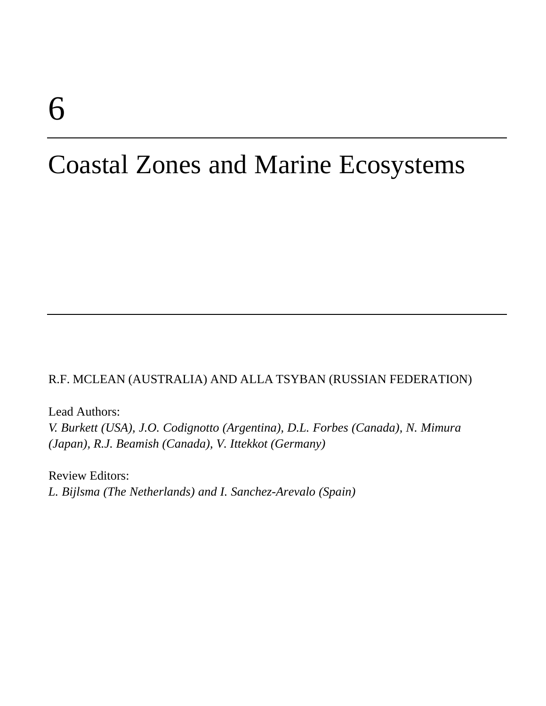# Coastal Zones and Marine Ecosystems

# R.F. MCLEAN (AUSTRALIA) AND ALLA TSYBAN (RUSSIAN FEDERATION)

Lead Authors: *V. Burkett (USA), J.O. Codignotto (Argentina), D.L. Forbes (Canada), N. Mimura (Japan), R.J. Beamish (Canada), V. Ittekkot (Germany)*

Review Editors: *L. Bijlsma (The Netherlands) and I. Sanchez-Arevalo (Spain)*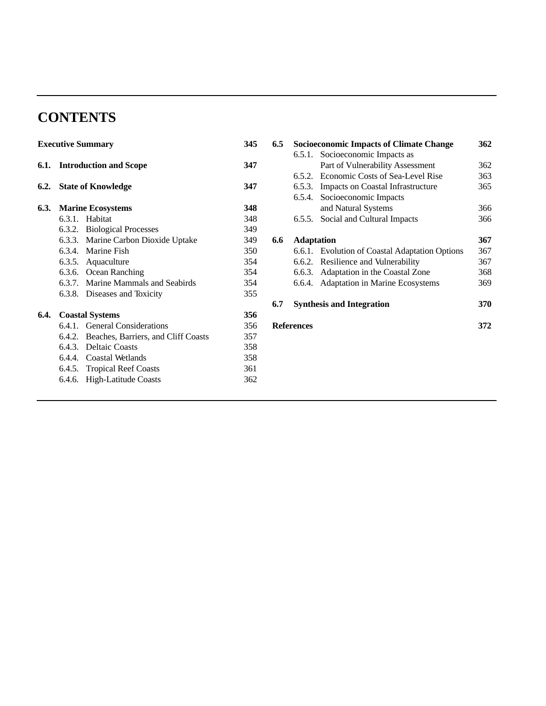# **CONTENTS**

| <b>Executive Summary</b> | 345                                |                                            |     |
|--------------------------|------------------------------------|--------------------------------------------|-----|
|                          | <b>6.1.</b> Introduction and Scope | 347                                        |     |
|                          |                                    | 6.2. State of Knowledge                    | 347 |
|                          | <b>6.3. Marine Ecosystems</b>      | 348                                        |     |
|                          |                                    | 6.3.1. Habitat                             | 348 |
|                          |                                    | 6.3.2. Biological Processes                | 349 |
|                          |                                    | 6.3.3. Marine Carbon Dioxide Uptake        | 349 |
|                          |                                    | 6.3.4. Marine Fish                         | 350 |
|                          |                                    | 6.3.5. Aquaculture                         | 354 |
|                          |                                    | 6.3.6. Ocean Ranching                      | 354 |
|                          |                                    | 6.3.7. Marine Mammals and Seabirds         | 354 |
|                          |                                    | 6.3.8. Diseases and Toxicity               | 355 |
| 6.4.                     | <b>Coastal Systems</b>             |                                            | 356 |
|                          |                                    | 6.4.1. General Considerations              | 356 |
|                          |                                    | 6.4.2. Beaches, Barriers, and Cliff Coasts | 357 |
|                          |                                    | 6.4.3. Deltaic Coasts                      | 358 |
|                          |                                    | 6.4.4. Coastal Wetlands                    | 358 |
|                          |                                    | 6.4.5. Tropical Reef Coasts                | 361 |
|                          |                                    | 6.4.6. High-Latitude Coasts                | 362 |
|                          |                                    |                                            |     |

| 6.5               |                                  | <b>Socioeconomic Impacts of Climate Change</b> | 362 |
|-------------------|----------------------------------|------------------------------------------------|-----|
|                   | 6.5.1.                           | Socioeconomic Impacts as                       |     |
|                   |                                  | Part of Vulnerability Assessment               | 362 |
|                   |                                  | 6.5.2. Economic Costs of Sea-Level Rise        | 363 |
|                   |                                  | 6.5.3. Impacts on Coastal Infrastructure       | 365 |
|                   |                                  | 6.5.4. Socioeconomic Impacts                   |     |
|                   |                                  | and Natural Systems                            | 366 |
|                   | 6.5.5.                           | Social and Cultural Impacts                    | 366 |
| 6.6               | <b>Adaptation</b>                |                                                | 367 |
|                   |                                  | 6.6.1. Evolution of Coastal Adaptation Options | 367 |
|                   |                                  | 6.6.2. Resilience and Vulnerability            | 367 |
|                   | 6.6.3.                           | Adaptation in the Coastal Zone                 | 368 |
|                   | 6.6.4.                           | <b>Adaptation in Marine Ecosystems</b>         | 369 |
| 6.7               | <b>Synthesis and Integration</b> |                                                | 370 |
| <b>References</b> |                                  |                                                | 372 |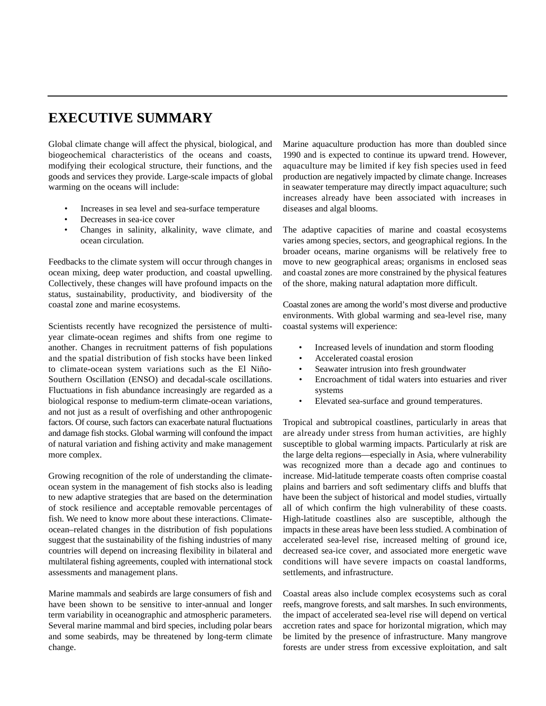# **EXECUTIVE SUMMARY**

Global climate change will affect the physical, biological, and biogeochemical characteristics of the oceans and coasts, modifying their ecological structure, their functions, and the goods and services they provide. Large-scale impacts of global warming on the oceans will include:

- Increases in sea level and sea-surface temperature
- Decreases in sea-ice cover
- Changes in salinity, alkalinity, wave climate, and ocean circulation.

Feedbacks to the climate system will occur through changes in ocean mixing, deep water production, and coastal upwelling. Collectively, these changes will have profound impacts on the status, sustainability, productivity, and biodiversity of the coastal zone and marine ecosystems.

Scientists recently have recognized the persistence of multiyear climate-ocean regimes and shifts from one regime to another. Changes in recruitment patterns of fish populations and the spatial distribution of fish stocks have been linked to climate-ocean system variations such as the El Niño-Southern Oscillation (ENSO) and decadal-scale oscillations. Fluctuations in fish abundance increasingly are regarded as a biological response to medium-term climate-ocean variations, and not just as a result of overfishing and other anthropogenic factors. Of course, such factors can exacerbate natural fluctuations and damage fish stocks. Global warming will confound the impact of natural variation and fishing activity and make management more complex.

Growing recognition of the role of understanding the climateocean system in the management of fish stocks also is leading to new adaptive strategies that are based on the determination of stock resilience and acceptable removable percentages of fish. We need to know more about these interactions. Climateocean–related changes in the distribution of fish populations suggest that the sustainability of the fishing industries of many countries will depend on increasing flexibility in bilateral and multilateral fishing agreements, coupled with international stock assessments and management plans.

Marine mammals and seabirds are large consumers of fish and have been shown to be sensitive to inter-annual and longer term variability in oceanographic and atmospheric parameters. Several marine mammal and bird species, including polar bears and some seabirds, may be threatened by long-term climate change.

Marine aquaculture production has more than doubled since 1990 and is expected to continue its upward trend. However, aquaculture may be limited if key fish species used in feed production are negatively impacted by climate change. Increases in seawater temperature may directly impact aquaculture; such increases already have been associated with increases in diseases and algal blooms.

The adaptive capacities of marine and coastal ecosystems varies among species, sectors, and geographical regions. In the broader oceans, marine organisms will be relatively free to move to new geographical areas; organisms in enclosed seas and coastal zones are more constrained by the physical features of the shore, making natural adaptation more difficult.

Coastal zones are among the world's most diverse and productive environments. With global warming and sea-level rise, many coastal systems will experience:

- Increased levels of inundation and storm flooding
- Accelerated coastal erosion
- Seawater intrusion into fresh groundwater
- Encroachment of tidal waters into estuaries and river systems
- Elevated sea-surface and ground temperatures.

Tropical and subtropical coastlines, particularly in areas that are already under stress from human activities, are highly susceptible to global warming impacts. Particularly at risk are the large delta regions—especially in Asia, where vulnerability was recognized more than a decade ago and continues to increase. Mid-latitude temperate coasts often comprise coastal plains and barriers and soft sedimentary cliffs and bluffs that have been the subject of historical and model studies, virtually all of which confirm the high vulnerability of these coasts. High-latitude coastlines also are susceptible, although the impacts in these areas have been less studied. A combination of accelerated sea-level rise, increased melting of ground ice, decreased sea-ice cover, and associated more energetic wave conditions will have severe impacts on coastal landforms, settlements, and infrastructure.

Coastal areas also include complex ecosystems such as coral reefs, mangrove forests, and salt marshes. In such environments, the impact of accelerated sea-level rise will depend on vertical accretion rates and space for horizontal migration, which may be limited by the presence of infrastructure. Many mangrove forests are under stress from excessive exploitation, and salt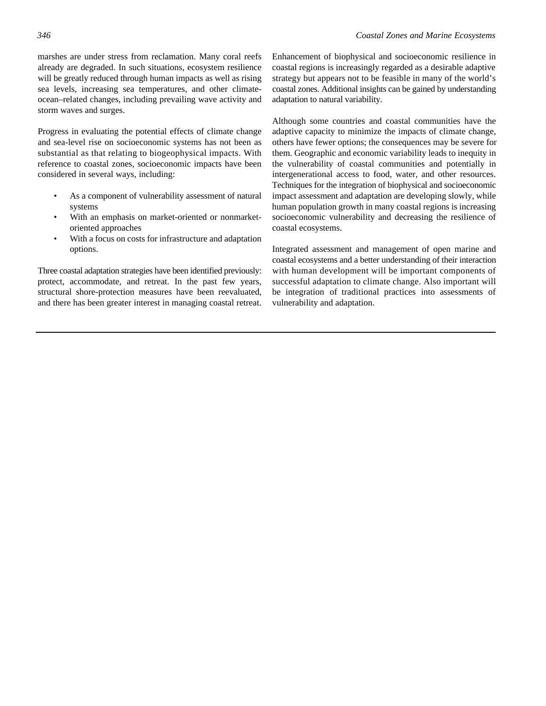marshes are under stress from reclamation. Many coral reefs already are degraded. In such situations, ecosystem resilience will be greatly reduced through human impacts as well as rising sea levels, increasing sea temperatures, and other climateocean–related changes, including prevailing wave activity and storm waves and surges.

Progress in evaluating the potential effects of climate change and sea-level rise on socioeconomic systems has not been as substantial as that relating to biogeophysical impacts. With reference to coastal zones, socioeconomic impacts have been considered in several ways, including:

- As a component of vulnerability assessment of natural systems
- With an emphasis on market-oriented or nonmarketoriented approaches
- With a focus on costs for infrastructure and adaptation options.

Three coastal adaptation strategies have been identified previously: protect, accommodate, and retreat. In the past few years, structural shore-protection measures have been reevaluated, and there has been greater interest in managing coastal retreat. Enhancement of biophysical and socioeconomic resilience in coastal regions is increasingly regarded as a desirable adaptive strategy but appears not to be feasible in many of the world's coastal zones. Additional insights can be gained by understanding adaptation to natural variability.

Although some countries and coastal communities have the adaptive capacity to minimize the impacts of climate change, others have fewer options; the consequences may be severe for them. Geographic and economic variability leads to inequity in the vulnerability of coastal communities and potentially in intergenerational access to food, water, and other resources. Techniques for the integration of biophysical and socioeconomic impact assessment and adaptation are developing slowly, while human population growth in many coastal regions is increasing socioeconomic vulnerability and decreasing the resilience of coastal ecosystems.

Integrated assessment and management of open marine and coastal ecosystems and a better understanding of their interaction with human development will be important components of successful adaptation to climate change. Also important will be integration of traditional practices into assessments of vulnerability and adaptation.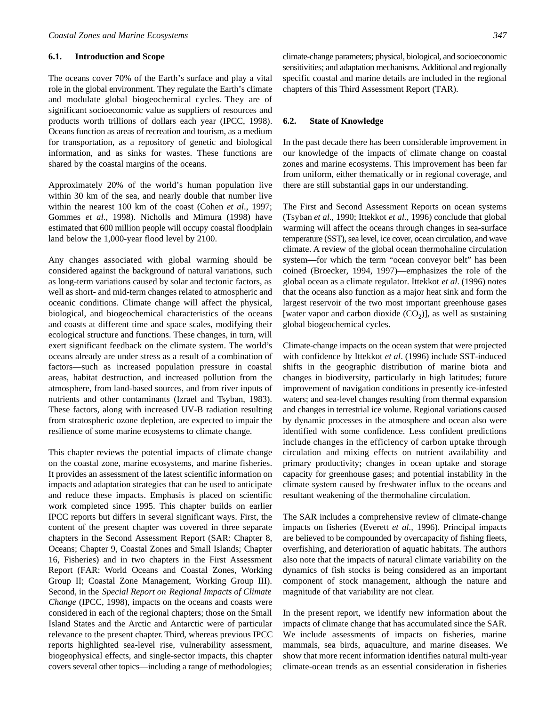# **6.1. Introduction and Scope**

The oceans cover 70% of the Earth's surface and play a vital role in the global environment. They regulate the Earth's climate and modulate global biogeochemical cycles. They are of significant socioeconomic value as suppliers of resources and products worth trillions of dollars each year (IPCC, 1998). Oceans function as areas of recreation and tourism, as a medium for transportation, as a repository of genetic and biological information, and as sinks for wastes. These functions are shared by the coastal margins of the oceans.

Approximately 20% of the world's human population live within 30 km of the sea, and nearly double that number live within the nearest 100 km of the coast (Cohen *et al*., 1997; Gommes *et al*., 1998). Nicholls and Mimura (1998) have estimated that 600 million people will occupy coastal floodplain land below the 1,000-year flood level by 2100.

Any changes associated with global warming should be considered against the background of natural variations, such as long-term variations caused by solar and tectonic factors, as well as short- and mid-term changes related to atmospheric and oceanic conditions. Climate change will affect the physical, biological, and biogeochemical characteristics of the oceans and coasts at different time and space scales, modifying their ecological structure and functions. These changes, in turn, will exert significant feedback on the climate system. The world's oceans already are under stress as a result of a combination of factors—such as increased population pressure in coastal areas, habitat destruction, and increased pollution from the atmosphere, from land-based sources, and from river inputs of nutrients and other contaminants (Izrael and Tsyban, 1983). These factors, along with increased UV-B radiation resulting from stratospheric ozone depletion, are expected to impair the resilience of some marine ecosystems to climate change.

This chapter reviews the potential impacts of climate change on the coastal zone, marine ecosystems, and marine fisheries. It provides an assessment of the latest scientific information on impacts and adaptation strategies that can be used to anticipate and reduce these impacts. Emphasis is placed on scientific work completed since 1995. This chapter builds on earlier IPCC reports but differs in several significant ways. First, the content of the present chapter was covered in three separate chapters in the Second Assessment Report (SAR: Chapter 8, Oceans; Chapter 9, Coastal Zones and Small Islands; Chapter 16, Fisheries) and in two chapters in the First Assessment Report (FAR: World Oceans and Coastal Zones, Working Group II; Coastal Zone Management, Working Group III). Second, in the *Special Report on Regional Impacts of Climate Change* (IPCC, 1998), impacts on the oceans and coasts were considered in each of the regional chapters; those on the Small Island States and the Arctic and Antarctic were of particular relevance to the present chapter. Third, whereas previous IPCC reports highlighted sea-level rise, vulnerability assessment, biogeophysical effects, and single-sector impacts, this chapter covers several other topics—including a range of methodologies;

climate-change parameters; physical, biological, and socioeconomic sensitivities; and adaptation mechanisms. Additional and regionally specific coastal and marine details are included in the regional chapters of this Third Assessment Report (TAR).

#### **6.2. State of Knowledge**

In the past decade there has been considerable improvement in our knowledge of the impacts of climate change on coastal zones and marine ecosystems. This improvement has been far from uniform, either thematically or in regional coverage, and there are still substantial gaps in our understanding.

The First and Second Assessment Reports on ocean systems (Tsyban *et al.*, 1990; Ittekkot *et al.*, 1996) conclude that global warming will affect the oceans through changes in sea-surface temperature (SST), sea level, ice cover, ocean circulation, and wave climate. A review of the global ocean thermohaline circulation system—for which the term "ocean conveyor belt" has been coined (Broecker, 1994, 1997)—emphasizes the role of the global ocean as a climate regulator. Ittekkot *et al*. (1996) notes that the oceans also function as a major heat sink and form the largest reservoir of the two most important greenhouse gases [water vapor and carbon dioxide  $(CO<sub>2</sub>)$ ], as well as sustaining global biogeochemical cycles.

Climate-change impacts on the ocean system that were projected with confidence by Ittekkot *et al*. (1996) include SST-induced shifts in the geographic distribution of marine biota and changes in biodiversity, particularly in high latitudes; future improvement of navigation conditions in presently ice-infested waters; and sea-level changes resulting from thermal expansion and changes in terrestrial ice volume. Regional variations caused by dynamic processes in the atmosphere and ocean also were identified with some confidence. Less confident predictions include changes in the efficiency of carbon uptake through circulation and mixing effects on nutrient availability and primary productivity; changes in ocean uptake and storage capacity for greenhouse gases; and potential instability in the climate system caused by freshwater influx to the oceans and resultant weakening of the thermohaline circulation.

The SAR includes a comprehensive review of climate-change impacts on fisheries (Everett *et al.,* 1996). Principal impacts are believed to be compounded by overcapacity of fishing fleets, overfishing, and deterioration of aquatic habitats. The authors also note that the impacts of natural climate variability on the dynamics of fish stocks is being considered as an important component of stock management, although the nature and magnitude of that variability are not clear.

In the present report, we identify new information about the impacts of climate change that has accumulated since the SAR. We include assessments of impacts on fisheries, marine mammals, sea birds, aquaculture, and marine diseases. We show that more recent information identifies natural multi-year climate-ocean trends as an essential consideration in fisheries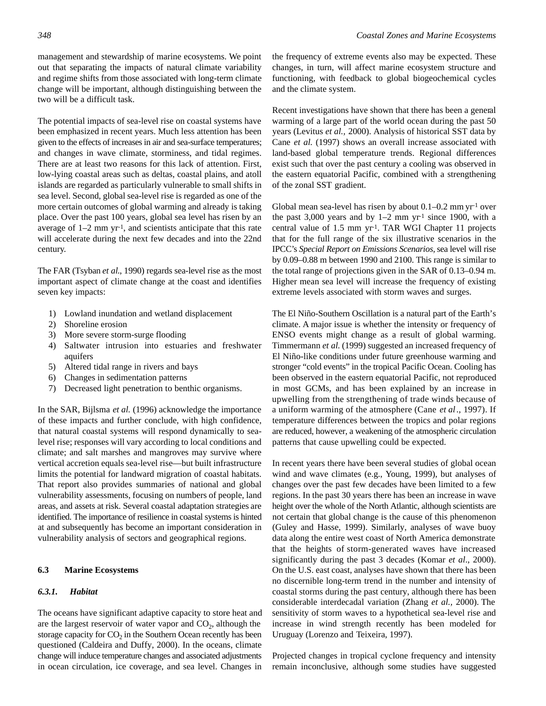management and stewardship of marine ecosystems. We point out that separating the impacts of natural climate variability and regime shifts from those associated with long-term climate change will be important, although distinguishing between the two will be a difficult task.

The potential impacts of sea-level rise on coastal systems have been emphasized in recent years. Much less attention has been given to the effects of increases in air and sea-surface temperatures; and changes in wave climate, storminess, and tidal regimes. There are at least two reasons for this lack of attention. First, low-lying coastal areas such as deltas, coastal plains, and atoll islands are regarded as particularly vulnerable to small shifts in sea level. Second, global sea-level rise is regarded as one of the more certain outcomes of global warming and already is taking place. Over the past 100 years, global sea level has risen by an average of  $1-2$  mm yr<sup>-1</sup>, and scientists anticipate that this rate will accelerate during the next few decades and into the 22nd century.

The FAR (Tsyban *et al*., 1990) regards sea-level rise as the most important aspect of climate change at the coast and identifies seven key impacts:

- 1) Lowland inundation and wetland displacement
- 2) Shoreline erosion
- 3) More severe storm-surge flooding
- 4) Saltwater intrusion into estuaries and freshwater aquifers
- 5) Altered tidal range in rivers and bays
- 6) Changes in sedimentation patterns
- 7) Decreased light penetration to benthic organisms.

In the SAR, Bijlsma *et al.* (1996) acknowledge the importance of these impacts and further conclude, with high confidence, that natural coastal systems will respond dynamically to sealevel rise; responses will vary according to local conditions and climate; and salt marshes and mangroves may survive where vertical accretion equals sea-level rise—but built infrastructure limits the potential for landward migration of coastal habitats. That report also provides summaries of national and global vulnerability assessments, focusing on numbers of people, land areas, and assets at risk. Several coastal adaptation strategies are identified. The importance of resilience in coastal systems is hinted at and subsequently has become an important consideration in vulnerability analysis of sectors and geographical regions.

#### **6.3 Marine Ecosystems**

#### *6.3.1. Habitat*

The oceans have significant adaptive capacity to store heat and are the largest reservoir of water vapor and  $CO<sub>2</sub>$ , although the storage capacity for  $CO<sub>2</sub>$  in the Southern Ocean recently has been questioned (Caldeira and Duffy, 2000). In the oceans, climate change will induce temperature changes and associated adjustments in ocean circulation, ice coverage, and sea level. Changes in the frequency of extreme events also may be expected. These changes, in turn, will affect marine ecosystem structure and functioning, with feedback to global biogeochemical cycles and the climate system.

Recent investigations have shown that there has been a general warming of a large part of the world ocean during the past 50 years (Levitus *et al.,* 2000). Analysis of historical SST data by Cane *et al*. (1997) shows an overall increase associated with land-based global temperature trends. Regional differences exist such that over the past century a cooling was observed in the eastern equatorial Pacific, combined with a strengthening of the zonal SST gradient.

Global mean sea-level has risen by about  $0.1-0.2$  mm yr<sup>-1</sup> over the past 3,000 years and by  $1-2$  mm yr<sup>1</sup> since 1900, with a central value of  $1.5$  mm yr<sup>1</sup>. TAR WGI Chapter 11 projects that for the full range of the six illustrative scenarios in the IPCC's *Special Report on Emissions Scenarios*, sea level will rise by 0.09–0.88 m between 1990 and 2100. This range is similar to the total range of projections given in the SAR of 0.13–0.94 m. Higher mean sea level will increase the frequency of existing extreme levels associated with storm waves and surges.

The El Niño-Southern Oscillation is a natural part of the Earth's climate. A major issue is whether the intensity or frequency of ENSO events might change as a result of global warming. Timmermann *et al*. (1999) suggested an increased frequency of El Niño-like conditions under future greenhouse warming and stronger "cold events" in the tropical Pacific Ocean. Cooling has been observed in the eastern equatorial Pacific, not reproduced in most GCMs, and has been explained by an increase in upwelling from the strengthening of trade winds because of a uniform warming of the atmosphere (Cane *et al*., 1997). If temperature differences between the tropics and polar regions are reduced, however, a weakening of the atmospheric circulation patterns that cause upwelling could be expected.

In recent years there have been several studies of global ocean wind and wave climates (e.g., Young, 1999), but analyses of changes over the past few decades have been limited to a few regions. In the past 30 years there has been an increase in wave height over the whole of the North Atlantic, although scientists are not certain that global change is the cause of this phenomenon (Guley and Hasse, 1999). Similarly, analyses of wave buoy data along the entire west coast of North America demonstrate that the heights of storm-generated waves have increased significantly during the past 3 decades (Komar *et al.*, 2000). On the U.S. east coast, analyses have shown that there has been no discernible long-term trend in the number and intensity of coastal storms during the past century, although there has been considerable interdecadal variation (Zhang *et al.,* 2000). The sensitivity of storm waves to a hypothetical sea-level rise and increase in wind strength recently has been modeled for Uruguay (Lorenzo and Teixeira, 1997).

Projected changes in tropical cyclone frequency and intensity remain inconclusive, although some studies have suggested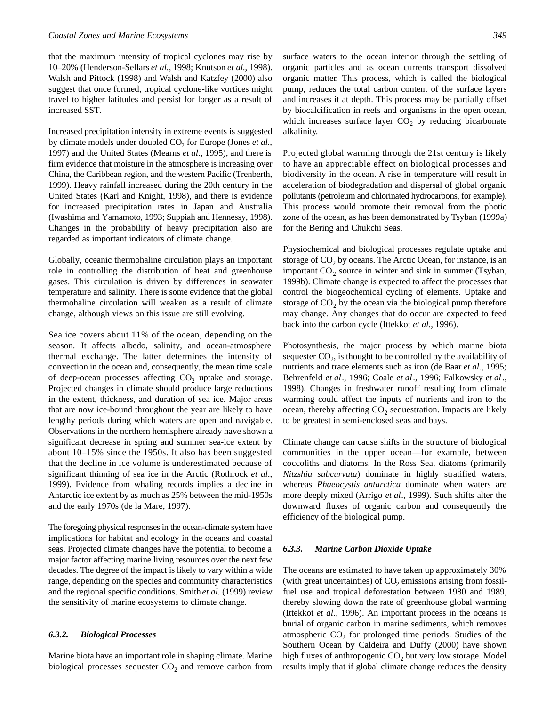#### *Coastal Zones and Marine Ecosystems 349*

that the maximum intensity of tropical cyclones may rise by 10–20% (Henderson-Sellars *et al.,* 1998; Knutson *et al*., 1998). Walsh and Pittock (1998) and Walsh and Katzfey (2000) also suggest that once formed, tropical cyclone-like vortices might travel to higher latitudes and persist for longer as a result of increased SST.

Increased precipitation intensity in extreme events is suggested by climate models under doubled CO<sub>2</sub> for Europe (Jones *et al.*, 1997) and the United States (Mearns *et al*., 1995), and there is firm evidence that moisture in the atmosphere is increasing over China, the Caribbean region, and the western Pacific (Trenberth, 1999). Heavy rainfall increased during the 20th century in the United States (Karl and Knight, 1998), and there is evidence for increased precipitation rates in Japan and Australia (Iwashima and Yamamoto, 1993; Suppiah and Hennessy, 1998). Changes in the probability of heavy precipitation also are regarded as important indicators of climate change.

Globally, oceanic thermohaline circulation plays an important role in controlling the distribution of heat and greenhouse gases. This circulation is driven by differences in seawater temperature and salinity. There is some evidence that the global thermohaline circulation will weaken as a result of climate change, although views on this issue are still evolving.

Sea ice covers about 11% of the ocean, depending on the season. It affects albedo, salinity, and ocean-atmosphere thermal exchange. The latter determines the intensity of convection in the ocean and, consequently, the mean time scale of deep-ocean processes affecting  $CO<sub>2</sub>$  uptake and storage. Projected changes in climate should produce large reductions in the extent, thickness, and duration of sea ice. Major areas that are now ice-bound throughout the year are likely to have lengthy periods during which waters are open and navigable. Observations in the northern hemisphere already have shown a significant decrease in spring and summer sea-ice extent by about 10–15% since the 1950s. It also has been suggested that the decline in ice volume is underestimated because of significant thinning of sea ice in the Arctic (Rothrock *et al.*, 1999). Evidence from whaling records implies a decline in Antarctic ice extent by as much as 25% between the mid-1950s and the early 1970s (de la Mare, 1997).

The foregoing physical responses in the ocean-climate system have implications for habitat and ecology in the oceans and coastal seas. Projected climate changes have the potential to become a major factor affecting marine living resources over the next few decades. The degree of the impact is likely to vary within a wide range, depending on the species and community characteristics and the regional specific conditions. Smith *et al.* (1999) review the sensitivity of marine ecosystems to climate change.

#### *6.3.2. Biological Processes*

Marine biota have an important role in shaping climate. Marine biological processes sequester  $CO<sub>2</sub>$  and remove carbon from

surface waters to the ocean interior through the settling of organic particles and as ocean currents transport dissolved organic matter. This process, which is called the biological pump, reduces the total carbon content of the surface layers and increases it at depth. This process may be partially offset by biocalcification in reefs and organisms in the open ocean, which increases surface layer  $CO<sub>2</sub>$  by reducing bicarbonate alkalinity.

Projected global warming through the 21st century is likely to have an appreciable effect on biological processes and biodiversity in the ocean. A rise in temperature will result in acceleration of biodegradation and dispersal of global organic pollutants (petroleum and chlorinated hydrocarbons, for example). This process would promote their removal from the photic zone of the ocean, as has been demonstrated by Tsyban (1999a) for the Bering and Chukchi Seas.

Physiochemical and biological processes regulate uptake and storage of  $CO<sub>2</sub>$  by oceans. The Arctic Ocean, for instance, is an important  $CO_2$  source in winter and sink in summer (Tsyban, 1999b). Climate change is expected to affect the processes that control the biogeochemical cycling of elements. Uptake and storage of  $CO<sub>2</sub>$  by the ocean via the biological pump therefore may change. Any changes that do occur are expected to feed back into the carbon cycle (Ittekkot *et al*., 1996).

Photosynthesis, the major process by which marine biota sequester  $CO<sub>2</sub>$ , is thought to be controlled by the availability of nutrients and trace elements such as iron (de Baar *et al*., 1995; Behrenfeld *et al*., 1996; Coale *et al*., 1996; Falkowsky *et al*., 1998). Changes in freshwater runoff resulting from climate warming could affect the inputs of nutrients and iron to the ocean, thereby affecting  $CO<sub>2</sub>$  sequestration. Impacts are likely to be greatest in semi-enclosed seas and bays.

Climate change can cause shifts in the structure of biological communities in the upper ocean—for example, between coccoliths and diatoms. In the Ross Sea, diatoms (primarily *Nitzshia subcurvata*) dominate in highly stratified waters, whereas *Phaeocystis antarctica* dominate when waters are more deeply mixed (Arrigo *et al*., 1999). Such shifts alter the downward fluxes of organic carbon and consequently the efficiency of the biological pump.

#### *6.3.3. Marine Carbon Dioxide Uptake*

The oceans are estimated to have taken up approximately 30% (with great uncertainties) of  $CO<sub>2</sub>$  emissions arising from fossilfuel use and tropical deforestation between 1980 and 1989, thereby slowing down the rate of greenhouse global warming (Ittekkot *et al*., 1996). An important process in the oceans is burial of organic carbon in marine sediments, which removes atmospheric  $CO<sub>2</sub>$  for prolonged time periods. Studies of the Southern Ocean by Caldeira and Duffy (2000) have shown high fluxes of anthropogenic  $CO<sub>2</sub>$  but very low storage. Model results imply that if global climate change reduces the density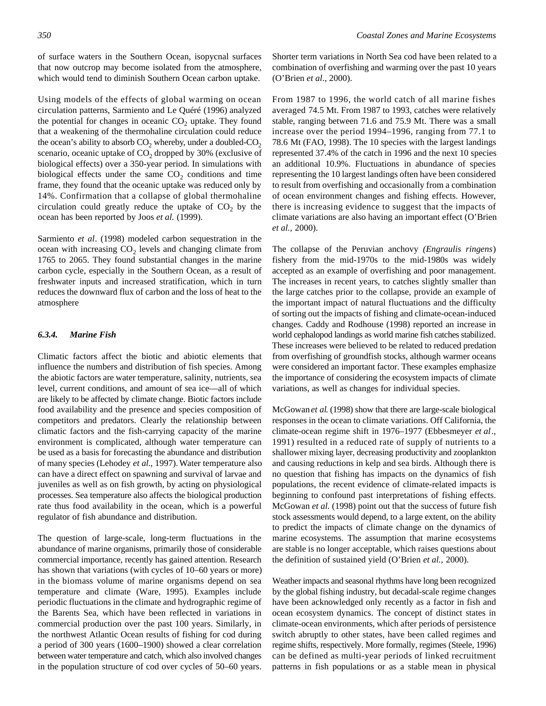of surface waters in the Southern Ocean, isopycnal surfaces that now outcrop may become isolated from the atmosphere, which would tend to diminish Southern Ocean carbon uptake.

Using models of the effects of global warming on ocean circulation patterns, Sarmiento and Le Quéré (1996) analyzed the potential for changes in oceanic  $CO<sub>2</sub>$  uptake. They found that a weakening of the thermohaline circulation could reduce the ocean's ability to absorb  $CO<sub>2</sub>$  whereby, under a doubled- $CO<sub>2</sub>$ scenario, oceanic uptake of  $CO<sub>2</sub>$  dropped by 30% (exclusive of biological effects) over a 350-year period. In simulations with biological effects under the same  $CO<sub>2</sub>$  conditions and time frame, they found that the oceanic uptake was reduced only by 14%. Confirmation that a collapse of global thermohaline circulation could greatly reduce the uptake of  $CO<sub>2</sub>$  by the ocean has been reported by Joos *et al.* (1999).

Sarmiento *et al*. (1998) modeled carbon sequestration in the ocean with increasing  $CO<sub>2</sub>$  levels and changing climate from 1765 to 2065. They found substantial changes in the marine carbon cycle, especially in the Southern Ocean, as a result of freshwater inputs and increased stratification, which in turn reduces the downward flux of carbon and the loss of heat to the atmosphere

#### *6.3.4. Marine Fish*

Climatic factors affect the biotic and abiotic elements that influence the numbers and distribution of fish species. Among the abiotic factors are water temperature, salinity, nutrients, sea level, current conditions, and amount of sea ice—all of which are likely to be affected by climate change. Biotic factors include food availability and the presence and species composition of competitors and predators. Clearly the relationship between climatic factors and the fish-carrying capacity of the marine environment is complicated, although water temperature can be used as a basis for forecasting the abundance and distribution of many species (Lehodey *et al*., 1997). Water temperature also can have a direct effect on spawning and survival of larvae and juveniles as well as on fish growth, by acting on physiological processes. Sea temperature also affects the biological production rate thus food availability in the ocean, which is a powerful regulator of fish abundance and distribution.

The question of large-scale, long-term fluctuations in the abundance of marine organisms, primarily those of considerable commercial importance, recently has gained attention. Research has shown that variations (with cycles of 10–60 years or more) in the biomass volume of marine organisms depend on sea temperature and climate (Ware, 1995). Examples include periodic fluctuations in the climate and hydrographic regime of the Barents Sea, which have been reflected in variations in commercial production over the past 100 years. Similarly, in the northwest Atlantic Ocean results of fishing for cod during a period of 300 years (1600–1900) showed a clear correlation between water temperature and catch, which also involved changes in the population structure of cod over cycles of 50–60 years.

Shorter term variations in North Sea cod have been related to a combination of overfishing and warming over the past 10 years (O'Brien *et al*., 2000).

From 1987 to 1996, the world catch of all marine fishes averaged 74.5 Mt. From 1987 to 1993, catches were relatively stable, ranging between 71.6 and 75.9 Mt. There was a small increase over the period 1994–1996, ranging from 77.1 to 78.6 Mt (FAO, 1998). The 10 species with the largest landings represented 37.4% of the catch in 1996 and the next 10 species an additional 10.9%. Fluctuations in abundance of species representing the 10 largest landings often have been considered to result from overfishing and occasionally from a combination of ocean environment changes and fishing effects. However, there is increasing evidence to suggest that the impacts of climate variations are also having an important effect (O'Brien *et al.,* 2000).

The collapse of the Peruvian anchovy *(Engraulis ringens*) fishery from the mid-1970s to the mid-1980s was widely accepted as an example of overfishing and poor management. The increases in recent years, to catches slightly smaller than the large catches prior to the collapse, provide an example of the important impact of natural fluctuations and the difficulty of sorting out the impacts of fishing and climate-ocean-induced changes. Caddy and Rodhouse (1998) reported an increase in world cephalopod landings as world marine fish catches stabilized. These increases were believed to be related to reduced predation from overfishing of groundfish stocks, although warmer oceans were considered an important factor. These examples emphasize the importance of considering the ecosystem impacts of climate variations, as well as changes for individual species.

McGowan *et al*. (1998) show that there are large-scale biological responses in the ocean to climate variations. Off California, the climate-ocean regime shift in 1976–1977 (Ebbesmeyer *et al*., 1991) resulted in a reduced rate of supply of nutrients to a shallower mixing layer, decreasing productivity and zooplankton and causing reductions in kelp and sea birds. Although there is no question that fishing has impacts on the dynamics of fish populations, the recent evidence of climate-related impacts is beginning to confound past interpretations of fishing effects. McGowan *et al.* (1998) point out that the success of future fish stock assessments would depend, to a large extent, on the ability to predict the impacts of climate change on the dynamics of marine ecosystems. The assumption that marine ecosystems are stable is no longer acceptable, which raises questions about the definition of sustained yield (O'Brien *et al.,* 2000).

Weather impacts and seasonal rhythms have long been recognized by the global fishing industry, but decadal-scale regime changes have been acknowledged only recently as a factor in fish and ocean ecosystem dynamics. The concept of distinct states in climate-ocean environments, which after periods of persistence switch abruptly to other states, have been called regimes and regime shifts, respectively. More formally, regimes (Steele, 1996) can be defined as multi-year periods of linked recruitment patterns in fish populations or as a stable mean in physical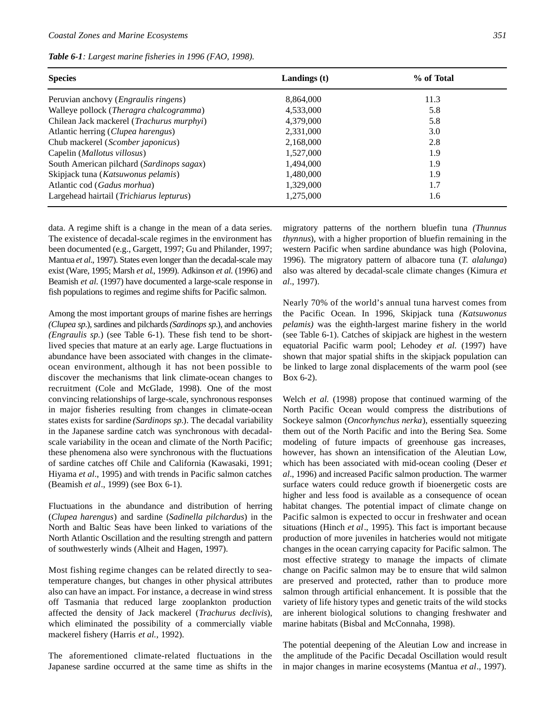| Table 6-1: Largest marine fisheries in 1996 (FAO, 1998). |  |  |  |
|----------------------------------------------------------|--|--|--|
|----------------------------------------------------------|--|--|--|

| <b>Species</b>                                | Landings $(t)$ | % of Total |  |
|-----------------------------------------------|----------------|------------|--|
| Peruvian anchovy ( <i>Engraulis ringens</i> ) | 8,864,000      | 11.3       |  |
| Walleye pollock (Theragra chalcogramma)       | 4,533,000      | 5.8        |  |
| Chilean Jack mackerel (Trachurus murphyi)     | 4,379,000      | 5.8        |  |
| Atlantic herring (Clupea harengus)            | 2,331,000      | 3.0        |  |
| Chub mackerel (Scomber japonicus)             | 2,168,000      | 2.8        |  |
| Capelin (Mallotus villosus)                   | 1,527,000      | 1.9        |  |
| South American pilchard (Sardinops sagax)     | 1,494,000      | 1.9        |  |
| Skipjack tuna (Katsuwonus pelamis)            | 1,480,000      | 1.9        |  |
| Atlantic cod (Gadus morhua)                   | 1,329,000      | 1.7        |  |
| Largehead hairtail (Trichiarus lepturus)      | 1,275,000      | 1.6        |  |

data. A regime shift is a change in the mean of a data series. The existence of decadal-scale regimes in the environment has been documented (e.g., Gargett, 1997; Gu and Philander, 1997; Mantua *et al*., 1997). States even longer than the decadal-scale may exist (Ware, 1995; Marsh *et al*., 1999). Adkinson *et al.* (1996) and Beamish *et al.* (1997) have documented a large-scale response in fish populations to regimes and regime shifts for Pacific salmon.

Among the most important groups of marine fishes are herrings *(Clupea sp.)*, sardines and pilchards *(Sardinops sp.)*, and anchovies *(Engraulis sp.*) (see Table 6-1). These fish tend to be shortlived species that mature at an early age. Large fluctuations in abundance have been associated with changes in the climateocean environment, although it has not been possible to discover the mechanisms that link climate-ocean changes to recruitment (Cole and McGlade, 1998). One of the most convincing relationships of large-scale, synchronous responses in major fisheries resulting from changes in climate-ocean states exists for sardine *(Sardinops sp.)*. The decadal variability in the Japanese sardine catch was synchronous with decadalscale variability in the ocean and climate of the North Pacific; these phenomena also were synchronous with the fluctuations of sardine catches off Chile and California (Kawasaki, 1991; Hiyama *et al*., 1995) and with trends in Pacific salmon catches (Beamish *et al*., 1999) (see Box 6-1).

Fluctuations in the abundance and distribution of herring (*Clupea harengus*) and sardine (*Sadinella pilchardus*) in the North and Baltic Seas have been linked to variations of the North Atlantic Oscillation and the resulting strength and pattern of southwesterly winds (Alheit and Hagen, 1997).

Most fishing regime changes can be related directly to seatemperature changes, but changes in other physical attributes also can have an impact. For instance, a decrease in wind stress o ff Tasmania that reduced large zooplankton production affected the density of Jack mackerel (*Trachurus declivis*), which eliminated the possibility of a commercially viable mackerel fishery (Harris *et al.,* 1992).

The aforementioned climate-related fluctuations in the Japanese sardine occurred at the same time as shifts in the

migratory patterns of the northern bluefin tuna *(Thunnus*) *thynnus*), with a higher proportion of bluefin remaining in the western Pacific when sardine abundance was high (Polovina, 1996). The migratory pattern of albacore tuna (*T. alalunga*) also was altered by decadal-scale climate changes (Kimura *et al*., 1997).

Nearly 70% of the world's annual tuna harvest comes from the Pacific Ocean. In 1996, Skipjack tuna *(Katsuwonus pelamis)* was the eighth-largest marine fishery in the world (see Table 6-1). Catches of skipjack are highest in the western equatorial Pacific warm pool; Lehodey *et al.* (1997) have shown that major spatial shifts in the skipjack population can be linked to large zonal displacements of the warm pool (see Box 6-2).

Welch *et al.* (1998) propose that continued warming of the North Pacific Ocean would compress the distributions of Sockeye salmon (*Oncorhynchus nerka*), essentially squeezing them out of the North Pacific and into the Bering Sea. Some modeling of future impacts of greenhouse gas increases, however, has shown an intensification of the Aleutian Low, which has been associated with mid-ocean cooling (Deser *et al.*, 1996) and increased Pacific salmon production. The warmer surface waters could reduce growth if bioenergetic costs are higher and less food is available as a consequence of ocean habitat changes. The potential impact of climate change on Pacific salmon is expected to occur in freshwater and ocean situations (Hinch *et al.*, 1995). This fact is important because production of more juveniles in hatcheries would not mitigate changes in the ocean carrying capacity for Pacific salmon. The most effective strategy to manage the impacts of climate change on Pacific salmon may be to ensure that wild salmon are preserved and protected, rather than to produce more salmon through artificial enhancement. It is possible that the variety of life history types and genetic traits of the wild stocks are inherent biological solutions to changing freshwater and marine habitats (Bisbal and McConnaha, 1998).

The potential deepening of the Aleutian Low and increase in the amplitude of the Pacific Decadal Oscillation would result in major changes in marine ecosystems (Mantua *et al*., 1997).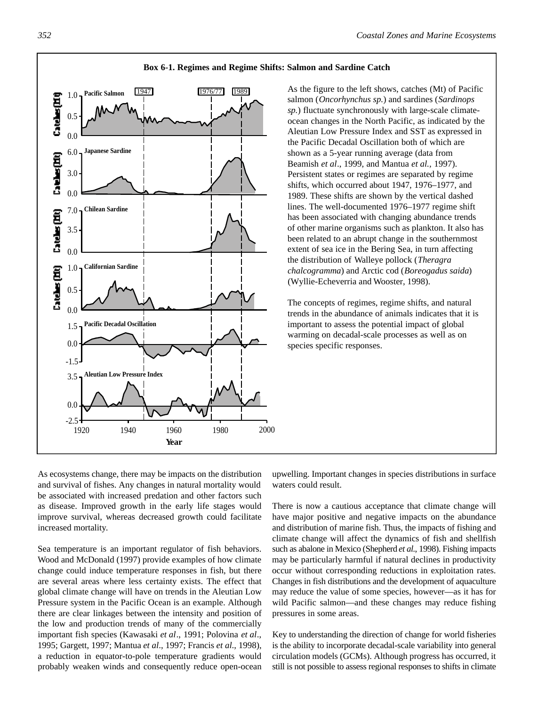

#### **Box 6-1. Regimes and Regime Shifts: Salmon and Sardine Catch**

As the figure to the left shows, catches (Mt) of Pacific salmon (*Oncorhynchus sp.*) and sardines (*Sardinops sp.*) fluctuate synchronously with large-scale climateocean changes in the North Pacific, as indicated by the Aleutian Low Pressure Index and SST as expressed in the Pacific Decadal Oscillation both of which are shown as a 5-year running average (data from Beamish *et al*., 1999, and Mantua *et al.,* 1997). Persistent states or regimes are separated by regime shifts, which occurred about 1947, 1976–1977, and 1989. These shifts are shown by the vertical dashed lines. The well-documented 1976–1977 regime shift has been associated with changing abundance trends of other marine organisms such as plankton. It also has been related to an abrupt change in the southernmost extent of sea ice in the Bering Sea, in turn affecting the distribution of Walleye pollock (*Theragra chalcogramma*) and Arctic cod (*Boreogadus saida*) (Wyllie-Echeverria and Wooster, 1998).

The concepts of regimes, regime shifts, and natural trends in the abundance of animals indicates that it is important to assess the potential impact of global warming on decadal-scale processes as well as on species specific responses.

As ecosystems change, there may be impacts on the distribution and survival of fishes. Any changes in natural mortality would be associated with increased predation and other factors such as disease. Improved growth in the early life stages would improve survival, whereas decreased growth could facilitate increased mortality.

Sea temperature is an important regulator of fish behaviors. Wood and McDonald (1997) provide examples of how climate change could induce temperature responses in fish, but there are several areas where less certainty exists. The effect that global climate change will have on trends in the Aleutian Low Pressure system in the Pacific Ocean is an example. Although there are clear linkages between the intensity and position of the low and production trends of many of the commercially important fish species (Kawasaki *et al*., 1991; Polovina *et al*., 1995; Gargett, 1997; Mantua *et al*., 1997; Francis *et al*., 1998), a reduction in equator-to-pole temperature gradients would probably weaken winds and consequently reduce open-ocean upwelling. Important changes in species distributions in surface waters could result.

There is now a cautious acceptance that climate change will have major positive and negative impacts on the abundance and distribution of marine fish. Thus, the impacts of fishing and climate change will affect the dynamics of fish and shellfish such as abalone in Mexico (Shepherd *et al*., 1998). Fishing impacts may be particularly harmful if natural declines in productivity occur without corresponding reductions in exploitation rates. Changes in fish distributions and the development of aquaculture may reduce the value of some species, however—as it has for wild Pacific salmon—and these changes may reduce fishing pressures in some areas.

Key to understanding the direction of change for world fisheries is the ability to incorporate decadal-scale variability into general circulation models (GCMs). Although progress has occurred, it still is not possible to assess regional responses to shifts in climate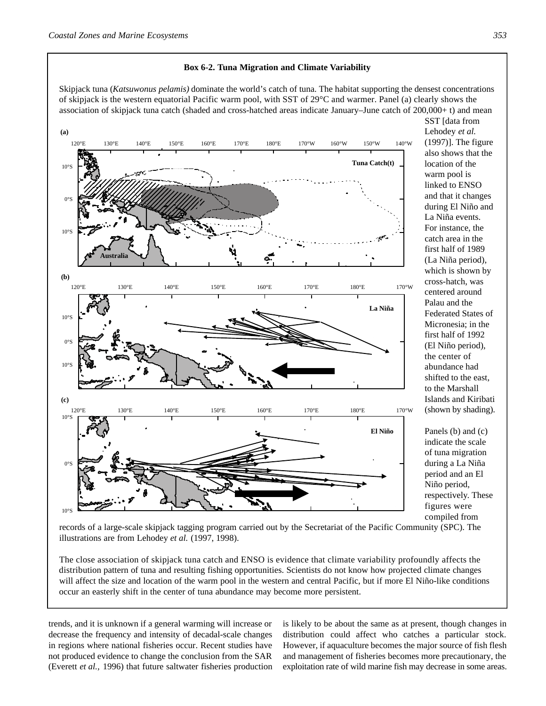

Skipjack tuna (*Katsuwonus pelamis)* dominate the world's catch of tuna. The habitat supporting the densest concentrations of skipjack is the western equatorial Pacific warm pool, with SST of 29°C and warmer. Panel (a) clearly shows the association of skipjack tuna catch (shaded and cross-hatched areas indicate January–June catch of  $200,000+$  t) and mean



SST [data from Lehodey *et al.* (1997)]. The figure also shows that the location of the warm pool is linked to ENSO and that it changes during El Niño and La Niña events. For instance, the catch area in the first half of 1989 (La Niña period), which is shown by cross-hatch, was centered around Palau and the Federated States of Micronesia; in the first half of 1992 (El Niño period), the center of abundance had shifted to the east, to the Marshall Islands and Kiribati (shown by shading).

Panels (b) and (c) indicate the scale of tuna migration during a La Niña period and an El Niño period, respectively. These figures were compiled from

records of a large-scale skipjack tagging program carried out by the Secretariat of the Pacific Community (SPC). The illustrations are from Lehodey *et al.* (1997, 1998).

The close association of skipjack tuna catch and ENSO is evidence that climate variability profoundly affects the distribution pattern of tuna and resulting fishing opportunities. Scientists do not know how projected climate changes will affect the size and location of the warm pool in the western and central Pacific, but if more El Niño-like conditions occur an easterly shift in the center of tuna abundance may become more persistent.

trends, and it is unknown if a general warming will increase or decrease the frequency and intensity of decadal-scale changes in regions where national fisheries occur. Recent studies have not produced evidence to change the conclusion from the SAR (Everett *et al.,* 1996) that future saltwater fisheries production is likely to be about the same as at present, though changes in distribution could affect who catches a particular stock. However, if aquaculture becomes the major source of fish flesh and management of fisheries becomes more precautionary, the exploitation rate of wild marine fish may decrease in some areas.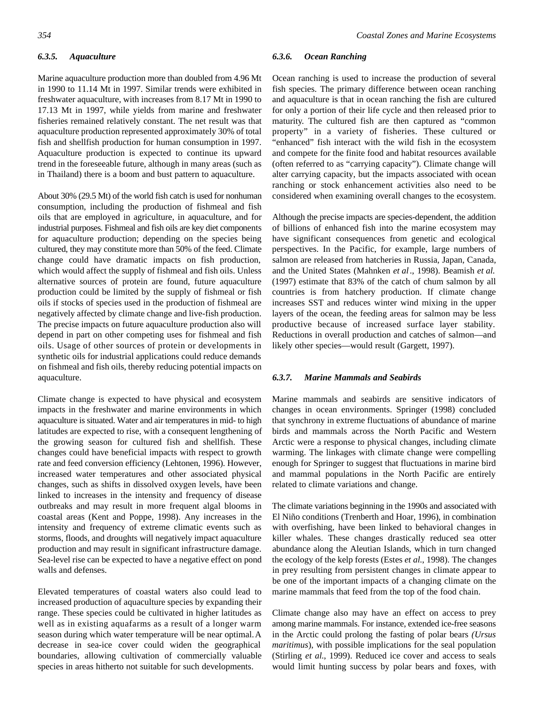#### *6.3.5. Aquaculture*

Marine aquaculture production more than doubled from 4.96 Mt in 1990 to 11.14 Mt in 1997. Similar trends were exhibited in freshwater aquaculture, with increases from 8.17 Mt in 1990 to 17.13 Mt in 1997, while yields from marine and freshwater fisheries remained relatively constant. The net result was that aquaculture production represented approximately 30% of total fish and shellfish production for human consumption in 1997. Aquaculture production is expected to continue its upward trend in the foreseeable future, although in many areas (such as in Thailand) there is a boom and bust pattern to aquaculture.

About 30% (29.5 Mt) of the world fish catch is used for nonhuman consumption, including the production of fishmeal and fish oils that are employed in agriculture, in aquaculture, and for industrial purposes. Fishmeal and fish oils are key diet components for aquaculture production; depending on the species being cultured, they may constitute more than 50% of the feed. Climate change could have dramatic impacts on fish production, which would affect the supply of fishmeal and fish oils. Unless alternative sources of protein are found, future aquaculture production could be limited by the supply of fishmeal or fish oils if stocks of species used in the production of fishmeal are negatively affected by climate change and live-fish production. The precise impacts on future aquaculture production also will depend in part on other competing uses for fishmeal and fish oils. Usage of other sources of protein or developments in synthetic oils for industrial applications could reduce demands on fishmeal and fish oils, thereby reducing potential impacts on aquaculture.

Climate change is expected to have physical and ecosystem impacts in the freshwater and marine environments in which aquaculture is situated. Water and air temperatures in mid- to high latitudes are expected to rise, with a consequent lengthening of the growing season for cultured fish and shellfish. These changes could have beneficial impacts with respect to growth rate and feed conversion efficiency (Lehtonen, 1996). However, increased water temperatures and other associated physical changes, such as shifts in dissolved oxygen levels, have been linked to increases in the intensity and frequency of disease outbreaks and may result in more frequent algal blooms in coastal areas (Kent and Poppe, 1998). Any increases in the intensity and frequency of extreme climatic events such as storms, floods, and droughts will negatively impact aquaculture production and may result in significant infrastructure damage. Sea-level rise can be expected to have a negative effect on pond walls and defenses.

Elevated temperatures of coastal waters also could lead to increased production of aquaculture species by expanding their range. These species could be cultivated in higher latitudes as well as in existing aquafarms as a result of a longer warm season during which water temperature will be near optimal. A decrease in sea-ice cover could widen the geographical boundaries, allowing cultivation of commercially valuable species in areas hitherto not suitable for such developments.

# *6.3.6. Ocean Ranching*

Ocean ranching is used to increase the production of several fish species. The primary difference between ocean ranching and aquaculture is that in ocean ranching the fish are cultured for only a portion of their life cycle and then released prior to maturity. The cultured fish are then captured as "common property" in a variety of fisheries. These cultured or "enhanced" fish interact with the wild fish in the ecosystem and compete for the finite food and habitat resources available (often referred to as "carrying capacity"). Climate change will alter carrying capacity, but the impacts associated with ocean ranching or stock enhancement activities also need to be considered when examining overall changes to the ecosystem.

Although the precise impacts are species-dependent, the addition of billions of enhanced fish into the marine ecosystem may have significant consequences from genetic and ecological perspectives. In the Pacific, for example, large numbers of salmon are released from hatcheries in Russia, Japan, Canada, and the United States (Mahnken *et al*., 1998). Beamish *et al.* (1997) estimate that 83% of the catch of chum salmon by all countries is from hatchery production. If climate change increases SST and reduces winter wind mixing in the upper layers of the ocean, the feeding areas for salmon may be less productive because of increased surface layer stability. Reductions in overall production and catches of salmon—and likely other species—would result (Gargett, 1997).

# *6.3.7. Marine Mammals and Seabirds*

Marine mammals and seabirds are sensitive indicators of changes in ocean environments. Springer (1998) concluded that synchrony in extreme fluctuations of abundance of marine birds and mammals across the North Pacific and Western Arctic were a response to physical changes, including climate warming. The linkages with climate change were compelling enough for Springer to suggest that fluctuations in marine bird and mammal populations in the North Pacific are entirely related to climate variations and change.

The climate variations beginning in the 1990s and associated with El Niño conditions (Trenberth and Hoar, 1996), in combination with overfishing, have been linked to behavioral changes in killer whales. These changes drastically reduced sea otter abundance along the Aleutian Islands, which in turn changed the ecology of the kelp forests (Estes *et al*., 1998). The changes in prey resulting from persistent changes in climate appear to be one of the important impacts of a changing climate on the marine mammals that feed from the top of the food chain.

Climate change also may have an effect on access to prey among marine mammals. For instance, extended ice-free seasons in the Arctic could prolong the fasting of polar bears *(Ursus maritimus*), with possible implications for the seal population (Stirling *et al*., 1999). Reduced ice cover and access to seals would limit hunting success by polar bears and foxes, with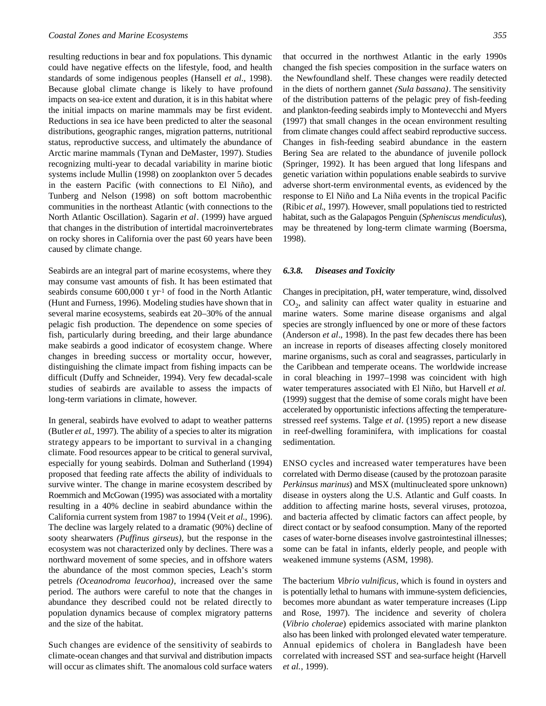resulting reductions in bear and fox populations. This dynamic could have negative effects on the lifestyle, food, and health standards of some indigenous peoples (Hansell *et al*., 1998). Because global climate change is likely to have profound impacts on sea-ice extent and duration, it is in this habitat where the initial impacts on marine mammals may be first evident. Reductions in sea ice have been predicted to alter the seasonal distributions, geographic ranges, migration patterns, nutritional status, reproductive success, and ultimately the abundance of Arctic marine mammals (Tynan and DeMaster, 1997). Studies recognizing multi-year to decadal variability in marine biotic systems include Mullin (1998) on zooplankton over 5 decades in the eastern Pacific (with connections to El Niño), and Tunberg and Nelson (1998) on soft bottom macrobenthic communities in the northeast Atlantic (with connections to the North Atlantic Oscillation). Sagarin *et al*. (1999) have argued that changes in the distribution of intertidal macroinvertebrates on rocky shores in California over the past 60 years have been caused by climate change.

Seabirds are an integral part of marine ecosystems, where they may consume vast amounts of fish. It has been estimated that seabirds consume 600,000 t yr<sup>-1</sup> of food in the North Atlantic (Hunt and Furness, 1996). Modeling studies have shown that in several marine ecosystems, seabirds eat 20–30% of the annual pelagic fish production. The dependence on some species of fish, particularly during breeding, and their large abundance make seabirds a good indicator of ecosystem change. Where changes in breeding success or mortality occur, however, distinguishing the climate impact from fishing impacts can be difficult (Duffy and Schneider, 1994). Very few decadal-scale studies of seabirds are available to assess the impacts of long-term variations in climate, however.

In general, seabirds have evolved to adapt to weather patterns (Butler *et al*., 1997). The ability of a species to alter its migration strategy appears to be important to survival in a changing climate. Food resources appear to be critical to general survival, especially for young seabirds. Dolman and Sutherland (1994) proposed that feeding rate affects the ability of individuals to survive winter. The change in marine ecosystem described by Roemmich and McGowan (1995) was associated with a mortality resulting in a 40% decline in seabird abundance within the California current system from 1987 to 1994 (Veit *et al*., 1996). The decline was largely related to a dramatic (90%) decline of sooty shearwaters *(Puffinus girseus),* but the response in the ecosystem was not characterized only by declines. There was a northward movement of some species, and in offshore waters the abundance of the most common species, Leach's storm petrels *(Oceanodroma leucorhoa)*, increased over the same period. The authors were careful to note that the changes in abundance they described could not be related directly to population dynamics because of complex migratory patterns and the size of the habitat.

Such changes are evidence of the sensitivity of seabirds to climate-ocean changes and that survival and distribution impacts will occur as climates shift. The anomalous cold surface waters

that occurred in the northwest Atlantic in the early 1990s changed the fish species composition in the surface waters on the Newfoundland shelf. These changes were readily detected in the diets of northern gannet *(Sula bassana)*. The sensitivity of the distribution patterns of the pelagic prey of fish-feeding and plankton-feeding seabirds imply to Montevecchi and Myers (1997) that small changes in the ocean environment resulting from climate changes could affect seabird reproductive success. Changes in fish-feeding seabird abundance in the eastern Bering Sea are related to the abundance of juvenile pollock (Springer, 1992). It has been argued that long lifespans and genetic variation within populations enable seabirds to survive adverse short-term environmental events, as evidenced by the response to El Niño and La Niña events in the tropical Pacific (Ribic *et al*., 1997). However, small populations tied to restricted habitat, such as the Galapagos Penguin (*Spheniscus mendiculus*) , may be threatened by long-term climate warming (Boersma, 1998).

### *6.3.8. Diseases and Toxicity*

Changes in precipitation, pH, water temperature, wind, dissolved CO<sup>2</sup> , and salinity can affect water quality in estuarine and marine waters. Some marine disease organisms and algal species are strongly influenced by one or more of these factors (Anderson *et al*., 1998). In the past few decades there has been an increase in reports of diseases affecting closely monitored marine organisms, such as coral and seagrasses, particularly in the Caribbean and temperate oceans. The worldwide increase in coral bleaching in 1997–1998 was coincident with high water temperatures associated with El Niño, but Harvell *et al.* (1999) suggest that the demise of some corals might have been accelerated by opportunistic infections affecting the temperaturestressed reef systems. Talge *et al*. (1995) report a new disease in reef-dwelling foraminifera, with implications for coastal sedimentation.

ENSO cycles and increased water temperatures have been correlated with Dermo disease (caused by the protozoan parasite *Perkinsus marinus*) and MSX (multinucleated spore unknown) disease in oysters along the U.S. Atlantic and Gulf coasts. In addition to affecting marine hosts, several viruses, protozoa, and bacteria affected by climatic factors can affect people, by direct contact or by seafood consumption. Many of the reported cases of water-borne diseases involve gastrointestinal illnesses; some can be fatal in infants, elderly people, and people with weakened immune systems (ASM, 1998).

The bacterium *Vibrio vulnificus*, which is found in oysters and is potentially lethal to humans with immune-system deficiencies, becomes more abundant as water temperature increases (Lipp and Rose, 1997). The incidence and severity of cholera (*Vibrio cholerae*) epidemics associated with marine plankton also has been linked with prolonged elevated water temperature. Annual epidemics of cholera in Bangladesh have been correlated with increased SST and sea-surface height (Harvell *et al.*, 1999).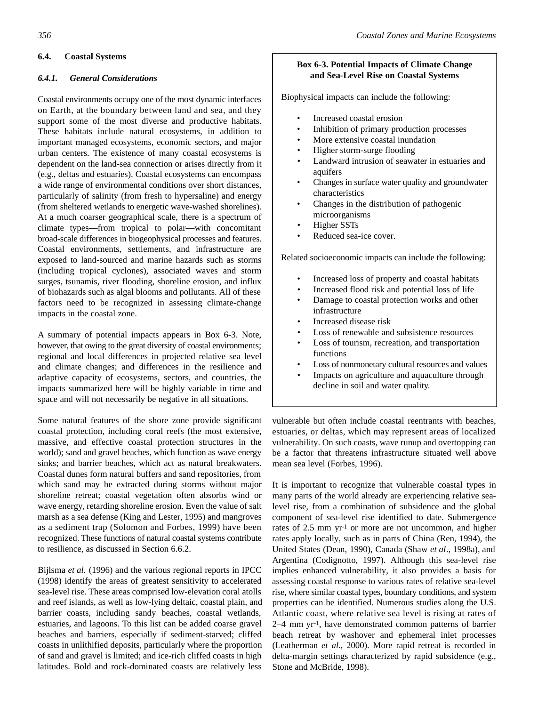# **6.4. Coastal Systems**

# *6.4.1. General Considerations*

Coastal environments occupy one of the most dynamic interfaces on Earth, at the boundary between land and sea, and they support some of the most diverse and productive habitats. These habitats include natural ecosystems, in addition to important managed ecosystems, economic sectors, and major urban centers. The existence of many coastal ecosystems is dependent on the land-sea connection or arises directly from it (e.g., deltas and estuaries). Coastal ecosystems can encompass a wide range of environmental conditions over short distances, particularly of salinity (from fresh to hypersaline) and energy (from sheltered wetlands to energetic wave-washed shorelines). At a much coarser geographical scale, there is a spectrum of climate types—from tropical to polar—with concomitant broad-scale differences in biogeophysical processes and features. Coastal environments, settlements, and infrastructure are exposed to land-sourced and marine hazards such as storms (including tropical cyclones), associated waves and storm surges, tsunamis, river flooding, shoreline erosion, and influx of biohazards such as algal blooms and pollutants. All of these factors need to be recognized in assessing climate-change impacts in the coastal zone.

A summary of potential impacts appears in Box 6-3. Note, however, that owing to the great diversity of coastal environments; regional and local differences in projected relative sea level and climate changes; and differences in the resilience and adaptive capacity of ecosystems, sectors, and countries, the impacts summarized here will be highly variable in time and space and will not necessarily be negative in all situations.

Some natural features of the shore zone provide significant coastal protection, including coral reefs (the most extensive, massive, and effective coastal protection structures in the world); sand and gravel beaches, which function as wave energy sinks; and barrier beaches, which act as natural breakwaters. Coastal dunes form natural buffers and sand repositories, from which sand may be extracted during storms without major shoreline retreat; coastal vegetation often absorbs wind or wave energy, retarding shoreline erosion. Even the value of salt marsh as a sea defense (King and Lester, 1995) and mangroves as a sediment trap (Solomon and Forbes, 1999) have been recognized. These functions of natural coastal systems contribute to resilience, as discussed in Section 6.6.2.

Bijlsma *et al.* (1996) and the various regional reports in IPCC (1998) identify the areas of greatest sensitivity to accelerated sea-level rise. These areas comprised low-elevation coral atolls and reef islands, as well as low-lying deltaic, coastal plain, and barrier coasts, including sandy beaches, coastal wetlands, estuaries, and lagoons. To this list can be added coarse gravel beaches and barriers, especially if sediment-starved; cliffed coasts in unlithified deposits, particularly where the proportion of sand and gravel is limited; and ice-rich cliffed coasts in high latitudes. Bold and rock-dominated coasts are relatively less

# **Box 6-3. Potential Impacts of Climate Change and Sea-Level Rise on Coastal Systems**

Biophysical impacts can include the following:

- Increased coastal erosion
- Inhibition of primary production processes
- More extensive coastal inundation
- Higher storm-surge flooding
- Landward intrusion of seawater in estuaries and aquifers
- Changes in surface water quality and groundwater characteristics
- Changes in the distribution of pathogenic microorganisms
- Higher SSTs
- Reduced sea-ice cover.

Related socioeconomic impacts can include the following:

- Increased loss of property and coastal habitats
- Increased flood risk and potential loss of life
- Damage to coastal protection works and other infrastructure
- Increased disease risk
- Loss of renewable and subsistence resources
- Loss of tourism, recreation, and transportation functions
- Loss of nonmonetary cultural resources and values
- Impacts on agriculture and aquaculture through decline in soil and water quality.

vulnerable but often include coastal reentrants with beaches, estuaries, or deltas, which may represent areas of localized vulnerability. On such coasts, wave runup and overtopping can be a factor that threatens infrastructure situated well above mean sea level (Forbes, 1996).

It is important to recognize that vulnerable coastal types in many parts of the world already are experiencing relative sealevel rise, from a combination of subsidence and the global component of sea-level rise identified to date. Submergence rates of  $2.5$  mm yr<sup>1</sup> or more are not uncommon, and higher rates apply locally, such as in parts of China (Ren, 1994), the United States (Dean, 1990), Canada (Shaw *et al*., 1998a), and Argentina (Codignotto, 1997). Although this sea-level rise implies enhanced vulnerability, it also provides a basis for assessing coastal response to various rates of relative sea-level rise, where similar coastal types, boundary conditions, and system properties can be identified. Numerous studies along the U.S. Atlantic coast, where relative sea level is rising at rates of 2–4 mm yr-1, have demonstrated common patterns of barrier beach retreat by washover and ephemeral inlet processes (Leatherman *et al*., 2000). More rapid retreat is recorded in delta-margin settings characterized by rapid subsidence (e.g., Stone and McBride, 1998).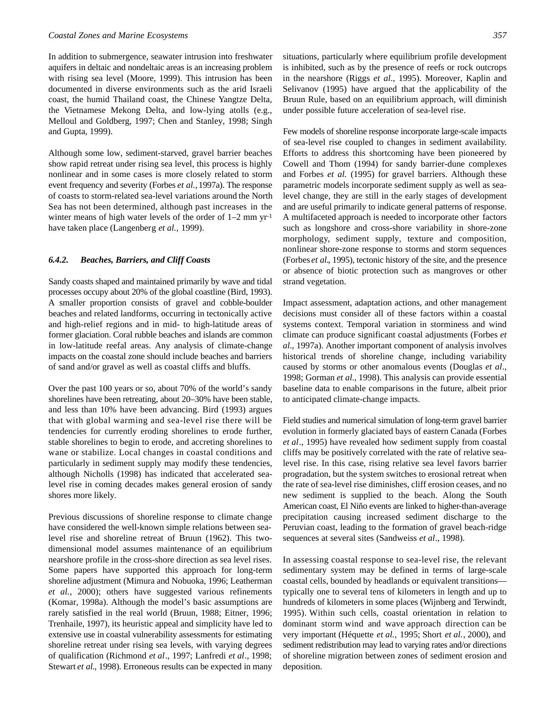In addition to submergence, seawater intrusion into freshwater aquifers in deltaic and nondeltaic areas is an increasing problem with rising sea level (Moore, 1999). This intrusion has been documented in diverse environments such as the arid Israeli coast, the humid Thailand coast, the Chinese Yangtze Delta, the Vietnamese Mekong Delta, and low-lying atolls (e.g., Melloul and Goldberg, 1997; Chen and Stanley, 1998; Singh and Gupta, 1999).

Although some low, sediment-starved, gravel barrier beaches show rapid retreat under rising sea level, this process is highly nonlinear and in some cases is more closely related to storm event frequency and severity (Forbes *et al.,*1997a). The response of coasts to storm-related sea-level variations around the North Sea has not been determined, although past increases in the winter means of high water levels of the order of 1–2 mm yr-1 have taken place (Langenberg *et al.,* 1999).

# *6.4.2. Beaches, Barriers, and Cliff Coasts*

Sandy coasts shaped and maintained primarily by wave and tidal processes occupy about 20% of the global coastline (Bird, 1993). A smaller proportion consists of gravel and cobble-boulder beaches and related landforms, occurring in tectonically active and high-relief regions and in mid- to high-latitude areas of former glaciation. Coral rubble beaches and islands are common in low-latitude reefal areas. Any analysis of climate-change impacts on the coastal zone should include beaches and barriers of sand and/or gravel as well as coastal cliffs and bluffs.

Over the past 100 years or so, about 70% of the world's sandy shorelines have been retreating, about 20–30% have been stable, and less than 10% have been advancing. Bird (1993) argues that with global warming and sea-level rise there will be tendencies for currently eroding shorelines to erode further, stable shorelines to begin to erode, and accreting shorelines to wane or stabilize. Local changes in coastal conditions and particularly in sediment supply may modify these tendencies, although Nicholls (1998) has indicated that accelerated sealevel rise in coming decades makes general erosion of sandy shores more likely.

Previous discussions of shoreline response to climate change have considered the well-known simple relations between sealevel rise and shoreline retreat of Bruun (1962). This twodimensional model assumes maintenance of an equilibrium nearshore profile in the cross-shore direction as sea level rises. Some papers have supported this approach for long-term shoreline adjustment (Mimura and Nobuoka, 1996; Leatherman *et al.*, 2000); others have suggested various refinements (Komar, 1998a). Although the model's basic assumptions are rarely satisfied in the real world (Bruun, 1988; Eitner, 1996; Trenhaile, 1997), its heuristic appeal and simplicity have led to extensive use in coastal vulnerability assessments for estimating shoreline retreat under rising sea levels, with varying degrees of qualification (Richmond *et al*., 1997; Lanfredi *et al*., 1998; Stewart *et al*., 1998). Erroneous results can be expected in many situations, particularly where equilibrium profile development is inhibited, such as by the presence of reefs or rock outcrops in the nearshore (Riggs *et al*., 1995). Moreover, Kaplin and Selivanov (1995) have argued that the applicability of the Bruun Rule, based on an equilibrium approach, will diminish under possible future acceleration of sea-level rise.

Few models of shoreline response incorporate large-scale impacts of sea-level rise coupled to changes in sediment availability. Efforts to address this shortcoming have been pioneered by Cowell and Thom (1994) for sandy barrier-dune complexes and Forbes *et al.* (1995) for gravel barriers. Although these parametric models incorporate sediment supply as well as sealevel change, they are still in the early stages of development and are useful primarily to indicate general patterns of response. A multifaceted approach is needed to incorporate other factors such as longshore and cross-shore variability in shore-zone morphology, sediment supply, texture and composition, nonlinear shore-zone response to storms and storm sequences (Forbes *et al.*, 1995), tectonic history of the site, and the presence or absence of biotic protection such as mangroves or other strand vegetation.

Impact assessment, adaptation actions, and other management decisions must consider all of these factors within a coastal systems context. Temporal variation in storminess and wind climate can produce significant coastal adjustments (Forbes *et al*., 1997a). Another important component of analysis involves historical trends of shoreline change, including variability caused by storms or other anomalous events (Douglas *et al*., 1998; Gorman *et al*., 1998). This analysis can provide essential baseline data to enable comparisons in the future, albeit prior to anticipated climate-change impacts.

Field studies and numerical simulation of long-term gravel barrier evolution in formerly glaciated bays of eastern Canada (Forbes *et al*., 1995) have revealed how sediment supply from coastal cliffs may be positively correlated with the rate of relative sealevel rise. In this case, rising relative sea level favors barrier progradation, but the system switches to erosional retreat when the rate of sea-level rise diminishes, cliff erosion ceases, and no new sediment is supplied to the beach. Along the South American coast, El Niño events are linked to higher-than-average precipitation causing increased sediment discharge to the Peruvian coast, leading to the formation of gravel beach-ridge sequences at several sites (Sandweiss *et al*., 1998).

In assessing coastal response to sea-level rise, the relevant sedimentary system may be defined in terms of large-scale coastal cells, bounded by headlands or equivalent transitions typically one to several tens of kilometers in length and up to hundreds of kilometers in some places (Wijnberg and Terwindt, 1995). Within such cells, coastal orientation in relation to dominant storm wind and wave approach direction can be very important (Héquette *et al.,* 1995; Short *et al.*, 2000), and sediment redistribution may lead to varying rates and/or directions of shoreline migration between zones of sediment erosion and deposition.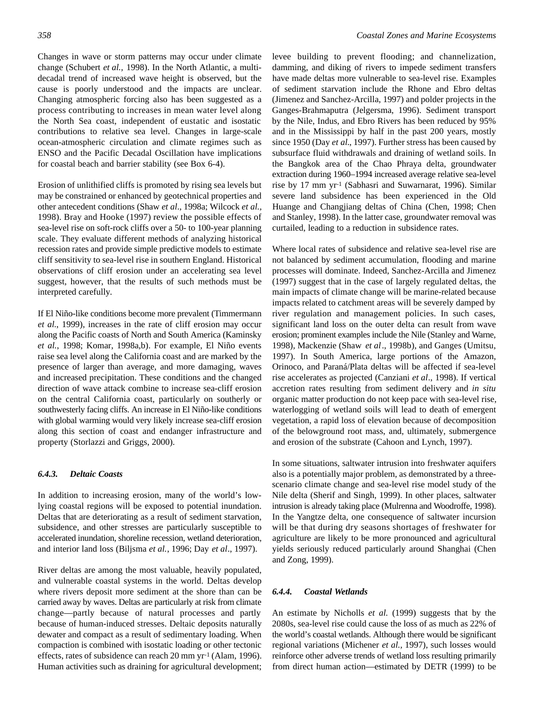Changes in wave or storm patterns may occur under climate change (Schubert *et al.,* 1998). In the North Atlantic, a multidecadal trend of increased wave height is observed, but the cause is poorly understood and the impacts are unclear. Changing atmospheric forcing also has been suggested as a process contributing to increases in mean water level along the North Sea coast, independent of eustatic and isostatic contributions to relative sea level. Changes in large-scale ocean-atmospheric circulation and climate regimes such as ENSO and the Pacific Decadal Oscillation have implications for coastal beach and barrier stability (see Box 6-4).

Erosion of unlithified cliffs is promoted by rising sea levels but may be constrained or enhanced by geotechnical properties and other antecedent conditions (Shaw *et al*., 1998a; Wilcock *et al.,* 1998). Bray and Hooke (1997) review the possible effects of sea-level rise on soft-rock cliffs over a 50- to 100-year planning scale. They evaluate different methods of analyzing historical recession rates and provide simple predictive models to estimate cliff sensitivity to sea-level rise in southern England. Historical observations of cliff erosion under an accelerating sea level suggest, however, that the results of such methods must be interpreted carefully.

If El Niño-like conditions become more prevalent (Timmermann *et al.*, 1999), increases in the rate of cliff erosion may occur along the Pacific coasts of North and South America (Kaminsky *et al.*, 1998; Komar, 1998a,b). For example, El Niño events raise sea level along the California coast and are marked by the presence of larger than average, and more damaging, waves and increased precipitation. These conditions and the changed direction of wave attack combine to increase sea-cliff erosion on the central California coast, particularly on southerly or southwesterly facing cliffs. An increase in El Niño-like conditions with global warming would very likely increase sea-cliff erosion along this section of coast and endanger infrastructure and property (Storlazzi and Griggs, 2000).

# *6.4.3. Deltaic Coasts*

In addition to increasing erosion, many of the world's lowlying coastal regions will be exposed to potential inundation. Deltas that are deteriorating as a result of sediment starvation, subsidence, and other stresses are particularly susceptible to accelerated inundation, shoreline recession, wetland deterioration, and interior land loss (Biljsma *et al.*, 1996; Day *et al*., 1997).

River deltas are among the most valuable, heavily populated, and vulnerable coastal systems in the world. Deltas develop where rivers deposit more sediment at the shore than can be carried away by waves. Deltas are particularly at risk from climate change—partly because of natural processes and partly because of human-induced stresses. Deltaic deposits naturally dewater and compact as a result of sedimentary loading. When compaction is combined with isostatic loading or other tectonic effects, rates of subsidence can reach 20 mm yr-1 (Alam, 1996). Human activities such as draining for agricultural development; levee building to prevent flooding; and channelization, damming, and diking of rivers to impede sediment transfers have made deltas more vulnerable to sea-level rise. Examples of sediment starvation include the Rhone and Ebro deltas (Jimenez and Sanchez-Arcilla, 1997) and polder projects in the Ganges-Brahmaputra (Jelgersma, 1996). Sediment transport by the Nile, Indus, and Ebro Rivers has been reduced by 95% and in the Mississippi by half in the past 200 years, mostly since 1950 (Day *et al.*, 1997). Further stress has been caused by subsurface fluid withdrawals and draining of wetland soils. In the Bangkok area of the Chao Phraya delta, groundwater extraction during 1960–1994 increased average relative sea-level rise by 17 mm yr-1 (Sabhasri and Suwarnarat, 1996). Similar severe land subsidence has been experienced in the Old Huange and Changjiang deltas of China (Chen, 1998; Chen and Stanley, 1998). In the latter case, groundwater removal was curtailed, leading to a reduction in subsidence rates.

Where local rates of subsidence and relative sea-level rise are not balanced by sediment accumulation, flooding and marine processes will dominate. Indeed, Sanchez-Arcilla and Jimenez (1997) suggest that in the case of largely regulated deltas, the main impacts of climate change will be marine-related because impacts related to catchment areas will be severely damped by river regulation and management policies. In such cases, significant land loss on the outer delta can result from wave erosion; prominent examples include the Nile (Stanley and Warne, 1998), Mackenzie (Shaw *et al*., 1998b), and Ganges (Umitsu, 1997). In South America, large portions of the Amazon, Orinoco, and Paraná/Plata deltas will be affected if sea-level rise accelerates as projected (Canziani *et al*., 1998). If vertical accretion rates resulting from sediment delivery and *in situ* organic matter production do not keep pace with sea-level rise, waterlogging of wetland soils will lead to death of emergent vegetation, a rapid loss of elevation because of decomposition of the belowground root mass, and, ultimately, submergence and erosion of the substrate (Cahoon and Lynch, 1997).

In some situations, saltwater intrusion into freshwater aquifers also is a potentially major problem, as demonstrated by a threescenario climate change and sea-level rise model study of the Nile delta (Sherif and Singh, 1999). In other places, saltwater intrusion is already taking place (Mulrenna and Woodroffe, 1998). In the Yangtze delta, one consequence of saltwater incursion will be that during dry seasons shortages of freshwater for agriculture are likely to be more pronounced and agricultural yields seriously reduced particularly around Shanghai (Chen and Zong, 1999).

### *6.4.4. Coastal Wetlands*

An estimate by Nicholls *et al.* (1999) suggests that by the 2080s, sea-level rise could cause the loss of as much as 22% of the world's coastal wetlands. Although there would be significant regional variations (Michener *et al.,* 1997), such losses would reinforce other adverse trends of wetland loss resulting primarily from direct human action—estimated by DETR (1999) to be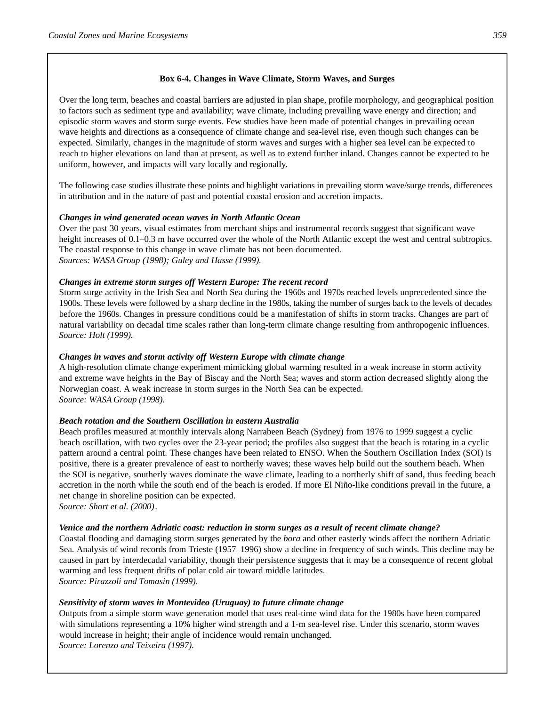# **Box 6-4. Changes in Wave Climate, Storm Waves, and Surges**

Over the long term, beaches and coastal barriers are adjusted in plan shape, profile morphology, and geographical position to factors such as sediment type and availability; wave climate, including prevailing wave energy and direction; and episodic storm waves and storm surge events. Few studies have been made of potential changes in prevailing ocean wave heights and directions as a consequence of climate change and sea-level rise, even though such changes can be expected. Similarly, changes in the magnitude of storm waves and surges with a higher sea level can be expected to reach to higher elevations on land than at present, as well as to extend further inland. Changes cannot be expected to be uniform, however, and impacts will vary locally and regionally.

The following case studies illustrate these points and highlight variations in prevailing storm wave/surge trends, differences in attribution and in the nature of past and potential coastal erosion and accretion impacts.

# *Changes in wind generated ocean waves in North Atlantic Ocean*

Over the past 30 years, visual estimates from merchant ships and instrumental records suggest that significant wave height increases of 0.1–0.3 m have occurred over the whole of the North Atlantic except the west and central subtropics. The coastal response to this change in wave climate has not been documented. *Sources: WASA Group (1998); Guley and Hasse (1999).*

# *Changes in extreme storm surges off Western Europe: The recent record*

Storm surge activity in the Irish Sea and North Sea during the 1960s and 1970s reached levels unprecedented since the 1900s. These levels were followed by a sharp decline in the 1980s, taking the number of surges back to the levels of decades before the 1960s. Changes in pressure conditions could be a manifestation of shifts in storm tracks. Changes are part of natural variability on decadal time scales rather than long-term climate change resulting from anthropogenic influences. *Source: Holt (1999).*

# *Changes in waves and storm activity off Western Europe with climate change*

A high-resolution climate change experiment mimicking global warming resulted in a weak increase in storm activity and extreme wave heights in the Bay of Biscay and the North Sea; waves and storm action decreased slightly along the Norwegian coast. A weak increase in storm surges in the North Sea can be expected. *Source: WASA Group (1998).*

# *Beach rotation and the Southern Oscillation in eastern Australia*

Beach profiles measured at monthly intervals along Narrabeen Beach (Sydney) from 1976 to 1999 suggest a cyclic beach oscillation, with two cycles over the 23-year period; the profiles also suggest that the beach is rotating in a cyclic pattern around a central point. These changes have been related to ENSO. When the Southern Oscillation Index (SOI) is positive, there is a greater prevalence of east to northerly waves; these waves help build out the southern beach. When the SOI is negative, southerly waves dominate the wave climate, leading to a northerly shift of sand, thus feeding beach accretion in the north while the south end of the beach is eroded. If more El Niño-like conditions prevail in the future, a net change in shoreline position can be expected.

*Source: Short et al. (2000)*.

# *Venice and the northern Adriatic coast: reduction in storm surges as a result of recent climate change?*

Coastal flooding and damaging storm surges generated by the *bora* and other easterly winds affect the northern Adriatic Sea. Analysis of wind records from Trieste (1957–1996) show a decline in frequency of such winds. This decline may be caused in part by interdecadal variability, though their persistence suggests that it may be a consequence of recent global warming and less frequent drifts of polar cold air toward middle latitudes. *Source: Pirazzoli and Tomasin (1999).*

# *Sensitivity of storm waves in Montevideo (Uruguay) to future climate change*

Outputs from a simple storm wave generation model that uses real-time wind data for the 1980s have been compared with simulations representing a 10% higher wind strength and a 1-m sea-level rise. Under this scenario, storm waves would increase in height; their angle of incidence would remain unchanged. *Source: Lorenzo and Teixeira (1997).*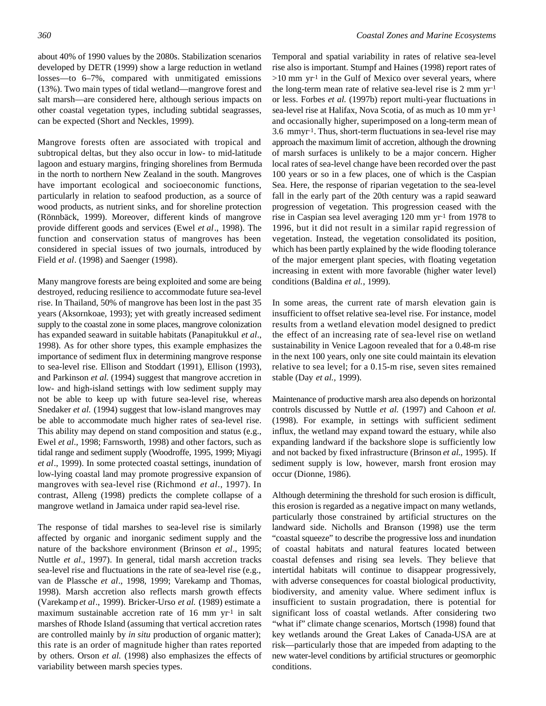about 40% of 1990 values by the 2080s. Stabilization scenarios developed by DETR (1999) show a large reduction in wetland losses—to 6–7%, compared with unmitigated emissions (13%). Two main types of tidal wetland—mangrove forest and salt marsh—are considered here, although serious impacts on other coastal vegetation types, including subtidal seagrasses, can be expected (Short and Neckles, 1999).

Mangrove forests often are associated with tropical and subtropical deltas, but they also occur in low- to mid-latitude lagoon and estuary margins, fringing shorelines from Bermuda in the north to northern New Zealand in the south. Mangroves have important ecological and socioeconomic functions, particularly in relation to seafood production, as a source of wood products, as nutrient sinks, and for shoreline protection (Rönnbäck, 1999). Moreover, different kinds of mangrove provide different goods and services (Ewel *et al.*, 1998). The function and conservation status of mangroves has been considered in special issues of two journals, introduced by Field *et al*. (1998) and Saenger (1998).

Many mangrove forests are being exploited and some are being destroyed, reducing resilience to accommodate future sea-level rise. In Thailand, 50% of mangrove has been lost in the past 35 years (Aksornkoae, 1993); yet with greatly increased sediment supply to the coastal zone in some places, mangrove colonization has expanded seaward in suitable habitats (Panapitukkul *et al*., 1998). As for other shore types, this example emphasizes the importance of sediment flux in determining mangrove response to sea-level rise. Ellison and Stoddart (1991), Ellison (1993), and Parkinson *et al.* (1994) suggest that mangrove accretion in low- and high-island settings with low sediment supply may not be able to keep up with future sea-level rise, whereas Snedaker *et al.* (1994) suggest that low-island mangroves may be able to accommodate much higher rates of sea-level rise. This ability may depend on stand composition and status (e.g., Ewel *et al*., 1998; Farnsworth, 1998) and other factors, such as tidal range and sediment supply (Woodroffe, 1995, 1999; Miyagi *et al*., 1999). In some protected coastal settings, inundation of low-lying coastal land may promote progressive expansion of mangroves with sea-level rise (Richmond *et al*., 1997). In contrast, Alleng (1998) predicts the complete collapse of a mangrove wetland in Jamaica under rapid sea-level rise.

The response of tidal marshes to sea-level rise is similarly affected by organic and inorganic sediment supply and the nature of the backshore environment (Brinson *et al*., 1995; Nuttle *et al*., 1997). In general, tidal marsh accretion tracks sea-level rise and fluctuations in the rate of sea-level rise (e.g., van de Plassche *et al*., 1998, 1999; Varekamp and Thomas, 1998). Marsh accretion also reflects marsh growth effects (Varekamp *et al*., 1999). Bricker-Urso *et al.* (1989) estimate a maximum sustainable accretion rate of 16 mm yr<sup>-1</sup> in salt marshes of Rhode Island (assuming that vertical accretion rates are controlled mainly by *in situ* production of organic matter); this rate is an order of magnitude higher than rates reported by others. Orson *et al.* (1998) also emphasizes the effects of variability between marsh species types.

Temporal and spatial variability in rates of relative sea-level rise also is important. Stumpf and Haines (1998) report rates of  $>10$  mm yr<sup>1</sup> in the Gulf of Mexico over several years, where the long-term mean rate of relative sea-level rise is 2 mm yr-1 or less. Forbes *et al.* (1997b) report multi-year fluctuations in sea-level rise at Halifax, Nova Scotia, of as much as 10 mm yr<sup>-1</sup> and occasionally higher, superimposed on a long-term mean of 3.6 mmyr-1. Thus, short-term fluctuations in sea-level rise may approach the maximum limit of accretion, although the drowning of marsh surfaces is unlikely to be a major concern. Higher local rates of sea-level change have been recorded over the past 100 years or so in a few places, one of which is the Caspian Sea. Here, the response of riparian vegetation to the sea-level fall in the early part of the 20th century was a rapid seaward progression of vegetation. This progression ceased with the rise in Caspian sea level averaging 120 mm yr-1 from 1978 to 1996, but it did not result in a similar rapid regression of vegetation. Instead, the vegetation consolidated its position, which has been partly explained by the wide flooding tolerance of the major emergent plant species, with floating vegetation increasing in extent with more favorable (higher water level) conditions (Baldina *et al.*, 1999).

In some areas, the current rate of marsh elevation gain is insufficient to offset relative sea-level rise. For instance, model results from a wetland elevation model designed to predict the effect of an increasing rate of sea-level rise on wetland sustainability in Venice Lagoon revealed that for a 0.48-m rise in the next 100 years, only one site could maintain its elevation relative to sea level; for a 0.15-m rise, seven sites remained stable (Day *et al.*, 1999).

Maintenance of productive marsh area also depends on horizontal controls discussed by Nuttle *et al.* (1997) and Cahoon *et al.* (1998). For example, in settings with sufficient sediment influx, the wetland may expand toward the estuary, while also expanding landward if the backshore slope is sufficiently low and not backed by fixed infrastructure (Brinson *et al*., 1995). If sediment supply is low, however, marsh front erosion may occur (Dionne, 1986).

Although determining the threshold for such erosion is difficult, this erosion is regarded as a negative impact on many wetlands, particularly those constrained by artificial structures on the landward side. Nicholls and Branson (1998) use the term "coastal squeeze" to describe the progressive loss and inundation of coastal habitats and natural features located between coastal defenses and rising sea levels. They believe that intertidal habitats will continue to disappear progressively, with adverse consequences for coastal biological productivity, biodiversity, and amenity value. Where sediment influx is in sufficient to sustain progradation, there is potential for significant loss of coastal wetlands. After considering two "what if" climate change scenarios, Mortsch (1998) found that key wetlands around the Great Lakes of Canada-USA are at risk—particularly those that are impeded from adapting to the new water-level conditions by artificial structures or geomorphic conditions.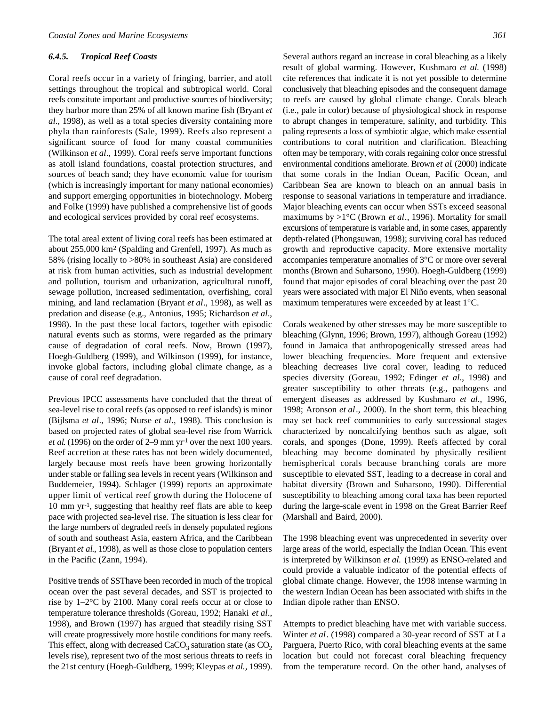# *6.4.5. Tropical Reef Coasts*

Coral reefs occur in a variety of fringing, barrier, and atoll settings throughout the tropical and subtropical world. Coral reefs constitute important and productive sources of biodiversity; they harbor more than 25% of all known marine fish (Bryant *et al*., 1998), as well as a total species diversity containing more phyla than rainforests (Sale, 1999). Reefs also represent a significant source of food for many coastal communities (Wilkinson *et al*., 1999). Coral reefs serve important functions as atoll island foundations, coastal protection structures, and sources of beach sand; they have economic value for tourism (which is increasingly important for many national economies) and support emerging opportunities in biotechnology. Moberg and Folke (1999) have published a comprehensive list of goods and ecological services provided by coral reef ecosystems.

The total areal extent of living coral reefs has been estimated at about 255,000 km<sup>2</sup> (Spalding and Grenfell, 1997). As much as 58% (rising locally to >80% in southeast Asia) are considered at risk from human activities, such as industrial development and pollution, tourism and urbanization, agricultural runoff, sewage pollution, increased sedimentation, overfishing, coral mining, and land reclamation (Bryant *et al*., 1998), as well as predation and disease (e.g., Antonius, 1995; Richardson *et al*., 1998). In the past these local factors, together with episodic natural events such as storms, were regarded as the primary cause of degradation of coral reefs. Now, Brown (1997), Hoegh-Guldberg (1999), and Wilkinson (1999), for instance, invoke global factors, including global climate change, as a cause of coral reef degradation.

Previous IPCC assessments have concluded that the threat of sea-level rise to coral reefs (as opposed to reef islands) is minor (Bijlsma *et al*., 1996; Nurse *et al*., 1998). This conclusion is based on projected rates of global sea-level rise from Warrick *et al.* (1996) on the order of 2–9 mm  $yr<sup>1</sup>$  over the next 100 years. Reef accretion at these rates has not been widely documented, largely because most reefs have been growing horizontally under stable or falling sea levels in recent years (Wilkinson and Buddemeier, 1994). Schlager (1999) reports an approximate upper limit of vertical reef growth during the Holocene of 10 mm yr-1, suggesting that healthy reef flats are able to keep pace with projected sea-level rise. The situation is less clear for the large numbers of degraded reefs in densely populated regions of south and southeast Asia, eastern Africa, and the Caribbean (Bryant *et al*., 1998), as well as those close to population centers in the Pacific (Zann, 1994).

Positive trends of SSThave been recorded in much of the tropical ocean over the past several decades, and SST is projected to rise by 1–2°C by 2100. Many coral reefs occur at or close to temperature tolerance thresholds (Goreau, 1992; Hanaki *et al*., 1998), and Brown (1997) has argued that steadily rising SST will create progressively more hostile conditions for many reefs. This effect, along with decreased  $CaCO<sub>3</sub>$  saturation state (as  $CO<sub>2</sub>$ levels rise), represent two of the most serious threats to reefs in the 21st century (Hoegh-Guldberg, 1999; Kleypas *et al.,* 1999).

Several authors regard an increase in coral bleaching as a likely result of global warming. However, Kushmaro *et al.* (1998) cite references that indicate it is not yet possible to determine conclusively that bleaching episodes and the consequent damage to reefs are caused by global climate change. Corals bleach (i.e., pale in color) because of physiological shock in response to abrupt changes in temperature, salinity, and turbidity. This paling represents a loss of symbiotic algae, which make essential contributions to coral nutrition and clarification. Bleaching often may be temporary, with corals regaining color once stressful environmental conditions ameliorate. Brown *et al*. (2000) indicate that some corals in the Indian Ocean, Pacific Ocean, and Caribbean Sea are known to bleach on an annual basis in response to seasonal variations in temperature and irradiance. Major bleaching events can occur when SSTs exceed seasonal maximums by >1°C (Brown *et al*., 1996). Mortality for small excursions of temperature is variable and, in some cases, apparently depth-related (Phongsuwan, 1998); surviving coral has reduced growth and reproductive capacity. More extensive mortality accompanies temperature anomalies of 3°C or more over several months (Brown and Suharsono, 1990). Hoegh-Guldberg (1999) found that major episodes of coral bleaching over the past 20 years were associated with major El Niño events, when seasonal maximum temperatures were exceeded by at least 1°C.

Corals weakened by other stresses may be more susceptible to bleaching (Glynn, 1996; Brown, 1997), although Goreau (1992) found in Jamaica that anthropogenically stressed areas had lower bleaching frequencies. More frequent and extensive bleaching decreases live coral cover, leading to reduced species diversity (Goreau, 1992; Edinger *et al*., 1998) and greater susceptibility to other threats (e.g., pathogens and emergent diseases as addressed by Kushmaro *et al*., 1996, 1998; Aronson *et al*., 2000). In the short term, this bleaching may set back reef communities to early successional stages characterized by noncalcifying benthos such as algae, soft corals, and sponges (Done, 1999). Reefs affected by coral bleaching may become dominated by physically resilient he m is pherical corals because branching corals are more susceptible to elevated SST, leading to a decrease in coral and habitat diversity (Brown and Suharsono, 1990). Differential susceptibility to bleaching among coral taxa has been reported during the large-scale event in 1998 on the Great Barrier Reef (Marshall and Baird, 2000).

The 1998 bleaching event was unprecedented in severity over large areas of the world, especially the Indian Ocean. This event is interpreted by Wilkinson *et al.* (1999) as ENSO-related and could provide a valuable indicator of the potential effects of global climate change. However, the 1998 intense warming in the western Indian Ocean has been associated with shifts in the Indian dipole rather than ENSO.

Attempts to predict bleaching have met with variable success. Winter *et al*. (1998) compared a 30-year record of SST at La Parguera, Puerto Rico, with coral bleaching events at the same location but could not forecast coral bleaching frequency from the temperature record. On the other hand, analyses of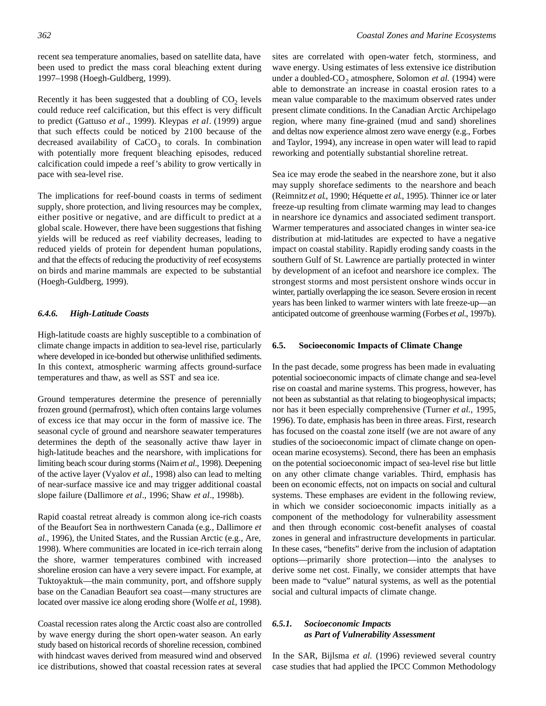recent sea temperature anomalies, based on satellite data, have been used to predict the mass coral bleaching extent during 1997–1998 (Hoegh-Guldberg, 1999).

Recently it has been suggested that a doubling of  $CO<sub>2</sub>$  levels could reduce reef calcification, but this effect is very difficult to predict (Gattuso *et al*., 1999). Kleypas *et al*. (1999) argue that such effects could be noticed by 2100 because of the decreased availability of  $CaCO<sub>3</sub>$  to corals. In combination with potentially more frequent bleaching episodes, reduced calcification could impede a reef's ability to grow vertically in pace with sea-level rise.

The implications for reef-bound coasts in terms of sediment supply, shore protection, and living resources may be complex, either positive or negative, and are difficult to predict at a global scale. However, there have been suggestions that fishing yields will be reduced as reef viability decreases, leading to reduced yields of protein for dependent human populations, and that the effects of reducing the productivity of reef ecosystems on birds and marine mammals are expected to be substantial (Hoegh-Guldberg, 1999).

#### *6.4.6. High-Latitude Coasts*

High-latitude coasts are highly susceptible to a combination of climate change impacts in addition to sea-level rise, particularly where developed in ice-bonded but otherwise unlithified sediments. In this context, atmospheric warming affects ground-surface temperatures and thaw, as well as SST and sea ice.

Ground temperatures determine the presence of perennially frozen ground (permafrost), which often contains large volumes of excess ice that may occur in the form of massive ice. The seasonal cycle of ground and nearshore seawater temperatures determines the depth of the seasonally active thaw layer in high-latitude beaches and the nearshore, with implications for limiting beach scour during storms (Nairn *et al*., 1998). Deepening of the active layer (Vyalov *et al*., 1998) also can lead to melting of near-surface massive ice and may trigger additional coastal slope failure (Dallimore *et al*., 1996; Shaw *et al*., 1998b).

Rapid coastal retreat already is common along ice-rich coasts of the Beaufort Sea in northwestern Canada (e.g., Dallimore *et al*., 1996), the United States, and the Russian Arctic (e.g., Are, 1998). Where communities are located in ice-rich terrain along the shore, warmer temperatures combined with increased shoreline erosion can have a very severe impact. For example, at Tuktoyaktuk—the main community, port, and offshore supply base on the Canadian Beaufort sea coast—many structures are located over massive ice along eroding shore (Wolfe *et al*., 1998).

Coastal recession rates along the Arctic coast also are controlled by wave energy during the short open-water season. An early study based on historical records of shoreline recession, combined with hindcast waves derived from measured wind and observed ice distributions, showed that coastal recession rates at several sites are correlated with open-water fetch, storminess, and wave energy. Using estimates of less extensive ice distribution under a doubled-CO<sub>2</sub> atmosphere, Solomon *et al.* (1994) were able to demonstrate an increase in coastal erosion rates to a mean value comparable to the maximum observed rates under present climate conditions. In the Canadian Arctic Archipelago region, where many fine-grained (mud and sand) shorelines and deltas now experience almost zero wave energy (e.g., Forbes and Taylor, 1994), any increase in open water will lead to rapid reworking and potentially substantial shoreline retreat.

Sea ice may erode the seabed in the nearshore zone, but it also may supply shoreface sediments to the nearshore and beach (Reimnitz *et al*., 1990; Héquette *et al*., 1995). Thinner ice or later freeze-up resulting from climate warming may lead to changes in nearshore ice dynamics and associated sediment transport. Warmer temperatures and associated changes in winter sea-ice distribution at mid-latitudes are expected to have a negative impact on coastal stability. Rapidly eroding sandy coasts in the southern Gulf of St. Lawrence are partially protected in winter by development of an icefoot and nearshore ice complex. The strongest storms and most persistent onshore winds occur in winter, partially overlapping the ice season. Severe erosion in recent years has been linked to warmer winters with late freeze-up—an anticipated outcome of greenhouse warming (Forbes *et al*., 1997b).

#### **6.5. Socioeconomic Impacts of Climate Change**

In the past decade, some progress has been made in evaluating potential socioeconomic impacts of climate change and sea-level rise on coastal and marine systems. This progress, however, has not been as substantial as that relating to biogeophysical impacts; nor has it been especially comprehensive (Turner *et al.,* 1995, 1996). To date, emphasis has been in three areas. First, research has focused on the coastal zone itself (we are not aware of any studies of the socioeconomic impact of climate change on openocean marine ecosystems). Second, there has been an emphasis on the potential socioeconomic impact of sea-level rise but little on any other climate change variables. Third, emphasis has been on economic effects, not on impacts on social and cultural systems. These emphases are evident in the following review, in which we consider socioeconomic impacts initially as a component of the methodology for vulnerability assessment and then through economic cost-benefit analyses of coastal zones in general and infrastructure developments in particular. In these cases, "benefits" derive from the inclusion of adaptation options—primarily shore protection—into the analyses to derive some net cost. Finally, we consider attempts that have been made to "value" natural systems, as well as the potential social and cultural impacts of climate change.

# *6.5.1. Socioeconomic Impacts as Part of Vulnerability Assessment*

In the SAR, Bijlsma *et al.* (1996) reviewed several country case studies that had applied the IPCC Common Methodology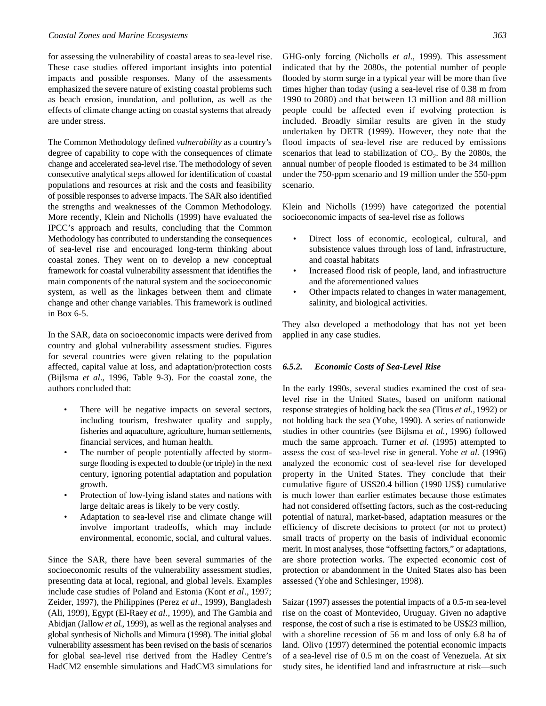for assessing the vulnerability of coastal areas to sea-level rise. These case studies offered important insights into potential impacts and possible responses. Many of the assessments emphasized the severe nature of existing coastal problems such as beach erosion, inundation, and pollution, as well as the effects of climate change acting on coastal systems that already are under stress.

The Common Methodology defined *vulnerability* as a country's degree of capability to cope with the consequences of climate change and accelerated sea-level rise. The methodology of seven consecutive analytical steps allowed for identification of coastal populations and resources at risk and the costs and feasibility of possible responses to adverse impacts. The SAR also identified the strengths and weaknesses of the Common Methodology. More recently, Klein and Nicholls (1999) have evaluated the IPCC's approach and results, concluding that the Common Methodology has contributed to understanding the consequences of sea-level rise and encouraged long-term thinking about coastal zones. They went on to develop a new conceptual framework for coastal vulnerability assessment that identifies the main components of the natural system and the socioeconomic system, as well as the linkages between them and climate change and other change variables. This framework is outlined in Box 6-5.

In the SAR, data on socioeconomic impacts were derived from country and global vulnerability assessment studies. Figures for several countries were given relating to the population affected, capital value at loss, and adaptation/protection costs (Bijlsma *et al*., 1996, Table 9-3). For the coastal zone, the authors concluded that:

- There will be negative impacts on several sectors, including tourism, freshwater quality and supply, fisheries and aquaculture, agriculture, human settlements, financial services, and human health.
- The number of people potentially affected by stormsurge flooding is expected to double (or triple) in the next century, ignoring potential adaptation and population growth.
- Protection of low-lying island states and nations with large deltaic areas is likely to be very costly.
- Adaptation to sea-level rise and climate change will involve important tradeoffs, which may include environmental, economic, social, and cultural values.

Since the SAR, there have been several summaries of the socioeconomic results of the vulnerability assessment studies, presenting data at local, regional, and global levels. Examples include case studies of Poland and Estonia (Kont *et al*., 1997; Zeider, 1997), the Philippines (Perez *et al*., 1999), Bangladesh (Ali, 1999), Egypt (El-Raey *et al*., 1999), and The Gambia and Abidjan (Jallow *et al.*, 1999), as well as the regional analyses and global synthesis of Nicholls and Mimura (1998). The initial global vulnerability assessment has been revised on the basis of scenarios for global sea-level rise derived from the Hadley Centre's HadCM2 ensemble simulations and HadCM3 simulations for GHG-only forcing (Nicholls *et al*., 1999). This assessment indicated that by the 2080s, the potential number of people flooded by storm surge in a typical year will be more than five times higher than today (using a sea-level rise of 0.38 m from 1990 to 2080) and that between 13 million and 88 million people could be affected even if evolving protection is included. Broadly similar results are given in the study undertaken by DETR (1999). However, they note that the flood impacts of sea-level rise are reduced by emissions scenarios that lead to stabilization of  $CO<sub>2</sub>$ . By the 2080s, the annual number of people flooded is estimated to be 34 million under the 750-ppm scenario and 19 million under the 550-ppm scenario.

Klein and Nicholls (1999) have categorized the potential socioeconomic impacts of sea-level rise as follows

- Direct loss of economic, ecological, cultural, and subsistence values through loss of land, infrastructure, and coastal habitats
- Increased flood risk of people, land, and infrastructure and the aforementioned values
- Other impacts related to changes in water management, salinity, and biological activities.

They also developed a methodology that has not yet been applied in any case studies.

#### *6.5.2. Economic Costs of Sea-Level Rise*

In the early 1990s, several studies examined the cost of sealevel rise in the United States, based on uniform national response strategies of holding back the sea (Titus *et al.,* 1992) or not holding back the sea (Yohe, 1990). A series of nationwide studies in other countries (see Bijlsma *et al.,* 1996) followed much the same approach. Turner *et al.* (1995) attempted to assess the cost of sea-level rise in general. Yohe *et al.* (1996) analyzed the economic cost of sea-level rise for developed property in the United States. They conclude that their cumulative figure of US\$20.4 billion (1990 US\$) cumulative is much lower than earlier estimates because those estimates had not considered offsetting factors, such as the cost-reducing potential of natural, market-based, adaptation measures or the efficiency of discrete decisions to protect (or not to protect) small tracts of property on the basis of individual economic merit. In most analyses, those "offsetting factors," or adaptations, are shore protection works. The expected economic cost of protection or abandonment in the United States also has been assessed (Yohe and Schlesinger, 1998).

Saizar (1997) assesses the potential impacts of a 0.5-m sea-level rise on the coast of Montevideo, Uruguay. Given no adaptive response, the cost of such a rise is estimated to be US\$23 million, with a shoreline recession of 56 m and loss of only 6.8 ha of land. Olivo (1997) determined the potential economic impacts of a sea-level rise of 0.5 m on the coast of Venezuela. At six study sites, he identified land and infrastructure at risk—such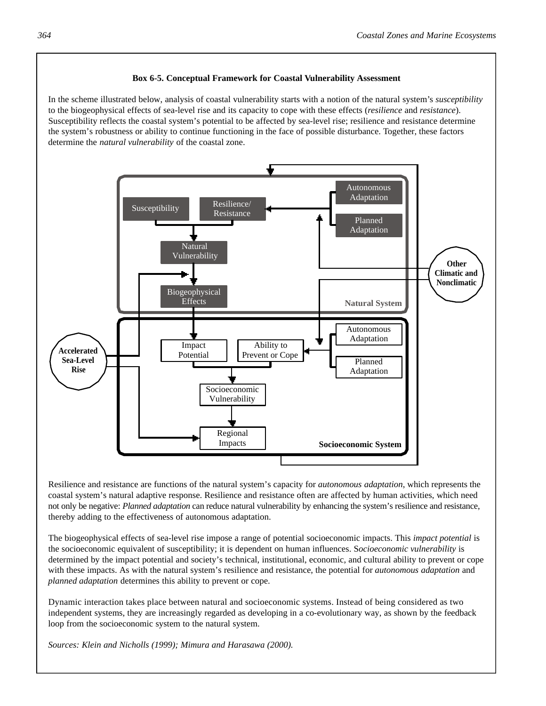# **Box 6-5. Conceptual Framework for Coastal Vulnerability Assessment**

In the scheme illustrated below, analysis of coastal vulnerability starts with a notion of the natural system's *susceptibility* to the biogeophysical effects of sea-level rise and its capacity to cope with these effects (*resilience* and *resistance*). Susceptibility reflects the coastal system's potential to be affected by sea-level rise; resilience and resistance determine the system's robustness or ability to continue functioning in the face of possible disturbance. Together, these factors determine the *natural vulnerability* of the coastal zone.



Resilience and resistance are functions of the natural system's capacity for *autonomous adaptation*, which represents the coastal system's natural adaptive response. Resilience and resistance often are affected by human activities, which need not only be negative: *Planned adaptation* can reduce natural vulnerability by enhancing the system's resilience and resistance, thereby adding to the effectiveness of autonomous adaptation.

The biogeophysical effects of sea-level rise impose a range of potential socioeconomic impacts. This *impact potential* is the socioeconomic equivalent of susceptibility; it is dependent on human influences. S*ocioeconomic vulnerability* is determined by the impact potential and society's technical, institutional, economic, and cultural ability to prevent or cope with these impacts. As with the natural system's resilience and resistance, the potential for *autonomous adaptation* and *planned adaptation* determines this ability to prevent or cope.

Dynamic interaction takes place between natural and socioeconomic systems. Instead of being considered as two independent systems, they are increasingly regarded as developing in a co-evolutionary way, as shown by the feedback loop from the socioeconomic system to the natural system.

*Sources: Klein and Nicholls (1999); Mimura and Harasawa (2000).*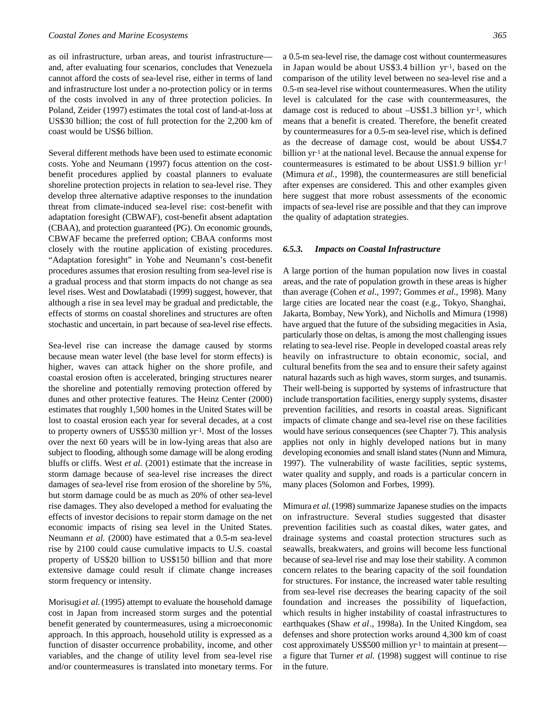as oil infrastructure, urban areas, and tourist infrastructure and, after evaluating four scenarios, concludes that Venezuela cannot afford the costs of sea-level rise, either in terms of land and infrastructure lost under a no-protection policy or in terms of the costs involved in any of three protection policies. In Poland, Zeider (1997) estimates the total cost of land-at-loss at US\$30 billion; the cost of full protection for the 2,200 km of coast would be US\$6 billion.

Several different methods have been used to estimate economic costs. Yohe and Neumann (1997) focus attention on the costbenefit procedures applied by coastal planners to evaluate shoreline protection projects in relation to sea-level rise. They develop three alternative adaptive responses to the inundation threat from climate-induced sea-level rise: cost-benefit with adaptation foresight (CBWAF), cost-benefit absent adaptation (CBAA), and protection guaranteed (PG). On economic grounds, CBWAF became the preferred option; CBAA conforms most closely with the routine application of existing procedures. "Adaptation foresight" in Yohe and Neumann's cost-benefit procedures assumes that erosion resulting from sea-level rise is a gradual process and that storm impacts do not change as sea level rises. West and Dowlatabadi (1999) suggest, however, that although a rise in sea level may be gradual and predictable, the effects of storms on coastal shorelines and structures are often stochastic and uncertain, in part because of sea-level rise effects.

Sea-level rise can increase the damage caused by storms because mean water level (the base level for storm effects) is higher, waves can attack higher on the shore profile, and coastal erosion often is accelerated, bringing structures nearer the shoreline and potentially removing protection offered by dunes and other protective features. The Heinz Center (2000) estimates that roughly 1,500 homes in the United States will be lost to coastal erosion each year for several decades, at a cost to property owners of US\$530 million yr-1. Most of the losses over the next 60 years will be in low-lying areas that also are subject to flooding, although some damage will be along eroding bluffs or cliffs. West *et al.* (2001) estimate that the increase in storm damage because of sea-level rise increases the direct damages of sea-level rise from erosion of the shoreline by 5%, but storm damage could be as much as 20% of other sea-level rise damages. They also developed a method for evaluating the effects of investor decisions to repair storm damage on the net economic impacts of rising sea level in the United States. Neumann *et al.* (2000) have estimated that a 0.5-m sea-level rise by 2100 could cause cumulative impacts to U.S. coastal property of US\$20 billion to US\$150 billion and that more extensive damage could result if climate change increases storm frequency or intensity.

Morisugi *et al.* (1995) attempt to evaluate the household damage cost in Japan from increased storm surges and the potential benefit generated by countermeasures, using a microeconomic approach. In this approach, household utility is expressed as a function of disaster occurrence probability, income, and other variables, and the change of utility level from sea-level rise and/or countermeasures is translated into monetary terms. For

a 0.5-m sea-level rise, the damage cost without countermeasures in Japan would be about US\$3.4 billion  $yr^{-1}$ , based on the comparison of the utility level between no sea-level rise and a 0.5-m sea-level rise without countermeasures. When the utility level is calculated for the case with countermeasures, the damage cost is reduced to about  $-<sub>US</sub>1.3$  billion yr<sup>-1</sup>, which means that a benefit is created. Therefore, the benefit created by countermeasures for a 0.5-m sea-level rise, which is defined as the decrease of damage cost, would be about US\$4.7 billion  $yr^{-1}$  at the national level. Because the annual expense for countermeasures is estimated to be about US\$1.9 billion yr-1 (Mimura *et al.,* 1998), the countermeasures are still beneficial after expenses are considered. This and other examples given here suggest that more robust assessments of the economic impacts of sea-level rise are possible and that they can improve the quality of adaptation strategies.

#### *6.5.3. Impacts on Coastal Infrastructure*

A large portion of the human population now lives in coastal areas, and the rate of population growth in these areas is higher than average (Cohen *et al*., 1997; Gommes *et al*., 1998). Many large cities are located near the coast (e.g., Tokyo, Shanghai, Jakarta, Bombay, New York), and Nicholls and Mimura (1998) have argued that the future of the subsiding megacities in Asia, particularly those on deltas, is among the most challenging issues relating to sea-level rise. People in developed coastal areas rely heavily on infrastructure to obtain economic, social, and cultural benefits from the sea and to ensure their safety against natural hazards such as high waves, storm surges, and tsunamis. Their well-being is supported by systems of infrastructure that include transportation facilities, energy supply systems, disaster prevention facilities, and resorts in coastal areas. Significant impacts of climate change and sea-level rise on these facilities would have serious consequences (see Chapter 7). This analysis applies not only in highly developed nations but in many developing economies and small island states (Nunn and Mimura, 1997). The vulnerability of waste facilities, septic systems, water quality and supply, and roads is a particular concern in many places (Solomon and Forbes, 1999).

Mimura *et al.* (1998) summarize Japanese studies on the impacts on infrastructure. Several studies suggested that disaster prevention facilities such as coastal dikes, water gates, and drainage systems and coastal protection structures such as seawalls, breakwaters, and groins will become less functional because of sea-level rise and may lose their stability. A common concern relates to the bearing capacity of the soil foundation for structures. For instance, the increased water table resulting from sea-level rise decreases the bearing capacity of the soil foundation and increases the possibility of liquefaction, which results in higher instability of coastal infrastructures to earthquakes (Shaw *et al*., 1998a). In the United Kingdom, sea defenses and shore protection works around 4,300 km of coast cost approximately US\$500 million  $yr<sup>-1</sup>$  to maintain at present a figure that Turner *et al.* (1998) suggest will continue to rise in the future.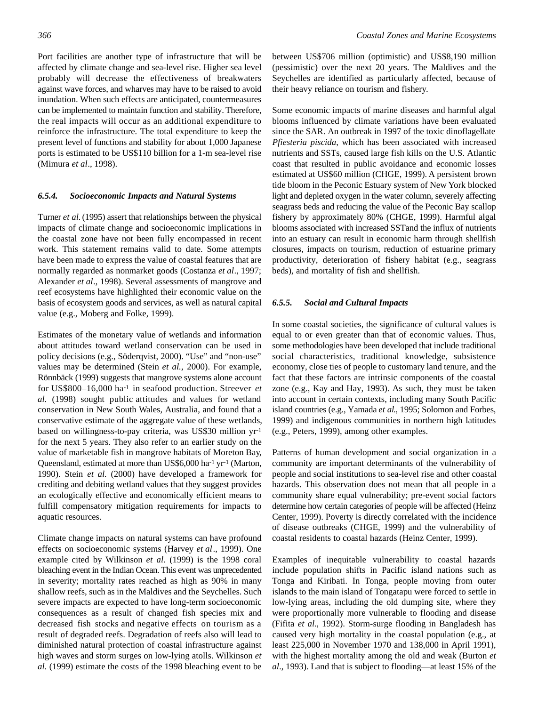Port facilities are another type of infrastructure that will be affected by climate change and sea-level rise. Higher sea level probably will decrease the effectiveness of breakwaters against wave forces, and wharves may have to be raised to avoid inundation. When such effects are anticipated, countermeasures can be implemented to maintain function and stability. Therefore, the real impacts will occur as an additional expenditure to reinforce the infrastructure. The total expenditure to keep the present level of functions and stability for about 1,000 Japanese ports is estimated to be US\$110 billion for a 1-m sea-level rise (Mimura *et al*., 1998).

# *6.5.4. Socioeconomic Impacts and Natural Systems*

Turner *et al.* (1995) assert that relationships between the physical impacts of climate change and socioeconomic implications in the coastal zone have not been fully encompassed in recent work. This statement remains valid to date. Some attempts have been made to express the value of coastal features that are normally regarded as nonmarket goods (Costanza *et al*., 1997; Alexander *et al*., 1998). Several assessments of mangrove and reef ecosystems have highlighted their economic value on the basis of ecosystem goods and services, as well as natural capital value (e.g., Moberg and Folke, 1999).

Estimates of the monetary value of wetlands and information about attitudes toward wetland conservation can be used in policy decisions (e.g., Söderqvist, 2000). "Use" and "non-use" values may be determined (Stein *et al.,* 2000). For example, Rönnbäck (1999) suggests that mangrove systems alone account for US\$800–16,000 ha<sup>-1</sup> in seafood production. Streever *et al.* (1998) sought public attitudes and values for wetland conservation in New South Wales, Australia, and found that a conservative estimate of the aggregate value of these wetlands, based on willingness-to-pay criteria, was US\$30 million yr-1 for the next 5 years. They also refer to an earlier study on the value of marketable fish in mangrove habitats of Moreton Bay, Queensland, estimated at more than US\$6,000 ha<sup>-1</sup> yr<sup>-1</sup> (Marton, 1990). Stein *et al.* (2000) have developed a framework for crediting and debiting wetland values that they suggest provides an ecologically effective and economically efficient means to fulfill compensatory mitigation requirements for impacts to aquatic resources.

Climate change impacts on natural systems can have profound effects on socioeconomic systems (Harvey *et al*., 1999). One example cited by Wilkinson *et al.* (1999) is the 1998 coral bleaching event in the Indian Ocean. This event was unprecedented in severity; mortality rates reached as high as 90% in many shallow reefs, such as in the Maldives and the Seychelles. Such severe impacts are expected to have long-term socioeconomic consequences as a result of changed fish species mix and decreased fish stocks and negative effects on tourism as a result of degraded reefs. Degradation of reefs also will lead to diminished natural protection of coastal infrastructure against high waves and storm surges on low-lying atolls. Wilkinson *et al.* (1999) estimate the costs of the 1998 bleaching event to be between US\$706 million (optimistic) and US\$8,190 million (pessimistic) over the next 20 years. The Maldives and the Seychelles are identified as particularly affected, because of their heavy reliance on tourism and fishery.

Some economic impacts of marine diseases and harmful algal blooms influenced by climate variations have been evaluated since the SAR. An outbreak in 1997 of the toxic dinoflagellate *Pfiesteria piscida*, which has been associated with increased nutrients and SSTs, caused large fish kills on the U.S. Atlantic coast that resulted in public avoidance and economic losses estimated at US\$60 million (CHGE, 1999). A persistent brown tide bloom in the Peconic Estuary system of New York blocked light and depleted oxygen in the water column, severely affecting seagrass beds and reducing the value of the Peconic Bay scallop fishery by approximately 80% (CHGE, 1999). Harmful algal blooms associated with increased SSTand the influx of nutrients into an estuary can result in economic harm through shellfish closures, impacts on tourism, reduction of estuarine primary productivity, deterioration of fishery habitat (e.g., seagrass beds), and mortality of fish and shellfish.

# *6.5.5. Social and Cultural Impacts*

In some coastal societies, the significance of cultural values is equal to or even greater than that of economic values. Thus, some methodologies have been developed that include traditional social characteristics, traditional knowledge, subsistence economy, close ties of people to customary land tenure, and the fact that these factors are intrinsic components of the coastal zone (e.g., Kay and Hay, 1993). As such, they must be taken into account in certain contexts, including many South Pacific island countries (e.g., Yamada *et al*., 1995; Solomon and Forbes, 1999) and indigenous communities in northern high latitudes (e.g., Peters, 1999), among other examples.

Patterns of human development and social organization in a community are important determinants of the vulnerability of people and social institutions to sea-level rise and other coastal hazards. This observation does not mean that all people in a community share equal vulnerability; pre-event social factors determine how certain categories of people will be affected (Heinz Center, 1999). Poverty is directly correlated with the incidence of disease outbreaks (CHGE, 1999) and the vulnerability of coastal residents to coastal hazards (Heinz Center, 1999).

Examples of inequitable vulnerability to coastal hazards include population shifts in Pacific island nations such as Tonga and Kiribati. In Tonga, people moving from outer islands to the main island of Tongatapu were forced to settle in low-lying areas, including the old dumping site, where they were proportionally more vulnerable to flooding and disease (Fifita *et al*., 1992). Storm-surge flooding in Bangladesh has caused very high mortality in the coastal population (e.g., at least 225,000 in November 1970 and 138,000 in April 1991), with the highest mortality among the old and weak (Burton *et al*., 1993). Land that is subject to flooding—at least 15% of the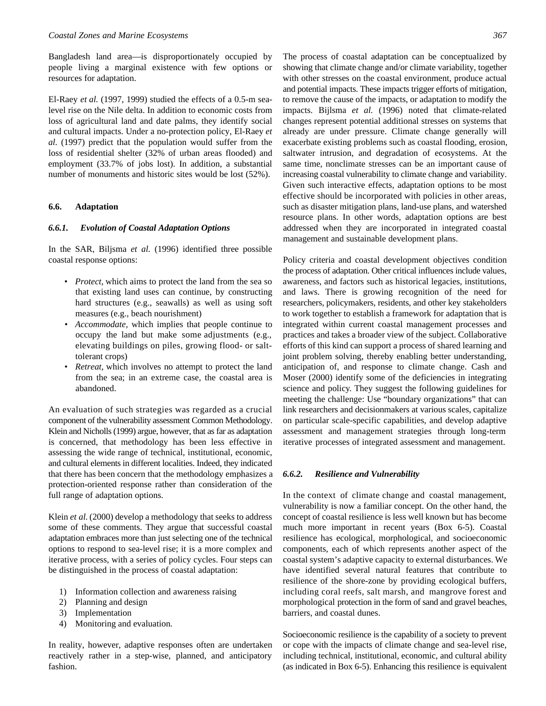Bangladesh land area—is disproportionately occupied by people living a marginal existence with few options or resources for adaptation.

El-Raey *et al.* (1997, 1999) studied the effects of a 0.5-m sealevel rise on the Nile delta. In addition to economic costs from loss of agricultural land and date palms, they identify social and cultural impacts. Under a no-protection policy, El-Raey *et al.* (1997) predict that the population would suffer from the loss of residential shelter (32% of urban areas flooded) and employment (33.7% of jobs lost). In addition, a substantial number of monuments and historic sites would be lost (52%).

#### **6.6. Adaptation**

#### *6.6.1. Evolution of Coastal Adaptation Options*

In the SAR, Biljsma *et al.* (1996) identified three possible coastal response options:

- *Protect,* which aims to protect the land from the sea so that existing land uses can continue, by constructing hard structures (e.g., seawalls) as well as using soft measures (e.g., beach nourishment)
- *Accommodate,* which implies that people continue to occupy the land but make some adjustments (e.g., elevating buildings on piles, growing flood- or salttolerant crops)
- *Retreat,* which involves no attempt to protect the land from the sea; in an extreme case, the coastal area is abandoned.

An evaluation of such strategies was regarded as a crucial component of the vulnerability assessment Common Methodology. Klein and Nicholls (1999) argue, however, that as far as adaptation is concerned, that methodology has been less effective in assessing the wide range of technical, institutional, economic, and cultural elements in different localities. Indeed, they indicated that there has been concern that the methodology emphasizes a protection-oriented response rather than consideration of the full range of adaptation options.

Klein *et al.* (2000) develop a methodology that seeks to address some of these comments. They argue that successful coastal adaptation embraces more than just selecting one of the technical options to respond to sea-level rise; it is a more complex and iterative process, with a series of policy cycles. Four steps can be distinguished in the process of coastal adaptation:

- 1) Information collection and awareness raising
- 2) Planning and design
- 3) Implementation
- 4) Monitoring and evaluation.

In reality, however, adaptive responses often are undertaken reactively rather in a step-wise, planned, and anticipatory fashion.

The process of coastal adaptation can be conceptualized by showing that climate change and/or climate variability, together with other stresses on the coastal environment, produce actual and potential impacts. These impacts trigger efforts of mitigation, to remove the cause of the impacts, or adaptation to modify the impacts. Bijlsma *et al.* (1996) noted that climate-related changes represent potential additional stresses on systems that already are under pressure. Climate change generally will exacerbate existing problems such as coastal flooding, erosion, saltwater intrusion, and degradation of ecosystems. At the same time, nonclimate stresses can be an important cause of increasing coastal vulnerability to climate change and variability. Given such interactive effects, adaptation options to be most e ffective should be incorporated with policies in other areas, such as disaster mitigation plans, land-use plans, and watershed resource plans. In other words, adaptation options are best addressed when they are incorporated in integrated coastal management and sustainable development plans.

Policy criteria and coastal development objectives condition the process of adaptation. Other critical influences include values, awareness, and factors such as historical legacies, institutions, and laws. There is growing recognition of the need for researchers, policymakers, residents, and other key stakeholders to work together to establish a framework for adaptation that is integrated within current coastal management processes and practices and takes a broader view of the subject. Collaborative efforts of this kind can support a process of shared learning and joint problem solving, thereby enabling better understanding, anticipation of, and response to climate change. Cash and Moser (2000) identify some of the deficiencies in integrating science and policy. They suggest the following guidelines for meeting the challenge: Use "boundary organizations" that can link researchers and decisionmakers at various scales, capitalize on particular scale-specific capabilities, and develop adaptive assessment and management strategies through long-term iterative processes of integrated assessment and management.

#### *6.6.2. Resilience and Vulnerability*

In the context of climate change and coastal management, vulnerability is now a familiar concept. On the other hand, the concept of coastal resilience is less well known but has become much more important in recent years (Box 6-5). Coastal resilience has ecological, morphological, and socioeconomic components, each of which represents another aspect of the coastal system's adaptive capacity to external disturbances. We have identified several natural features that contribute to resilience of the shore-zone by providing ecological buffers, including coral reefs, salt marsh, and mangrove forest and morphological protection in the form of sand and gravel beaches, barriers, and coastal dunes.

Socioeconomic resilience is the capability of a society to prevent or cope with the impacts of climate change and sea-level rise, including technical, institutional, economic, and cultural ability (as indicated in Box 6-5). Enhancing this resilience is equivalent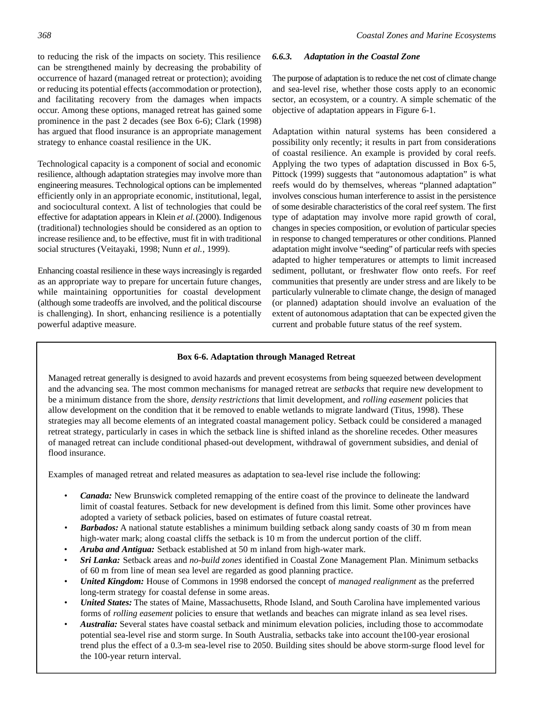to reducing the risk of the impacts on society. This resilience can be strengthened mainly by decreasing the probability of occurrence of hazard (managed retreat or protection); avoiding or reducing its potential effects (accommodation or protection), and facilitating recovery from the damages when impacts occur. Among these options, managed retreat has gained some prominence in the past 2 decades (see Box 6-6); Clark (1998) has argued that flood insurance is an appropriate management strategy to enhance coastal resilience in the UK.

Technological capacity is a component of social and economic resilience, although adaptation strategies may involve more than engineering measures. Technological options can be implemented efficiently only in an appropriate economic, institutional, legal, and sociocultural context. A list of technologies that could be e ffective for adaptation appears in Klein *et al.* (2000). Indigenous (traditional) technologies should be considered as an option to increase resilience and, to be effective, must fit in with traditional social structures (Veitayaki, 1998; Nunn *et al.*, 1999).

Enhancing coastal resilience in these ways increasingly is regarded as an appropriate way to prepare for uncertain future changes, while maintaining opportunities for coastal development (although some tradeoffs are involved, and the political discourse is challenging). In short, enhancing resilience is a potentially powerful adaptive measure.

# *6.6.3. Adaptation in the Coastal Zone*

The purpose of adaptation is to reduce the net cost of climate change and sea-level rise, whether those costs apply to an economic sector, an ecosystem, or a country. A simple schematic of the objective of adaptation appears in Figure 6-1.

Adaptation within natural systems has been considered a possibility only recently; it results in part from considerations of coastal resilience. An example is provided by coral reefs. Applying the two types of adaptation discussed in Box 6-5, Pittock (1999) suggests that "autonomous adaptation" is what reefs would do by themselves, whereas "planned adaptation" involves conscious human interference to assist in the persistence of some desirable characteristics of the coral reef system. The first type of adaptation may involve more rapid growth of coral, changes in species composition, or evolution of particular species in response to changed temperatures or other conditions. Planned adaptation might involve "seeding" of particular reefs with species adapted to higher temperatures or attempts to limit increased sediment, pollutant, or freshwater flow onto reefs. For reef communities that presently are under stress and are likely to be particularly vulnerable to climate change, the design of managed (or planned) adaptation should involve an evaluation of the extent of autonomous adaptation that can be expected given the current and probable future status of the reef system.

#### **Box 6-6. Adaptation through Managed Retreat**

Managed retreat generally is designed to avoid hazards and prevent ecosystems from being squeezed between development and the advancing sea. The most common mechanisms for managed retreat are *setbacks* that require new development to be a minimum distance from the shore, *density restrictions* that limit development, and *rolling easement* policies that allow development on the condition that it be removed to enable wetlands to migrate landward (Titus, 1998). These strategies may all become elements of an integrated coastal management policy. Setback could be considered a managed retreat strategy, particularly in cases in which the setback line is shifted inland as the shoreline recedes. Other measures of managed retreat can include conditional phased-out development, withdrawal of government subsidies, and denial of flood insurance.

Examples of managed retreat and related measures as adaptation to sea-level rise include the following:

- *Canada:* New Brunswick completed remapping of the entire coast of the province to delineate the landward limit of coastal features. Setback for new development is defined from this limit. Some other provinces have adopted a variety of setback policies, based on estimates of future coastal retreat.
- *Barbados:* A national statute establishes a minimum building setback along sandy coasts of 30 m from mean high-water mark; along coastal cliffs the setback is 10 m from the undercut portion of the cliff.
- *Aruba and Antigua:* Setback established at 50 m inland from high-water mark.
- *Sri Lanka:* Setback areas and *no-build zones* identified in Coastal Zone Management Plan. Minimum setbacks of 60 m from line of mean sea level are regarded as good planning practice.
- *United Kingdom:* House of Commons in 1998 endorsed the concept of *managed realignment* as the preferred long-term strategy for coastal defense in some areas.
- *United States:* The states of Maine, Massachusetts, Rhode Island, and South Carolina have implemented various forms of *rolling easement* policies to ensure that wetlands and beaches can migrate inland as sea level rises.
- *Australia:* Several states have coastal setback and minimum elevation policies, including those to accommodate potential sea-level rise and storm surge. In South Australia, setbacks take into account the100-year erosional trend plus the effect of a 0.3-m sea-level rise to 2050. Building sites should be above storm-surge flood level for the 100-year return interval.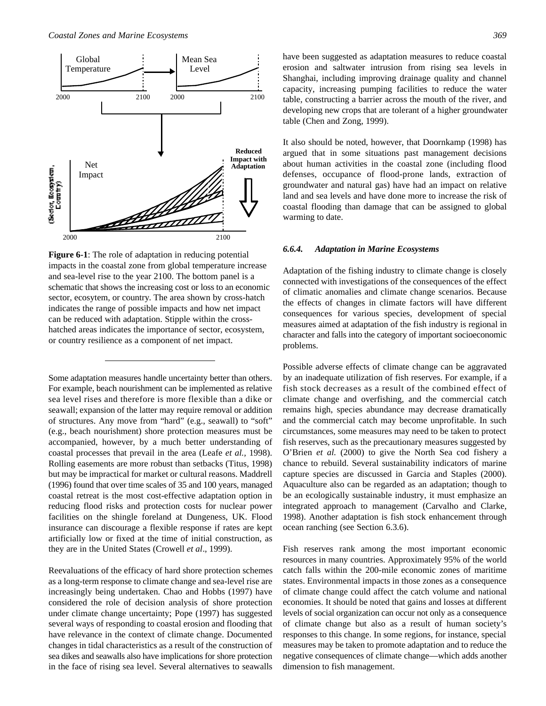

**Figure 6-1**: The role of adaptation in reducing potential impacts in the coastal zone from global temperature increase and sea-level rise to the year 2100. The bottom panel is a schematic that shows the increasing cost or loss to an economic sector, ecosytem, or country. The area shown by cross-hatch indicates the range of possible impacts and how net impact can be reduced with adaptation. Stipple within the crosshatched areas indicates the importance of sector, ecosystem, or country resilience as a component of net impact.

Some adaptation measures handle uncertainty better than others. For example, beach nourishment can be implemented as relative sea level rises and therefore is more flexible than a dike or seawall; expansion of the latter may require removal or addition of structures. Any move from "hard" (e.g., seawall) to "soft" (e.g., beach nourishment) shore protection measures must be accompanied, however, by a much better understanding of coastal processes that prevail in the area (Leafe *et al.,* 1998). Rolling easements are more robust than setbacks (Titus, 1998) but may be impractical for market or cultural reasons. Maddrell (1996) found that over time scales of 35 and 100 years, managed coastal retreat is the most cost-effective adaptation option in reducing flood risks and protection costs for nuclear power facilities on the shingle foreland at Dungeness, UK. Flood insurance can discourage a flexible response if rates are kept artificially low or fixed at the time of initial construction, as they are in the United States (Crowell *et al*., 1999).

Reevaluations of the efficacy of hard shore protection schemes as a long-term response to climate change and sea-level rise are increasingly being undertaken. Chao and Hobbs (1997) have considered the role of decision analysis of shore protection under climate change uncertainty; Pope (1997) has suggested several ways of responding to coastal erosion and flooding that have relevance in the context of climate change. Documented changes in tidal characteristics as a result of the construction of sea dikes and seawalls also have implications for shore protection in the face of rising sea level. Several alternatives to seawalls

have been suggested as adaptation measures to reduce coastal erosion and saltwater intrusion from rising sea levels in Shanghai, including improving drainage quality and channel capacity, increasing pumping facilities to reduce the water table, constructing a barrier across the mouth of the river, and developing new crops that are tolerant of a higher groundwater table (Chen and Zong, 1999).

It also should be noted, however, that Doornkamp (1998) has argued that in some situations past management decisions about human activities in the coastal zone (including flood defenses, occupance of flood-prone lands, extraction of groundwater and natural gas) have had an impact on relative land and sea levels and have done more to increase the risk of coastal flooding than damage that can be assigned to global warming to date.

#### *6.6.4. Adaptation in Marine Ecosystems*

Adaptation of the fishing industry to climate change is closely connected with investigations of the consequences of the effect of climatic anomalies and climate change scenarios. Because the effects of changes in climate factors will have different consequences for various species, development of special measures aimed at adaptation of the fish industry is regional in character and falls into the category of important socioeconomic problems.

Possible adverse effects of climate change can be aggravated by an inadequate utilization of fish reserves. For example, if a fish stock decreases as a result of the combined effect of climate change and overfishing, and the commercial catch remains high, species abundance may decrease dramatically and the commercial catch may become unprofitable. In such circumstances, some measures may need to be taken to protect fish reserves, such as the precautionary measures suggested by O'Brien *et al.* (2000) to give the North Sea cod fishery a chance to rebuild. Several sustainability indicators of marine capture species are discussed in Garcia and Staples (2000). Aquaculture also can be regarded as an adaptation; though to be an ecologically sustainable industry, it must emphasize an integrated approach to management (Carvalho and Clarke, 1998). Another adaptation is fish stock enhancement through ocean ranching (see Section 6.3.6).

Fish reserves rank among the most important economic resources in many countries. Approximately 95% of the world catch falls within the 200-mile economic zones of maritime states. Environmental impacts in those zones as a consequence of climate change could affect the catch volume and national economies. It should be noted that gains and losses at different levels of social organization can occur not only as a consequence of climate change but also as a result of human society's responses to this change. In some regions, for instance, special measures may be taken to promote adaptation and to reduce the negative consequences of climate change—which adds another dimension to fish management.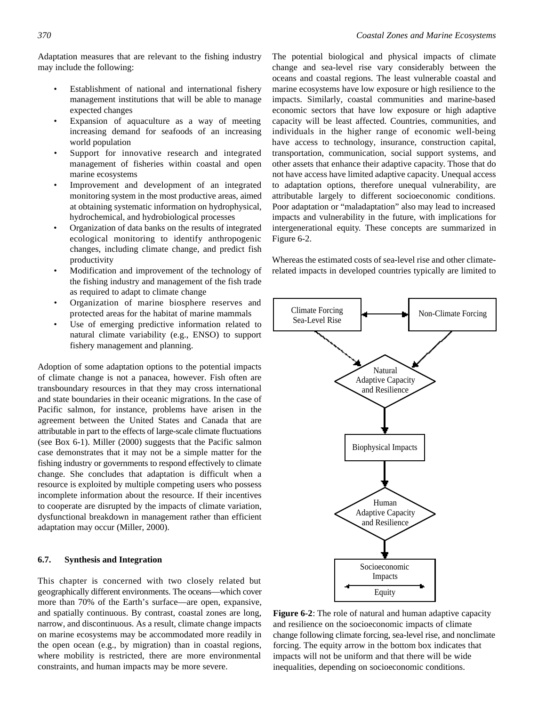Adaptation measures that are relevant to the fishing industry may include the following:

- Establishment of national and international fishery management institutions that will be able to manage expected changes
- Expansion of aquaculture as a way of meeting increasing demand for seafoods of an increasing world population
- Support for innovative research and integrated management of fisheries within coastal and open marine ecosystems
- Improvement and development of an integrated monitoring system in the most productive areas, aimed at obtaining systematic information on hydrophysical, hydrochemical, and hydrobiological processes
- Organization of data banks on the results of integrated ecological monitoring to identify anthropogenic changes, including climate change, and predict fish productivity
- Modification and improvement of the technology of the fishing industry and management of the fish trade as required to adapt to climate change
- Organization of marine biosphere reserves and protected areas for the habitat of marine mammals
- Use of emerging predictive information related to natural climate variability (e.g., ENSO) to support fishery management and planning.

Adoption of some adaptation options to the potential impacts of climate change is not a panacea, however. Fish often are transboundary resources in that they may cross international and state boundaries in their oceanic migrations. In the case of Pacific salmon, for instance, problems have arisen in the agreement between the United States and Canada that are attributable in part to the effects of large-scale climate fluctuations (see Box 6-1). Miller (2000) suggests that the Pacific salmon case demonstrates that it may not be a simple matter for the fishing industry or governments to respond effectively to climate change. She concludes that adaptation is difficult when a resource is exploited by multiple competing users who possess incomplete information about the resource. If their incentives to cooperate are disrupted by the impacts of climate variation, dysfunctional breakdown in management rather than efficient adaptation may occur (Miller, 2000).

# **6.7. Synthesis and Integration**

This chapter is concerned with two closely related but geographically different environments. The oceans—which cover more than 70% of the Earth's surface—are open, expansive, and spatially continuous. By contrast, coastal zones are long, narrow, and discontinuous. As a result, climate change impacts on marine ecosystems may be accommodated more readily in the open ocean (e.g., by migration) than in coastal regions, where mobility is restricted, there are more environmental constraints, and human impacts may be more severe.

The potential biological and physical impacts of climate change and sea-level rise vary considerably between the oceans and coastal regions. The least vulnerable coastal and marine ecosystems have low exposure or high resilience to the impacts. Similarly, coastal communities and marine-based economic sectors that have low exposure or high adaptive capacity will be least affected. Countries, communities, and individuals in the higher range of economic well-being have access to technology, insurance, construction capital, transportation, communication, social support systems, and other assets that enhance their adaptive capacity. Those that do not have access have limited adaptive capacity. Unequal access to adaptation options, therefore unequal vulnerability, are attributable largely to different socioeconomic conditions. Poor adaptation or "maladaptation" also may lead to increased impacts and vulnerability in the future, with implications for intergenerational equity. These concepts are summarized in Figure 6-2.

Whereas the estimated costs of sea-level rise and other climaterelated impacts in developed countries typically are limited to



**Figure 6-2**: The role of natural and human adaptive capacity and resilience on the socioeconomic impacts of climate change following climate forcing, sea-level rise, and nonclimate forcing. The equity arrow in the bottom box indicates that impacts will not be uniform and that there will be wide inequalities, depending on socioeconomic conditions.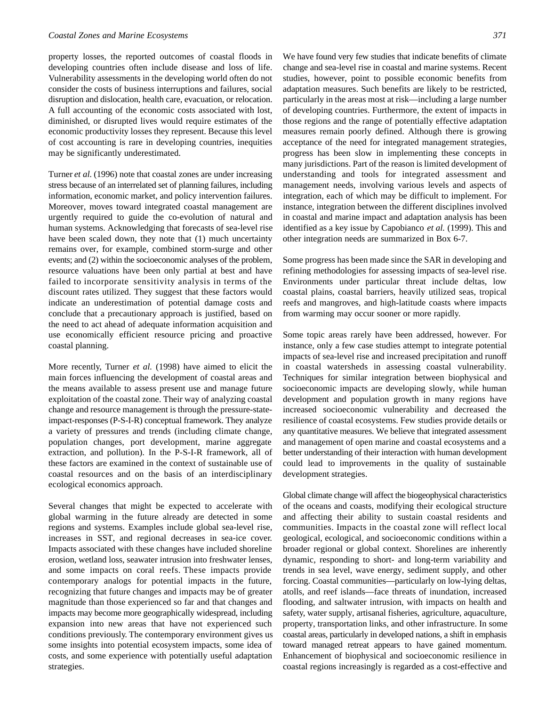property losses, the reported outcomes of coastal floods in developing countries often include disease and loss of life. Vulnerability assessments in the developing world often do not consider the costs of business interruptions and failures, social disruption and dislocation, health care, evacuation, or relocation. A full accounting of the economic costs associated with lost, diminished, or disrupted lives would require estimates of the economic productivity losses they represent. Because this level of cost accounting is rare in developing countries, inequities may be significantly underestimated.

Turner *et al.* (1996) note that coastal zones are under increasing stress because of an interrelated set of planning failures, including information, economic market, and policy intervention failures. Moreover, moves toward integrated coastal management are urgently required to guide the co-evolution of natural and human systems. Acknowledging that forecasts of sea-level rise have been scaled down, they note that (1) much uncertainty remains over, for example, combined storm-surge and other events; and (2) within the socioeconomic analyses of the problem, resource valuations have been only partial at best and have failed to incorporate sensitivity analysis in terms of the discount rates utilized. They suggest that these factors would indicate an underestimation of potential damage costs and conclude that a precautionary approach is justified, based on the need to act ahead of adequate information acquisition and use economically efficient resource pricing and proactive coastal planning.

More recently, Turner *et al.* (1998) have aimed to elicit the main forces influencing the development of coastal areas and the means available to assess present use and manage future exploitation of the coastal zone. Their way of analyzing coastal change and resource management is through the pressure-stateimpact-responses (P-S-I-R) conceptual framework. They analyze a variety of pressures and trends (including climate change, population changes, port development, marine aggregate extraction, and pollution). In the P-S-I-R framework, all of these factors are examined in the context of sustainable use of coastal resources and on the basis of an interdisciplinary ecological economics approach.

Several changes that might be expected to accelerate with global warming in the future already are detected in some regions and systems. Examples include global sea-level rise, increases in SST, and regional decreases in sea-ice cover. Impacts associated with these changes have included shoreline erosion, wetland loss, seawater intrusion into freshwater lenses, and some impacts on coral reefs. These impacts provide contemporary analogs for potential impacts in the future, recognizing that future changes and impacts may be of greater magnitude than those experienced so far and that changes and impacts may become more geographically widespread, including expansion into new areas that have not experienced such conditions previously. The contemporary environment gives us some insights into potential ecosystem impacts, some idea of costs, and some experience with potentially useful adaptation strategies.

We have found very few studies that indicate benefits of climate change and sea-level rise in coastal and marine systems. Recent studies, however, point to possible economic benefits from adaptation measures. Such benefits are likely to be restricted, particularly in the areas most at risk—including a large number of developing countries. Furthermore, the extent of impacts in those regions and the range of potentially effective adaptation measures remain poorly defined. Although there is growing acceptance of the need for integrated management strategies, progress has been slow in implementing these concepts in many jurisdictions. Part of the reason is limited development of understanding and tools for integrated assessment and management needs, involving various levels and aspects of integration, each of which may be difficult to implement. For instance, integration between the different disciplines involved in coastal and marine impact and adaptation analysis has been identified as a key issue by Capobianco *et al.* (1999). This and other integration needs are summarized in Box 6-7.

Some progress has been made since the SAR in developing and refining methodologies for assessing impacts of sea-level rise. Environments under particular threat include deltas, low coastal plains, coastal barriers, heavily utilized seas, tropical reefs and mangroves, and high-latitude coasts where impacts from warming may occur sooner or more rapidly.

Some topic areas rarely have been addressed, however. For instance, only a few case studies attempt to integrate potential impacts of sea-level rise and increased precipitation and runoff in coastal watersheds in assessing coastal vulnerability. Techniques for similar integration between biophysical and socioeconomic impacts are developing slowly, while human development and population growth in many regions have increased socioeconomic vulnerability and decreased the resilience of coastal ecosystems. Few studies provide details or any quantitative measures. We believe that integrated assessment and management of open marine and coastal ecosystems and a better understanding of their interaction with human development could lead to improvements in the quality of sustainable development strategies.

Global climate change will affect the biogeophysical characteristics of the oceans and coasts, modifying their ecological structure and affecting their ability to sustain coastal residents and communities. Impacts in the coastal zone will reflect local geological, ecological, and socioeconomic conditions within a broader regional or global context. Shorelines are inherently dynamic, responding to short- and long-term variability and trends in sea level, wave energy, sediment supply, and other forcing. Coastal communities—particularly on low-lying deltas, atolls, and reef islands—face threats of inundation, increased flooding, and saltwater intrusion, with impacts on health and safety, water supply, artisanal fisheries, agriculture, aquaculture, property, transportation links, and other infrastructure. In some coastal areas, particularly in developed nations, a shift in emphasis toward managed retreat appears to have gained momentum. Enhancement of biophysical and socioeconomic resilience in coastal regions increasingly is regarded as a cost-effective and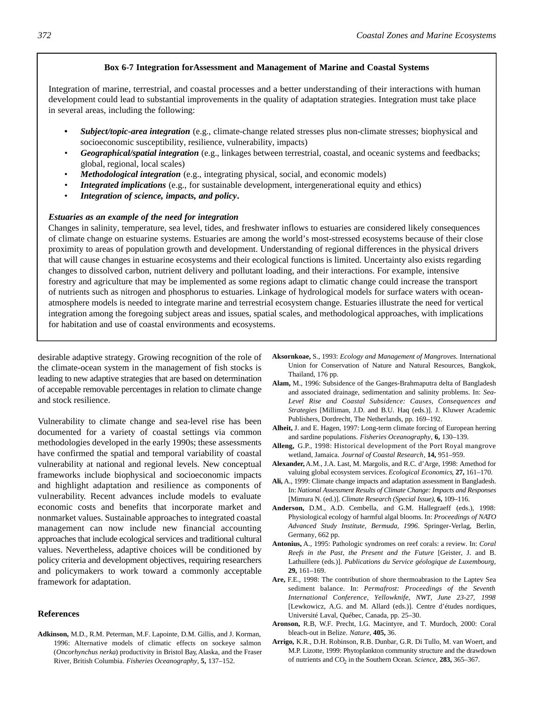## **Box 6-7 Integration forAssessment and Management of Marine and Coastal Systems**

Integration of marine, terrestrial, and coastal processes and a better understanding of their interactions with human development could lead to substantial improvements in the quality of adaptation strategies. Integration must take place in several areas, including the following:

- *Subject/topic-area integration* (e.g., climate-change related stresses plus non-climate stresses; biophysical and socioeconomic susceptibility, resilience, vulnerability, impacts)
- *Geographical/spatial integration* (e.g., linkages between terrestrial, coastal, and oceanic systems and feedbacks; global, regional, local scales)
- *Methodological integration* (e.g., integrating physical, social, and economic models)
- *Integrated implications* (e.g., for sustainable development, intergenerational equity and ethics)
- *Integration of science, impacts, and policy***.**

#### *Estuaries as an example of the need for integration*

Changes in salinity, temperature, sea level, tides, and freshwater inflows to estuaries are considered likely consequences of climate change on estuarine systems. Estuaries are among the world's most-stressed ecosystems because of their close proximity to areas of population growth and development. Understanding of regional differences in the physical drivers that will cause changes in estuarine ecosystems and their ecological functions is limited. Uncertainty also exists regarding changes to dissolved carbon, nutrient delivery and pollutant loading, and their interactions. For example, intensive forestry and agriculture that may be implemented as some regions adapt to climatic change could increase the transport of nutrients such as nitrogen and phosphorus to estuaries. Linkage of hydrological models for surface waters with oceanatmosphere models is needed to integrate marine and terrestrial ecosystem change. Estuaries illustrate the need for vertical integration among the foregoing subject areas and issues, spatial scales, and methodological approaches, with implications for habitation and use of coastal environments and ecosystems.

desirable adaptive strategy. Growing recognition of the role of the climate-ocean system in the management of fish stocks is leading to new adaptive strategies that are based on determination of accepable removable percentages in relation to climate change and stock resilience.

Vulnerability to climate change and sea-level rise has been documented for a variety of coastal settings via common methodologies developed in the early 1990s; these assessments have confirmed the spatial and temporal variability of coastal vulnerability at national and regional levels. New conceptual frameworks include biophysical and socioeconomic impacts and highlight adaptation and resilience as components of vulnerability. Recent advances include models to evaluate economic costs and benefits that incorporate market and nonmarket values. Sustainable approaches to integrated coastal management can now include new financial accounting approaches that include ecological services and traditional cultural values. Nevertheless, adaptive choices will be conditioned by policy criteria and development objectives, requiring researchers and policymakers to work toward a commonly acceptable framework for adaptation.

#### **References**

**Adkinson,** M.D., R.M. Peterman, M.F. Lapointe, D.M. Gillis, and J. Korman, 1996: Alternative models of climatic effects on sockeye salmon (*Oncorhynchus nerka*) productivity in Bristol Bay, Alaska, and the Fraser River, British Columbia. *Fisheries Oceanography*, **5,** 137–152.

- **Aksornkoae,** S., 1993: *Ecology and Management of Mangroves.* International Union for Conservation of Nature and Natural Resources, Bangkok, Thailand, 176 pp.
- **Alam,** M., 1996: Subsidence of the Ganges-Brahmaputra delta of Bangladesh and associated drainage, sedimentation and salinity problems. In: *Sea-Level Rise and Coastal Subsidence: Causes, Consequences and Strategies* [Milliman, J.D. and B.U. Haq (eds.)]. J. Kluwer Academic Publishers, Dordrecht, The Netherlands, pp. 169–192.
- **Alheit,** J. and E. Hagen, 1997: Long-term climate forcing of European herring and sardine populations. *Fisheries Oceanography*, **6,** 130–139.
- Alleng, G.P., 1998: Historical development of the Port Royal mangrove w e tland, Jamaica. *Journal of Coastal Research*, **14,** 951–959.
- Alexander, A.M., J.A. Last, M. Margolis, and R.C. d'Arge, 1998: Amethod for valuing global ecosystem services. *Ecological Economics*, 27, 161-170.
- Ali, A., 1999: Climate change impacts and adaptation assessment in Bangladesh. In: *National Assessment Results of Climate Change: Impacts and Responses* [Mimura N. (ed.)]. *Climate Research* (Special Issue), **6**, 109-116.
- Anderson, D.M., A.D. Cembella, and G.M. Hallegraeff (eds.), 1998: Physiological ecology of harmful algal blooms. In: *Proceedings of NATO Advanced Study Institute, Bermuda, 1996*. Springer- Verlag, Berlin, Germany, 662 pp.
- **Antonius,** A., 1995: Pathologic syndromes on reef corals: a review. In: *Coral Reefs in the Past, the Present and the Future* [Geister, J. and B. Lathuillere (eds.)]. *Publications du Service géologique de Luxembourg*, **29,** 161–169.
- **Are,** F.E., 1998: The contribution of shore thermoabrasion to the Laptev Sea sediment balance. In: Permafrost: Proceedings of the Seventh *International Conference, Yellowknife, NWT, June 23-27, 1998* [Lewkowicz, A.G. and M. Allard (eds.)]. Centre d'études nordiques, Université Laval, Québec, Canada, pp. 25–30.
- **Aronson,** R.B, W.F. Precht, I.G. Macintyre, and T. Murdoch, 2000: Coral bleach-out in Belize. *Nature,* **405,** 36.
- Arrigo, K.R., D.H. Robinson, R.B. Dunbar, G.R. Di Tullo, M. van Woert, and M.P. Lizotte, 1999: Phytoplankton community structure and the drawdown of nutrients and CO<sub>2</sub> in the Southern Ocean. *Science*, **283**, 365–367.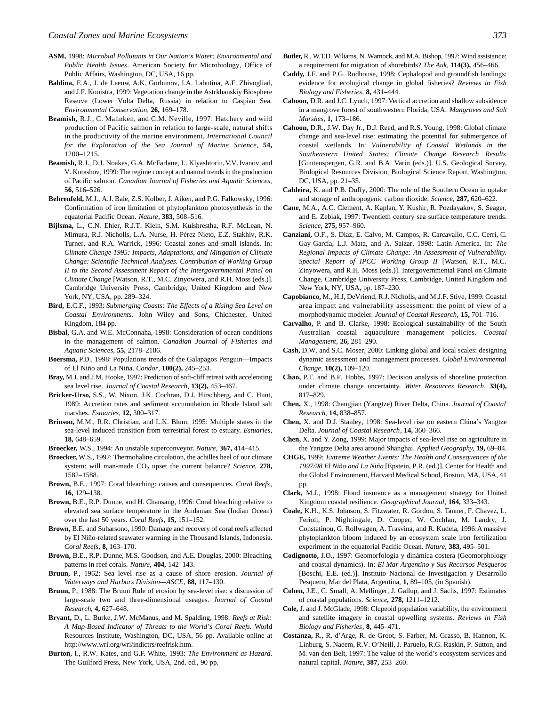- **ASM,** 1998: *Microbial Pollutants in Our Nation's Water: Environmental and Public Health Issues*. American Society for Microbiology, Office of Public Affairs, Washington, DC, USA, 16 pp.
- **Baldina,** E.A., J. de Leeuw, A.K. Gorbunov, I.A. Labutina, A.F. Zhivogliad, and J.F. Kooistra, 1999: Vegetation change in the Astrkhanskiy Biosphere Reserve (Lower Volta Delta, Russia) in relation to Caspian Sea. *Environmental Conservation,* **26,** 169–178.
- Beamish, R.J., C. Mahnken, and C.M. Neville, 1997: Hatchery and wild production of Pacific salmon in relation to large-scale, natural shifts in the productivity of the marine environment. *International Council* for the Exploration of the Sea Journal of Marine Science, 54,  $1200 - 1215$ .
- **Beamish,** R.J., D.J. Noakes, G.A. McFarlane, L. Klyashtorin, V.V. Ivanov, and V. Kurashov, 1999: The regime concept and natural trends in the production of Pacific salmon. *Canadian Journal of Fisheries and Aquatic Sciences,* **56,** 516–526.
- **Behrenfeld,** M.J., A.J. Bale, Z.S. Kolber, J. Aiken, and P.G. Falkowsky, 1996: Confirmation of iron limitation of phytoplankton photosynthesis in the equatorial Pacific Ocean. *Nature*, **383,** 508–516.
- **Bijlsma,** L., C.N. Ehler, R.J.T. Klein, S.M. Kulshrestha, R.F. McLean, N. Mimura, R.J. Nicholls, L.A. Nurse, H. Pérez Nieto, E.Z. Stakhiv, R.K. Turner, and R.A. Warrick, 1996: Coastal zones and small islands. In: *Climate Change 1995: Impacts, Adaptations, and Mitigation of Climate Change: Scientific-Technical Analyses. Contribution of Working Group II to the Second Assessment Report of the Intergovernmental Panel on Climate Change* [Watson, R.T., M.C. Zinyowera, and R.H. Moss (eds.)]. Cambridge University Press, Cambridge, United Kingdom and New York, NY, USA, pp. 289–324.
- **Bird,** E.C.F., 1993: *Submerging Coasts: The Effects of a Rising Sea Level on Coastal Environments.* John Wiley and Sons, Chichester, United Kingdom, 184 pp.
- **Bisbal,** G.A. and W.E. McConnaha, 1998: Consideration of ocean conditions in the management of salmon. *Canadian Journal of Fisheries and Aquatic Sciences,* **55,** 2178–2186.
- **Boersma,** P.D., 1998: Populations trends of the Galapagos Penguin—Impacts of El Niño and La Niña. *Condor*, **100(2),** 245–253.
- Bray, M.J. and J.M. Hooke, 1997: Prediction of soft-cliff retreat with accelerating sea level rise. *Journal of Coastal Research*, **13(2),** 453–467.
- **Bricker-Urso,** S.S., W. Nixon, J.K. Cochran, D.J. Hirschberg, and C. Hunt, 1989: Accretion rates and sediment accumulation in Rhode Island salt marshes. *Estuaries*, **12,** 300–317.
- **Brinson,** M.M., R.R. Christian, and L.K. Blum, 1995: Multiple states in the sea-level induced transition from terrestrial forest to estuary. *Estuaries*, **18,** 648–659.
- **Broecker,** W.S., 1994: An unstable superconveyor. *Nature*, **367,** 414–415.
- **Broecker,** W.S., 1997: Thermohaline circulation, the achilles heel of our climate system: will man-made CO<sub>2</sub> upset the current balance? *Science*, **278**, 1582–1588.
- **Brown,** B.E., 1997: Coral bleaching: causes and consequences. *Coral Reefs*, **16,** 129–138.
- **Brown,** B.E., R.P. Dunne, and H. Chansang, 1996: Coral bleaching relative to elevated sea surface temperature in the Andaman Sea (Indian Ocean) over the last 50 years. *Coral Reefs*, **15,** 151–152.
- Brown, B.E. and Suharsono, 1990: Damage and recovery of coral reefs affected by El Niño-related seawater warming in the Thousand Islands, Indonesia. *Coral Reefs*, **8,** 163–170.
- **Brown,** B.E., R.P. Dunne, M.S. Goodson, and A.E. Douglas, 2000: Bleaching patterns in reef corals. *Nature*, **404,** 142–143.
- **Bruun,** P., 1962: Sea level rise as a cause of shore erosion. *Journal of Waterways and Harbors Division—ASCE*, **88,** 117–130.
- **Bruun,** P., 1988: The Bruun Rule of erosion by sea-level rise: a discussion of large-scale two and three-dimensional useages. *Journal of Coastal Research*, **4,** 627–648.
- **Bryant,** D., L. Burke, J.W. McManus, and M. Spalding, 1998: *Reefs at Risk: A Map-Based Indicator of Threats to the World's Coral Reefs.* World Resources Institute, Washington, DC, USA, 56 pp. Available online at http://www.wri.org/wri/indictrs/reefrisk.htm.
- **Burton,** I., R.W. Kates, and G.F. White, 1993: *The Environment as Hazard*. The Guilford Press, New York, USA, 2nd. ed., 90 pp.
- **Butler, R., W.T.D. Wiliams, N. Warnock, and M.A. Bishop, 1997: Wind assistance:** a requirement for migration of shorebirds? *The Auk*, **114(3),** 456–466.
- **Caddy,** J.F. and P.G. Rodhouse, 1998: Cephalopod and groundfish landings: evidence for ecological change in global fisheries? *Reviews in Fish Biology and Fisheries*, **8,** 431–444.
- **Cahoon,** D.R. and J.C. Lynch, 1997: Vertical accretion and shallow subsidence in a mangrove forest of southwestern Florida, USA. *Mangroves and Salt Marshes*, **1,** 173–186.
- **Cahoon,** D.R., J.W. Day Jr., D.J. Reed, and R.S. Young, 1998: Global climate change and sea-level rise: estimating the potential for submergence of coastal wetlands. In: *Vulnerability of Coastal Wetlands in the Southeastern United States: Climate Change Research Results* [Guntenspergen, G.R. and B.A. Varin (eds.)]. U.S. Geological Survey, Biological Resources Division, Biological Science Report, Washington, DC, USA, pp. 21–35.
- **Caldeira,** K. and P.B. Duffy, 2000: The role of the Southern Ocean in uptake and storage of anthropogenic carbon dioxide. *Science*, **287,** 620–622.
- **Cane,** M.A., A.C. Clement, A. Kaplan, Y. Kushir, R. Pozdayakov, S. Seager, and E. Zebiak, 1997: Twentieth century sea surface temperature trends. *Science*, **275,** 957–960.
- **Canziani,** O.F., S. Diaz, E. Calvo, M. Campos, R. Carcavallo, C.C. Cerri, C. Gay-García, L.J. Mata, and A. Saizar, 1998: Latin America. In: *The Regional Impacts of Climate Change: An Assessment of Vulnerability.* Special Report of IPCC Working Group II [Watson, R.T., M.C. Zinyowera, and R.H. Moss (eds.)]. Intergovernmental Panel on Climate Change, Cambridge University Press, Cambridge, United Kingdom and New York, NY, USA, pp. 187–230.
- **Capobianco,** M., H.J, DeVriend, R.J. Nicholls, and M.J.F. Stive, 1999: Coastal area impact and vulnerability assessment: the point of view of a morphodynamic modeler. *Journal of Coastal Research*, **15,** 701-716.
- **Carvalho,** P. and B. Clarke, 1998: Ecological sustainability of the South Australian coastal aquaculture management policies. *Coastal Management,* **26,** 281–290.
- **Cash,** D.W. and S.C. Moser, 2000: Linking global and local scales: designing dynamic assessment and management processes. *Global Environmental Change,* **10(2),** 109–120.
- **Chao,** P.T. and B.F. Hobbs, 1997: Decision analysis of shoreline protection under climate change uncertainty. *Water Resources Research*, **33(4),** 817–829.
- **Chen,** X., 1998: Changjian (Yangtze) River Delta, China. *Journal of Coastal Research*, **14,** 838–857.
- **Chen,** X. and D.J. Stanley, 1998: Sea-level rise on eastern China's Yangtze Delta. *Journal of Coastal Research*, **14,** 360–366.
- **Chen,** X. and Y. Zong, 1999: Major impacts of sea-level rise on agriculture in the Yangtze Delta area around Shanghai. *Applied Geography,* **19,** 69–84.
- **CHGE,** 1999: *Extreme Weather Events: The Health and Consequences of the 1997/98 El Niño and La Niña* [Epstein, P.R. (ed.)]. Center for Health and the Global Environment, Harvard Medical School, Boston, MA, USA, 41 pp.
- **Clark,** M.J., 1998: Flood insurance as a management strategy for United Kingdom coastal resilience. *Geographical Journal*, **164,** 333–343.
- **Coale,** K.H., K.S. Johnson, S. Fitzwater, R. Gordon, S. Tanner, F. Chavez, L. Ferioli, P. Nightingale, D. Cooper, W. Cochlan, M. Landry, J. Constatinou, G. Rollwagen, A. Trasvina, and R. Kudela, 1996: A massive phytoplankton bloom induced by an ecosystem scale iron fertilization experiment in the equatorial Pacific Ocean. *Nature*, **383,** 495–501.
- **Codignotto,** J.O., 1997: Geomorfologia y dinámica costera (Geomorphology and coastal dynamics). In: *El Mar Argentino y Sus Recursos Pesqueros* [Boschi, E.E. (ed.)]. Instituto Nacional de Investigacion y Desarrollo Pesquero, Mar del Plata, Argentina, **1,** 89–105, (in Spanish).
- **Cohen,** J.E., C. Small, A. Mellinger, J. Gallup, and J. Sachs, 1997: Estimates of coastal populations. *Science,* **278,** 1211–1212.
- Cole, J. and J. McGlade, 1998: Clupeoid population variability, the environment and satellite imagery in coastal upwelling systems. *Reviews in Fish Biology and Fisheries*, **8,** 445–471.
- **Costanza,** R., R. d'Arge, R. de Groot, S. Farber, M. Grasso, B. Hannon, K. Linburg, S. Naeem, R.V. O'Neill, J. Paruelo, R.G. Raskin, P. Sutton, and M. van den Belt, 1997: The value of the world's ecosystem services and natural capital. *Nature*, **387,** 253–260.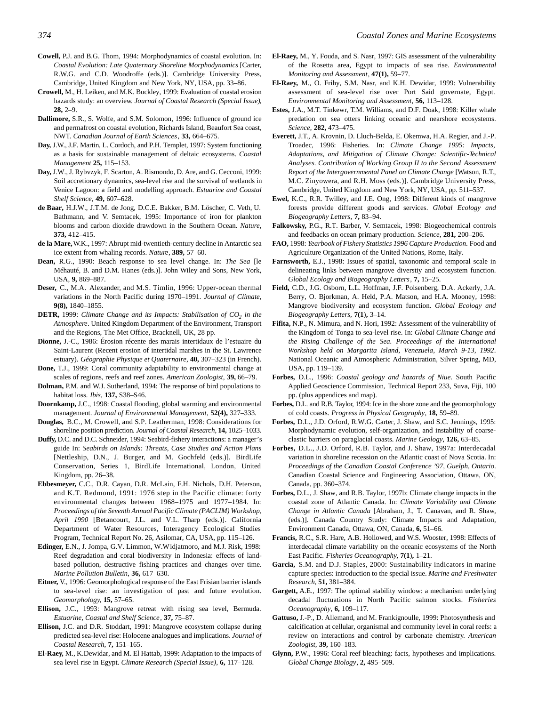- **Cowell,** P.J. and B.G. Thom, 1994: Morphodynamics of coastal evolution. In: *Coastal Evolution: Late Quaternary Shoreline Morphodynamics* [Carter, R.W.G. and C.D. Woodroffe (eds.)]. Cambridge University Press, Cambridge, United Kingdom and New York, NY, USA, pp. 33–86.
- **Crowell, M., H. Leiken, and M.K. Buckley, 1999: Evaluation of coastal erosion** hazards study: an overview. *Journal of Coastal Research (Special Issue)*, **28,** 2–9.
- **Dallimore,** S.R., S. Wolfe, and S.M. Solomon, 1996: Influence of ground ice and permafrost on coastal evolution, Richards Island, Beaufort Sea coast, NWT. *Canadian Journal of Earth Sciences*, **33,** 664–675.
- Day, J.W., J.F. Martin, L. Cordoch, and P.H. Templet, 1997: System functioning as a basis for sustainable management of deltaic ecosystems. *Coastal Management* **25,** 115–153.
- **Day,** J.W., J. Rybvzyk, F. Scarton, A. Rismondo, D. Are, and G. Cecconi, 1999: Soil accretionary dynamics, sea-level rise and the survival of wetlands in Venice Lagoon: a field and modelling approach. *Estuarine and Coastal Shelf Science,* **49,** 607–628.
- **de Baar,** H.J.W., J.T.M. de Jong, D.C.E. Bakker, B.M. Löscher, C. Veth, U. Bathmann, and V. Semtacek, 1995: Importance of iron for plankton blooms and carbon dioxide drawdown in the Southern Ocean. *Nature*, **373,** 412–415.
- **de la Mare,**W.K., 1997: Abrupt mid-twentieth-century decline in Antarctic sea ice extent from whaling records. *Nature*, **389,** 57–60.
- **Dean,** R.G., 1990: Beach response to sea level change. In: *The Sea* [le Méhauté, B. and D.M. Hanes (eds.)]. John Wiley and Sons, New York, USA, **9,** 869–887.
- **Deser,** C., M.A. Alexander, and M.S. Timlin, 1996: Upper-ocean thermal variations in the North Pacific during 1970-1991. *Journal of Climate*, **9(8),** 1840–1855.
- **DETR,** 1999: *Climate Change and its Impacts: Stabilisation of CO<sup>2</sup> in the Atmosphere*. United Kingdom Department of the Environment, Transport and the Regions, The Met Office, Bracknell, UK, 28 pp.
- **Dionne,** J.-C., 1986: Érosion récente des marais intertidaux de l'estuaire du Saint-Laurent (Recent erosion of intertidal marshes in the St. Lawrence estuary). *Géographie Physique et Quaternaire*, **40,** 307–323 (in French).
- **Done,** T.J., 1999: Coral community adaptability to environmental change at scales of regions, reefs and reef zones. *American Zoologist,* **39,** 66–79.
- **Dolman,** P.M. and W.J. Sutherland, 1994: The response of bird populations to habitat loss. *Ibis*, **137,** S38–S46.
- **Doornkamp,** J.C., 1998: Coastal flooding, global warming and environmental management. *Journal of Environmental Management*, **52(4),** 327–333.
- **Douglas, B.C., M. Crowell, and S.P. Leatherman, 1998: Considerations for** shoreline position prediction. *Journal of Coastal Research*, **14**, 1025-1033.
- Duffy, D.C. and D.C. Schneider, 1994: Seabird-fishery interactions: a manager's guide In: *Seabirds on Islands: Threats, Case Studies and Action Plans* [Nettleship, D.N., J. Burger, and M. Gochfeld (eds.)]. BirdLife Conservation, Series 1, BirdLife International, London, United Kingdom, pp. 26–38.
- **Ebbesmeyer,** C.C., D.R. Cayan, D.R. McLain, F.H. Nichols, D.H. Peterson, and K.T. Redmond, 1991: 1976 step in the Pacific climate: forty environmental changes between 1968–1975 and 1977–1984. In: *Proceedings of the Seventh Annual Pacific Climate (PACLIM) Workshop, April 1990* [Betancourt, J.L. and V.L. Tharp (eds.)]. California Department of Water Resources, Interagency Ecological Studies Program, Technical Report No. 26, Asilomar, CA, USA, pp. 115–126.
- **Edinger,** E.N., J. Jompa, G.V. Limmon, W.Widjatmoro, and M.J. Risk, 1998: Reef degradation and coral biodiversity in Indonesia: effects of landbased pollution, destructive fishing practices and changes over time. *Marine Pollution Bulletin*, **36,** 617–630.
- **Eitner,** V., 1996: Geomorphological response of the East Frisian barrier islands to sea-level rise: an investigation of past and future evolution. *Geomorphology,* **15,** 57–65.
- Ellison, J.C., 1993: Mangrove retreat with rising sea level, Bermuda. *Estuarine, Coastal and Shelf Science*, **37,** 75–87.
- **Ellison,** J.C. and D.R. Stoddart, 1991: Mangrove ecosystem collapse during predicted sea-level rise: Holocene analogues and implications. *Journal of Coastal Research*, **7,** 151–165.
- **El-Raey,** M., K.Dewidar, and M. El Hattab, 1999: Adaptation to the impacts of sea level rise in Egypt. *Climate Research (Special Issue)*, **6,** 117–128.
- **El-Raey,** M., Y. Fouda, and S. Nasr, 1997: GIS assessment of the vulnerability of the Rosetta area, Egypt to impacts of sea rise. *Environmental Monitoring and Assessment*, **47(1),** 59–77.
- **El-Raey,** M., O. Frihy, S.M. Nasr, and K.H. Dewidar, 1999: Vulnerability assessment of sea-level rise over Port Said governate, Egypt. *Environmental Monitoring and Assessment,* **56,** 113–128.
- **Estes,** J.A., M.T. Tinkewr, T.M. Williams, and D.F. Doak, 1998: Killer whale predation on sea otters linking oceanic and nearshore ecosystems. *Science*, **282,** 473–475.
- Everett, J.T., A. Krovnin, D. Lluch-Belda, E. Okemwa, H.A. Regier, and J.-P. Troadec, 1996: Fisheries. In: *Climate Change 1995: Impacts,* Adaptations, and Mitigation of Climate Change: Scientific-Technical Analyses. Contribution of Working Group II to the Second Assessment *Report of the Intergovernmental Panel on Climate Change* [Watson, R.T., M.C. Zinyowera, and R.H. Moss (eds.)]. Cambridge University Press, Cambridge, United Kingdom and New York, NY, USA, pp. 511-537.
- **Ewel,** K.C., R.R. Twilley, and J.E. Ong, 1998: Different kinds of mangrove forests provide different goods and services. *Global Ecology and Biogeography Letters*, **7,** 83–94.
- **Falkowsky,** P.G., R.T. Barber, V. Semtacek, 1998: Biogeochemical controls and feedbacks on ocean primary production. *Science*, **281,** 200–206.
- **FAO,** 1998: *Yearbook of Fishery Statistics 1996 Capture Production*. Food and Agriculture Organization of the United Nations, Rome, Italy.
- **Farnsworth,** E.J., 1998: Issues of spatial, taxonomic and temporal scale in delineating links between mangrove diverstiy and ecosystem function. *Global Ecology and Biogeography Letters*, **7,** 15–25.
- **Field,** C.D., J.G. Osborn, L.L. Hoffman, J.F. Polsenberg, D.A. Ackerly, J.A. Berry, O. Bjorkman, A. Held, P.A. Matson, and H.A. Mooney, 1998: Mangrove biodiversity and ecosystem function. *Global Ecology and Biogeography Letters,* **7(1**)**,** 3–14.
- **Fifita,** N.P., N. Mimura, and N. Hori, 1992: Assessment of the vulnerability of the Kingdom of Tonga to sea-level rise. In: *Global Climate Change and the Rising Challenge of the Sea. Proceedings of the International Workshop held on Margarita Island, Venezuela, March 9-13, 1992*. National Oceanic and Atmospheric Administration, Silver Spring, MD, USA, pp. 119–139.
- **Forbes,** D.L., 1996: *Coastal geology and hazards of Niue*. South Pacific Applied Geoscience Commission, Technical Report 233, Suva, Fiji, 100 pp. (plus appendices and map).
- Forbes, D.L. and R.B. Taylor, 1994: Ice in the shore zone and the geomorphology of cold coasts. *Progress in Physical Geography*, **18,** 59–89.
- **Forbes,** D.L., J.D. Orford, R.W.G. Carter, J. Shaw, and S.C. Jennings, 1995: Morphodynamic evolution, self-organization, and instability of coarseclastic barriers on paraglacial coasts. *Marine Geology*, **126,** 63–85.
- Forbes, D.L., J.D. Orford, R.B. Taylor, and J. Shaw, 1997a: Interdecadal variation in shoreline recession on the Atlantic coast of Nova Scotia. In: *Proceedings of the Canadian Coastal Conference '97, Guelph, Ontario*. Canadian Coastal Science and Engineering Association, Ottawa, ON, Canada, pp. 360–374.
- **Forbes,** D.L., J. Shaw, and R.B. Taylor, 1997b: Climate change impacts in the coastal zone of Atlantic Canada. In: *Climate Variability and Climate Change in Atlantic Canada* [Abraham, J., T. Canavan, and R. Shaw, (eds.)]. Canada Country Study: Climate Impacts and Adaptation, Environment Canada, Ottawa, ON, Canada, **6,** 51–66.
- **Francis,** R.C., S.R. Hare, A.B. Hollowed, and W.S. Wooster, 1998: Effects of interdecadal climate variability on the oceanic ecosystems of the North East Pacific. *Fisheries Oceanography,* **7(1**)**,** 1–21.
- Garcia, S.M. and D.J. Staples, 2000: Sustainability indicators in marine capture species: introduction to the special issue. *Marine and Freshwater Research,* **51,** 381–384.
- **Gargett,** A.E., 1997: The optimal stability window: a mechanism underlying decadal fluctuations in North Pacific salmon stocks. Fisheries *Oceanography*, **6,** 109–117.
- **Gattuso,** J.-P., D. Allemand, and M. Frankignoulle, 1999: Photosynthesis and calcification at cellular, organismal and community level in coral reefs: a review on interactions and control by carbonate chemistry. *American Zoologist,* **39,** 160–183.
- **Glynn,** P.W., 1996: Coral reef bleaching: facts, hypotheses and implications. *Global Change Biology*, **2,** 495–509.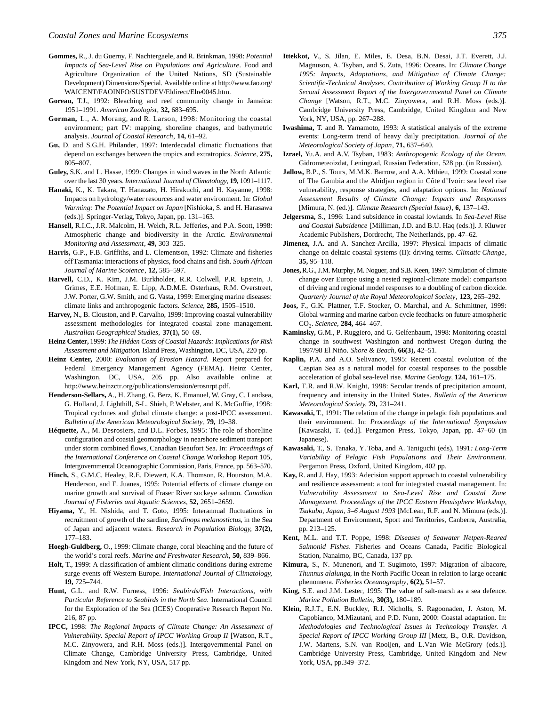- **Gommes,** R., J. du Guerny, F. Nachtergaele, and R. Brinkman, 1998: *Potential Impacts of Sea-Level Rise on Populations and Agriculture*. Food and Agriculture Organization of the United Nations, SD (Sustainable Development) Dimensions/Special. Available online at http://www.fao.org/ WAICENT/FAOINFO/SUSTDEV/Eldirect/Elre0045.htm.
- **Goreau,** T.J., 1992: Bleaching and reef community change in Jamaica: 1951–1991. *American Zoologist*, **32,** 683–695.
- Gorman, L., A. Morang, and R. Larson, 1998: Monitoring the coastal environment; part IV: mapping, shoreline changes, and bathymetric analysis. *Journal of Coastal Research*, **14,** 61–92.
- **Gu,** D. and S.G.H. Philander, 1997: Interdecadal climatic fluctuations that depend on exchanges between the tropics and extratropics. *Science*, **275,** 805–807.
- **Guley,** S.K. and L. Hasse, 1999: Changes in wind waves in the North Atlantic over the last 30 years. *International Journal of Climatology*, **19**, 1091-1117.
- **Hanaki,** K., K. Takara, T. Hanazato, H. Hirakuchi, and H. Kayanne, 1998: Impacts on hydrology/water resources and water environment. In: *Global Warming: The Potential Impact on Japan* [Nishioka, S. and H. Harasawa (eds.)]. Springer-Verlag, Tokyo, Japan, pp. 131–163.
- **Hansell,** R.I.C., J.R. Malcolm, H. Welch, R.L. Jefferies, and P.A. Scott, 1998: Atmospheric change and biodiversity in the Arctic. *Environmental Monitoring and Assessment*, **49,** 303–325.
- **Harris,** G.P., F.B. Griffiths, and L. Clementson, 1992: Climate and fisheries offTasmania: interactions of physics, food chains and fish. *South African Journal of Marine Scoience*, **12,** 585–597.
- **Harvell,** C.D., K. Kim, J.M. Burkholder, R.R. Colwell, P.R. Epstein, J. Grimes, E.E. Hofman, E. Lipp, A.D.M.E. Osterhaus, R.M. Overstreet, J.W. Porter, G.W. Smith, and G. Vasta, 1999: Emerging marine diseases: climate links and anthropogenic factors. *Science*, **285,** 1505–1510.
- Harvey, N., B. Clouston, and P. Carvalho, 1999: Improving coastal vulnerability assessment methodologies for integrated coastal zone management. *Australian Geographical Studies,* **37(1**)**,** 50–69.
- **Heinz Center,** 1999: *The Hidden Costs of Coastal Hazards: Implications for Risk Assessment and Mitigation*. Island Press, Washington, DC, USA, 220 pp.
- **Heinz Center,** 2000: *Evaluation of Erosion Hazard*. Report prepared for Federal Emergency Management Agency (FEMA). Heinz Center, Washington, DC, USA, 205 pp. Also available online at http://www.heinzctr.org/publications/erosion/erosnrpt.pdf.
- **Henderson-Sellars,** A., H. Zhang, G. Berz, K. Emanuel, W. Gray, C. Landsea, G. Holland, J. Lighthill, S-L. Shieh, P. Webster, and K. McGuffie, 1998: Tropical cyclones and global climate change: a post-IPCC assessment. *Bulletin of the American Meteorological Society*, **79,** 19–38.
- Héquette, A., M. Desrosiers, and D.L. Forbes, 1995: The role of shoreline configuration and coastal geomorphology in nearshore sediment transport under storm combined flows, Canadian Beaufort Sea. In: *Proceedings of the International Conference on Coastal Change*. Workshop Report 105, Intergovernmental Oceanographic Commission, Paris, France, pp. 563-570.
- **Hinch,** S., G.M.C. Healey, R.E. Diewert, K.A. Thomson, R. Hourston, M.A. Henderson, and F. Juanes, 1995: Potential effects of climate change on marine growth and survival of Fraser River sockeye salmon. *Canadian Journal of Fisheries and Aquatic Sciences*, **52,** 2651–2659.
- **Hiyama,** Y., H. Nishida, and T. Goto, 1995: Interannual fluctuations in recruitment of growth of the sardine, *Sardinops melanostictus*, in the Sea of Japan and adjacent waters. *Research in Population Biology,* **37(2**)**,** 177–183.
- **Hoegh-Guldberg,** O., 1999: Climate change, coral bleaching and the future of the world's coral reefs. *Marine and Freshwater Research,* **50,** 839–866.
- **Holt,** T., 1999: A classification of ambient climatic conditions during extreme surge events off Western Europe. *International Journal of Climatology,* **19,** 725–744.
- Hunt, G.L. and R.W. Furness, 1996: *Seabirds/Fish Interactions, with Particular Reference to Seabirds in the North Sea.* International Council for the Exploration of the Sea (ICES) Cooperative Research Report No. 216, 87 pp.
- **IPCC,** 1998: *The Regional Impacts of Climate Change: An Assessment of Vulnerability. Special Report of IPCC Working Group II* [Watson, R.T., M.C. Zinyowera, and R.H. Moss (eds.)]. Intergovernmental Panel on Climate Change, Cambridge University Press, Cambridge, United Kingdom and New York, NY, USA, 517 pp.
- **Ittekkot,** V., S. Jilan, E. Miles, E. Desa, B.N. Desai, J.T. Everett, J.J. Magnuson, A. Tsyban, and S. Zuta, 1996: Oceans. In: *Climate Change 1995: Impacts, Adaptations, and Mitigation of Climate Change: Scientific-Technical Analyses. Contribution of Working Group II to the Second Assessment Report of the Intergovernmental Panel on Climate Change* [Watson, R.T., M.C. Zinyowera, and R.H. Moss (eds.)]. Cambridge University Press, Cambridge, United Kingdom and New York, NY, USA, pp. 267–288.
- **Iwashima,** T. and R. Yamamoto, 1993: A statistical analysis of the extreme events: Long-term trend of heavy daily precipitation. *Journal of the Meteorological Society of Japan*, **71,** 637–640.
- **Izrael,** Yu.A. and A.V. Tsyban, 1983: *Anthropogenic Ecology of the Ocean*. Gidrometeoizdat, Leningrad, Russian Federation, 528 pp. (in Russian).
- **Jallow,** B.P., S. Tours, M.M.K. Barrow, and A.A. Mthieu, 1999: Coastal zone of The Gambia and the Abidjan region in Côte d'Ivoir: sea level rise vulnerability, response strategies, and adaptation options. In: *National Assessment Results of Climate Change: Impacts and Responses* [Mimura, N. (ed.)]. *Climate Research (Special Issue)*, **6,** 137–143.
- **Jelgersma,** S., 1996: Land subsidence in coastal lowlands. In *Sea-Level Rise and Coastal Subsidence* [Milliman, J.D. and B.U. Haq (eds.)]. J. Kluwer Academic Publishers, Dordrecht, The Netherlands, pp. 47–62.
- **Jimenez,** J.A. and A. Sanchez-Arcilla, 1997: Physical impacts of climatic change on deltaic coastal systems (II): driving terms. *Climatic Change*, **35,** 95–118.
- Jones, R.G., J.M. Murphy, M. Noguer, and S.B. Keen, 1997: Simulation of climate change over Europe using a nested regional-climate model: comparison of driving and regional model responses to a doubling of carbon dioxide. *Quarterly Journal of the Royal Meteorological Society,* **123,** 265–292.
- **Joos,** F., G.K. Plattner, T.F. Stocker, O. Marchal, and A. Schmittner, 1999: Global warming and marine carbon cycle feedbacks on future atmospheric CO<sup>2</sup> . *Science*, **284,** 464–467.
- **Kaminsky,** G.M., P. Ruggiero, and G. Gelfenbaum, 1998: Monitoring coastal change in southwest Washington and northwest Oregon during the 1997/98 El Niño. *Shore & Beach*, **66(3**)**,** 42–51.
- **Kaplin,** P.A. and A.O. Selivanov, 1995: Recent coastal evolution of the Caspian Sea as a natural model for coastal responses to the possible acceleration of global sea-level rise. *Marine Geology,* **124,** 161–175.
- Karl, T.R. and R.W. Knight, 1998: Secular trends of precipitation amount, frequency and intensity in the United States. *Bulletin of the American Meteorological Society,* **79,** 231–241.
- **Kawasaki,** T., 1991: The relation of the change in pelagic fish populations and their environment. In: *Proceedings of the International Symposium* [Kawasaki, T. (ed.)]. Pergamon Press, Tokyo, Japan, pp. 47–60 (in Japanese).
- **Kawasaki,** T., S. Tanaka, Y. Toba, and A. Taniguchi (eds), 1991*: Long-Term Variability of Pelagic Fish Populations and Their Environment.* Pergamon Press, Oxford, United Kingdom, 402 pp.
- Kay, R. and J. Hay, 1993: Adecision support approach to coastal vulnerability and resilience assessment: a tool for integrated coastal management. In: *Vulnerability Assessment to Sea-Level Rise and Coastal Zone Management. Proceedings of the IPCC Eastern Hemisphere Workshop, Tsukuba, Japan, 3–6 August 1993* [McLean, R.F. and N. Mimura (eds.)]. Department of Environment, Sport and Territories, Canberra, Australia, pp. 213–125.
- **Kent,** M.L. and T.T. Poppe, 1998: *Diseases of Seawater Netpen-Reared Salmonid Fishes*. Fisheries and Oceans Canada, Pacific Biological Station, Nanaimo, BC, Canada, 137 pp.
- **Kimura,** S., N. Munenori, and T. Sugimoto, 1997: Migration of albacore, *Thunnus alalunga*, in the North Pacific Ocean in relation to large oceanic phenomena. *Fisheries Oceanography*, **6(2),** 51–57.
- **King,** S.E. and J.M. Lester, 1995: The value of salt-marsh as a sea defence. *Marine Pollution Bulletin*, **30(3),** 180–189.
- **Klein,** R.J.T., E.N. Buckley, R.J. Nicholls, S. Ragoonaden, J. Aston, M. Capobianco, M.Mizutani, and P.D. Nunn, 2000: Coastal adaptation. In: *Methodologies and Technological Issues in Technology Transfer. A Special Report of IPCC Working Group III* [Metz, B., O.R. Davidson, J.W. Martens, S.N. van Rooijen, and L.Van Wie McGrory (eds.)]. Cambridge University Press, Cambridge, United Kingdom and New York, USA, pp.349–372.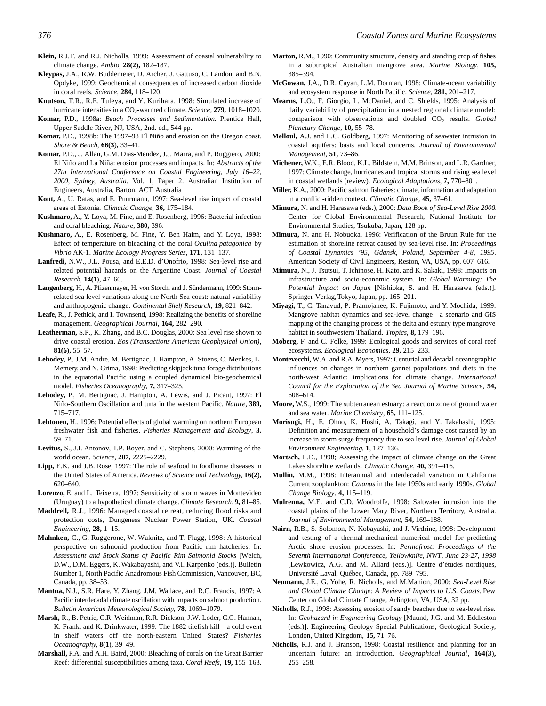- **Klein,** R.J.T. and R.J. Nicholls, 1999: Assessment of coastal vulnerability to climate change. *Ambio,* **28(2**)**,** 182–187.
- **Kleypas,** J.A., R.W. Buddemeier, D. Archer, J. Gattuso, C. Landon, and B.N. Opdyke, 1999: Geochemical consequences of increased carbon dioxide in coral reefs. *Science,* **284,** 118–120.
- Knutson, T.R., R.E. Tuleya, and Y. Kurihara, 1998: Simulated increase of hurricane intensities in a CO<sub>2</sub>-warmed climate. *Science*, **279**, 1018–1020.
- **Komar,** P.D., 1998a: *Beach Processes and Sedimentation*. Prentice Hall, Upper Saddle River, NJ, USA, 2nd. ed., 544 pp.
- **Komar,** P.D., 1998b: The 1997–98 El Niño and erosion on the Oregon coast. *Shore & Beach*, **66(3**)**,** 33–41.
- **Komar,** P.D., J. Allan, G.M. Dias-Mendez, J.J. Marra, and P. Ruggiero, 2000: El Niño and La Niña: erosion processes and impacts. In: *Abstracts of the 27th International Conference on Coastal Engineering, July 16–22, 2000, Sydney, Australia.* Vol. 1, Paper 2. Australian Institution of Engineers, Australia, Barton, ACT, Australia
- **Kont,** A., U. Ratas, and E. Puurmann, 1997: Sea-level rise impact of coastal areas of Estonia. *Climatic Change*, **36,** 175–184.
- **Kushmaro,** A., Y. Loya, M. Fine, and E. Rosenberg, 1996: Bacterial infection and coral bleaching. *Nature*, **380,** 396.
- **Kushmaro,** A., E. Rosenberg, M. Fine, Y. Ben Haim, and Y. Loya, 1998: Effect of temperature on bleaching of the coral *Oculina patagonica* by *Vibrio* AK-1. *Marine Ecology Progress Series*, **171,** 131–137.
- **Lanfredi,** N.W., J.L. Pousa, and E.E.D. d'Onofrio, 1998: Sea-level rise and related potential hazards on the Argentine Coast. *Journal of Coastal Research*, **14(1**)**,** 47–60.
- Langenberg, H., A. Pfizenmayer, H. von Storch, and J. Sündermann, 1999: Stormrelated sea level variations along the North Sea coast: natural variability and anthropogenic change. *Continental Shelf Research,* **19,** 821–842.
- **Leafe,** R., J. Pethick, and I. Townsend, 1998: Realizing the benefits of shoreline management. *Geographical Journal,* **164,** 282–290.
- **Leatherman,** S.P., K. Zhang, and B.C. Douglas, 2000: Sea level rise shown to drive coastal erosion. *Eos (Transactions American Geophysical Union)*, **81(6),** 55–57.
- **Lehodey,** P., J.M. Andre, M. Bertignac, J. Hampton, A. Stoens, C. Menkes, L. Memery, and N. Grima, 1998: Predicting skipjack tuna forage distributions in the equatorial Pacific using a coupled dynamical bio-geochemical model. *Fisheries Oceanography,* **7,** 317–325.
- **Lehodey,** P., M. Bertignac, J. Hampton, A. Lewis, and J. Picaut, 1997: El Niño-Southern Oscillation and tuna in the western Pacific. *Nature,* **389,** 715–717.
- **Lehtonen,** H., 1996: Potential effects of global warming on northern European freshwater fish and fisheries. *Fisheries Management and Ecology*, **3,** 59–71.
- **Levitus,** S., J.I. Antonov, T.P. Boyer, and C. Stephens, 2000: Warming of the world ocean. *Science*, **287,** 2225–2229.
- **Lipp,** E.K. and J.B. Rose, 1997: The role of seafood in foodborne diseases in the United States of America. *Reviews of Science and Technology*, **16(2**)**,** 620–640.
- **Lorenzo,** E. and L. Teixeira, 1997: Sensitivity of storm waves in Montevideo (Uruguay) to a hypothetical climate change. *Climate Research,* **9,** 81–85.
- Maddrell, R.J., 1996: Managed coastal retreat, reducing flood risks and protection costs, Dungeness Nuclear Power Station, UK. *Coastal Engineering*, **28,** 1–15.
- Mahnken, C., G. Ruggerone, W. Waknitz, and T. Flagg, 1998: A historical perspective on salmonid production from Pacific rim hatcheries. In: *Assessment and Stock Status of Pacific Rim Salmonid Stocks* [Welch, D.W., D.M. Eggers, K. Wakabayashi, and V.I. Karpenko (eds.)]. Bulletin Number 1, North Pacific Anadromous Fish Commission, Vancouver, BC, Canada, pp. 38–53.
- **Mantua,** N.J., S.R. Hare, Y. Zhang, J.M. Wallace, and R.C. Francis, 1997: A Pacific interdecadal climate oscillation with impacts on salmon production. *Bulletin American Meteorological Society,* **78,** 1069–1079.
- **Marsh,** R., B. Petrie, C.R. Weidman, R.R. Dickson, J.W. Loder, C.G. Hannah, K. Frank, and K. Drinkwater, 1999: The 1882 tilefish kill—a cold event in shelf waters off the north-eastern United States? Fisheries *Oceanography,* **8(1**)**,** 39–49.
- **Marshall,** P.A. and A.H. Baird, 2000: Bleaching of corals on the Great Barrier Reef: differential susceptibilities among taxa. *Coral Reefs,* **19,** 155–163.
- **Marton, R.M., 1990: Community structure, density and standing crop of fishes** in a subtropical Australian mangrove area. *Marine Biology*, 105, 385–394.
- **McGowan,** J.A., D.R. Cayan, L.M. Dorman, 1998: Climate-ocean variability and ecosystem response in North Pacific. *Science*, **281,** 201–217.
- **Mearns,** L.O., F. Giorgio, L. McDaniel, and C. Shields, 1995: Analysis of daily variability of precipitation in a nested regional climate model: comparison with observations and doubled CO<sub>2</sub> results. *Global Planetary Change,* **10,** 55–78.
- **Melloul,** A.J. and L.C. Goldberg, 1997: Monitoring of seawater intrusion in coastal aquifers: basis and local concerns. *Journal of Environmental Management*, **51,** 73–86.
- **Michener,** W.K., E.R. Blood, K.L. Bildstein, M.M. Brinson, and L.R. Gardner, 1997: Climate change, hurricanes and tropical storms and rising sea level in coastal wetlands (review). *Ecological Adaptations,* **7,** 770–801.
- Miller, K.A., 2000: Pacific salmon fisheries: climate, information and adaptation in a conflict-ridden context. *Climatic Change,* **45,** 37–61.
- **Mimura,** N. and H. Harasawa (eds.), 2000: *Data Book of Sea-Level Rise 2000*. Center for Global Environmental Research, National Institute for Environmental Studies, Tsukuba, Japan, 128 pp.
- **Mimura,** N. and H. Nobuoka, 1996: Verification of the Bruun Rule for the estimation of shoreline retreat caused by sea-level rise. In: *Proceedings of Coastal Dynamics '95, Gdansk, Poland, September 4-8, 1995*. American Society of Civil Engineers, Reston, VA, USA, pp. 607–616.
- **Mimura,** N., J. Tsutsui, T. Ichinose, H. Kato, and K. Sakaki, 1998: Impacts on infrastructure and socio-economic system. In: *Global Warming: The Potential Impact on Japan* [Nishioka, S. and H. Harasawa (eds.)]. Springer-Verlag, Tokyo, Japan, pp. 165–201.
- **Miyagi,** T., C. Tanavud, P. Pramojanee, K. Fujimoto, and Y. Mochida, 1999: Mangrove habitat dynamics and sea-level change—a scenario and GIS mapping of the changing process of the delta and estuary type mangrove habitat in southwestern Thailand. *Tropics*, **8,** 179–196.
- **Moberg,** F. and C. Folke, 1999: Ecological goods and services of coral reef ecosystems. *Ecological Economics*, **29,** 215–233.
- **Montevecchi,** W.A. and R.A. Myers, 1997: Centurial and decadal oceanographic influences on changes in northern gannet populations and diets in the north-west Atlantic: implications for climate change. *International Council for the Exploration of the Sea Journal of Marine Science*, **54,** 608–614.
- **Moore,** W.S., 1999: The subterranean estuary: a reaction zone of ground water and sea water. *Marine Chemistry*, **65,** 111–125.
- **Morisugi,** H., E. Ohno, K. Hoshi, A. Takagi, and Y. Takahashi, 1995: Definition and measurement of a household's damage cost caused by an increase in storm surge frequency due to sea level rise. *Journal of Global Environment Engineering*, **1**, 127–136.
- **Mortsch,** L.D., 1998; Assessing the impact of climate change on the Great Lakes shoreline wetlands. *Climatic Change,* **40,** 391–416.
- **Mullin,** M.M., 1998: Interannual and interdecadal variation in California Current zooplankton: *Calanus* in the late 1950s and early 1990s. *Global Change Biology*, **4,** 115–119.
- **Mulrenna,** M.E. and C.D. Woodroffe, 1998: Saltwater intrusion into the coastal plains of the Lower Mary River, Northern Territory, Australia. *Journal of Environmental Management,* **54,** 169–188.
- **Nairn,** R.B., S. Solomon, N. Kobayashi, and J. Virdrine, 1998: Development and testing of a thermal-mechanical numerical model for predicting Arctic shore erosion processes. In: *Permafrost: Proceedings of the Seventh International Conference, Yellowknife, NWT, June 23-27, 1998* [Lewkowicz, A.G. and M. Allard (eds.)]. Centre d'études nordiques, Université Laval, Québec, Canada, pp. 789–795.
- **Neumann,** J.E., G. Yohe, R. Nicholls, and M.Manion, 2000: *Sea-Level Rise and Global Climate Change: A Review of Impacts to U.S. Coasts*. Pew Center on Global Climate Change, Arlington, VA, USA, 32 pp.
- **Nicholls,** R.J., 1998: Assessing erosion of sandy beaches due to sea-level rise. In: *Geohazard in Engineering Geology* [Maund, J.G. and M. Eddleston (eds.)]. Engineering Geology Special Publications, Geological Society, London, United Kingdom, **15,** 71–76.
- **Nicholls,** R.J. and J. Branson, 1998: Coastal resilience and planning for an uncertain future: an introduction. *Geographical Journal*, 164(3), 255–258.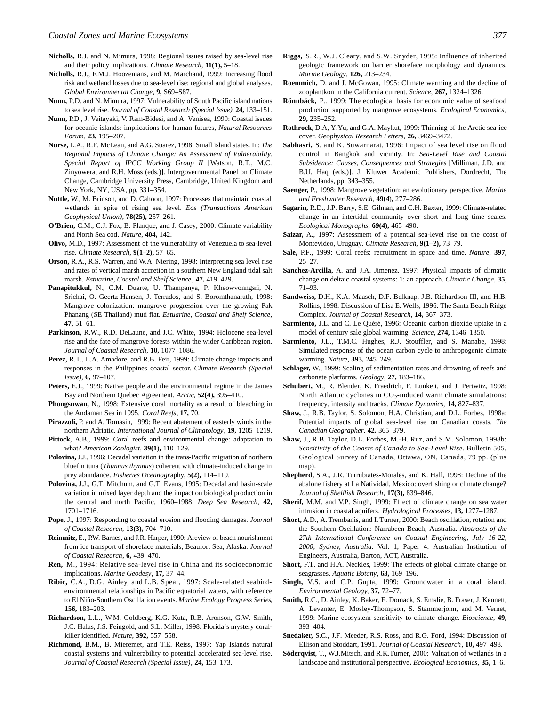- **Nicholls,** R.J. and N. Mimura, 1998: Regional issues raised by sea-level rise and their policy implications. *Climate Research*, **11(1**)**,** 5–18.
- **Nicholls,** R.J., F.M.J. Hoozemans, and M. Marchand, 1999: Increasing flood risk and wetland losses due to sea-level rise: regional and global analyses. *Global Environmental Change*, **9,** S69–S87.
- Nunn, P.D. and N. Mimura, 1997: Vulnerability of South Pacific island nations to sea level rise. *Journal of Coastal Research (Special Issue)*, **24**, 133-151.
- **Nunn,** P.D., J. Veitayaki, V. Ram-Bidesi, and A. Venisea, 1999: Coastal issues for oceanic islands: implications for human futures, *Natural Resources Forum*, **23,** 195–207.
- **Nurse,** L.A., R.F. McLean, and A.G. Suarez, 1998: Small island states. In: *The Regional Impacts of Climate Change: An Assessment of Vulnerability. Special Report of IPCC Working Group II* [ Watson, R.T., M.C. Zinyowera, and R.H. Moss (eds.)]. Intergovernmental Panel on Climate Change, Cambridge University Press, Cambridge, United Kingdom and New York, NY, USA, pp. 331–354.
- **Nuttle,** W., M. Brinson, and D. Cahoon, 1997: Processes that maintain coastal wetlands in spite of rising sea level. *Eos (Transactions American Geophysical Union)*, **78(25),** 257–261.
- **O'Brien,** C.M., C.J. Fox, B. Planque, and J. Casey, 2000: Climate variability and North Sea cod. *Nature*, **404,** 142.
- **Olivo,** M.D., 1997: Assessment of the vulnerability of Venezuela to sea-level rise. *Climate Research*, **9(1–2),** 57–65.
- **Orson,** R.A., R.S. Warren, and W.A. Niering, 1998: Interpreting sea level rise and rates of vertical marsh accretion in a southern New England tidal salt marsh. *Estuarine, Coastal and Shelf Science*, **47,** 419–429.
- **Panapitukkul,** N., C.M. Duarte, U. Thampanya, P. Kheowvonngsri, N. Srichai, O. Geertz-Hansen, J. Terrados, and S. Boromthanarath, 1998: Mangrove colonization: mangrove progression over the growing Pak Phanang (SE Thailand) mud flat. *Estuarine, Coastal and Shelf Science*, **47,** 51–61.
- **Parkinson,** R.W., R.D. DeLaune, and J.C. White, 1994: Holocene sea-level rise and the fate of mangrove forests within the wider Caribbean region. *Journal of Coastal Research*, **10,** 1077–1086.
- **Perez,** R.T., L.A. Amadore, and R.B. Feir, 1999: Climate change impacts and responses in the Philippines coastal sector. *Climate Research (Special Issue)*, **6,** 97–107.
- **Peters,** E.J., 1999: Native people and the environmental regime in the James Bay and Northern Quebec Agreement. *Arctic*, **52(4**)**,** 395–410.
- **Phongsuwan,** N., 1998: Extensive coral mortality as a result of bleaching in the Andaman Sea in 1995. *Coral Reefs*, **17,** 70.
- **Pirazzoli,** P. and A. Tomasin, 1999: Recent abatement of easterly winds in the northern Adriatic. *International Journal of Climatology*, **19,** 1205–1219.
- **Pittock***,* A.B., 1999: Coral reefs and environmental change: adaptation to what? *American Zoologist,* **39(1**)**,** 110–129.
- Polovina, J.J., 1996: Decadal variation in the trans-Pacific migration of northern bluefin tuna (*Thunnus thynnus*) coherent with climate-induced change in prey abundance. *Fisheries Oceanogr*aphy, **5(2**)**,** 114–119.
- **Polovina,** J.J., G.T. Mitchum, and G.T. Evans, 1995: Decadal and basin-scale variation in mixed layer depth and the impact on biological production in the central and north Pacific, 1960–1988. *Deep Sea Research*, **42,** 1701–1716.
- **Pope,** J., 1997: Responding to coastal erosion and flooding damages. *Journal of Coastal Research,* **13(3),** 704–710.
- Reimnitz, E., P.W. Barnes, and J.R. Harper, 1990: Areview of beach nourishment from ice transport of shoreface materials, Beaufort Sea, Alaska. *Journal of Coastal Research*, **6,** 439–470.
- **Ren,** M., 1994: Relative sea-level rise in China and its socioeconomic implications. *Marine Geodesy*, 17, 37-44.
- Ribic, C.A., D.G. Ainley, and L.B. Spear, 1997: Scale-related seabirdenvironmental relationships in Pacific equatorial waters, with reference to El Niño-Southern Oscillation events. *Marine Ecology Progress Series*, **156,** 183–203.
- **Richardson,** L.L., W.M. Goldberg, K.G. Kuta, R.B. Aronson, G.W. Smith, J.C. Halas, J.S. Feingold, and S.L. Miller, 1998: Florida's mystery coralkiller identified. *Nature*, **392,** 557–558.
- **Richmond,** B.M., B. Mieremet, and T.E. Reiss, 1997: Yap Islands natural coastal systems and vulnerability to potential accelerated sea-level rise. *Journal of Coastal Research (Special Issue)*, **24,** 153–173.
- **Riggs, S.R., W.J. Cleary, and S.W. Snyder, 1995: Influence of inherited** geologic framework on barrier shoreface morphology and dynamics. *Marine Geology*, **126,** 213–234.
- **Roemmich,** D. and J. McGowan, 1995: Climate warming and the decline of zooplantkon in the California current. *Science*, **267,** 1324–1326.
- **Rönnbäck**, P., 1999: The ecological basis for economic value of seafood production supported by mangrove ecosystems. *Ecological Economics*, **29,** 235–252.
- **Rothrock,** D.A, Y.Yu, and G.A. Maykut, 1999: Thinning of the Arctic sea-ice cover. *Geophysical Research Letters,* **26,** 3469–3472.
- Sabhasri, S. and K. Suwarnarat, 1996: Impact of sea level rise on flood c o ntrol in Bangkok and vicinity. In: *Sea-Level Rise and Coastal Subsidence: Causes, Consequences and Strategies* [Milliman, J.D. and B.U. Haq (eds.)]. J. Kluwer Academic Publishers, Dordrecht, The Netherlands, pp. 343–355.
- **Saenger,** P., 1998: Mangrove vegetation: an evolutionary perspective. *Marine and Freshwater Research*, **49(4**)**,** 277–286.
- Sagarin, R.D., J.P. Barry, S.E. Gilman, and C.H. Baxter, 1999: Climate-related change in an intertidal community over short and long time scales. *Ecological Monographs*, **69(4),** 465–490.
- **Saizar,** A., 1997: Assessment of a potential sea-level rise on the coast of Montevideo, Uruguay. *Climate Research*, **9(1–2),** 73–79.
- **Sale,** P.F., 1999: Coral reefs: recruitment in space and time. *Nature*, **397,** 25–27.
- **Sanchez-Arcilla,** A. and J.A. Jimenez, 1997: Physical impacts of climatic change on deltaic coastal systems: 1: an approach. *Climatic Change,* **35,** 71–93.
- **Sandweiss,** D.H., K.A. Maasch, D.F. Belknap, J.B. Richardson III, and H.B. Rollins, 1998: Discussion of Lisa E. Wells, 1996: The Santa Beach Ridge Complex. *Journal of Coastal Research*, **14,** 367–373.
- **Sarmiento,** J.L. and C. Le Quéré, 1996: Oceanic carbon dioxide uptake in a model of century sale global warming. *Science*, **274,** 1346–1350.
- **Sarmiento,** J.L., T.M.C. Hughes, R.J. Stouffler, and S. Manabe, 1998: Simulated response of the ocean carbon cycle to anthropogenic climate warming. *Nature*, **393,** 245–249.
- **Schlager,** W., 1999: Scaling of sedimentation rates and drowning of reefs and carbonate platforms. *Geology*, **27,** 183–186.
- **Schubert,** M., R. Blender, K. Fraedrich, F. Lunkeit, and J. Pertwitz, 1998: North Atlantic cyclones in  $CO_2$ -induced warm climate simulations: frequency, intensity and tracks. *Climate Dynamics*, **14,** 827–837.
- **Shaw,** J., R.B. Taylor, S. Solomon, H.A. Christian, and D.L. Forbes, 1998a: Potential impacts of global sea-level rise on Canadian coasts. *The Canadian Geographer*, **42,** 365–379.
- Shaw, J., R.B. Taylor, D.L. Forbes, M.-H. Ruz, and S.M. Solomon, 1998b: *Sensitivity of the Coasts of Canada to Sea-Level Rise*. Bulletin 505, Geological Survey of Canada, Ottawa, ON, Canada, 79 pp. (plus  $man$ ).
- **Shepherd,** S.A., J.R. Turrubiates-Morales, and K. Hall, 1998: Decline of the abalone fishery at La Natividad, Mexico: overfishing or climate change? *Journal of Shellfish Research*, **17(3),** 839–846.
- **Sherif,** M.M. and V.P. Singh, 1999: Effect of climate change on sea water intrusion in coastal aquifers. *Hydrological Processes,* **13,** 1277–1287.
- **Short,** A.D., A. Trembanis, and I. Turner, 2000: Beach oscillation, rotation and the Southern Oscillation: Narrabeen Beach, Australia. *Abstracts of the 27th International Conference on Coastal Engineering, July 16-22, 2000, Sydney, Australia*. Vol. 1, Paper 4. Australian Institution of Engineers, Australia, Barton, ACT, Australia.
- **Short,** F.T. and H.A. Neckles, 1999: The effects of global climate change on seagrasses. *Aquatic Botany*, **63,** 169–196.
- Singh, V.S. and C.P. Gupta, 1999: Groundwater in a coral island. *Environmental Geology*, **37,** 72–77.
- **Smith,** R.C., D. Ainley, K. Baker, E. Domack, S. Emslie, B. Fraser, J. Kennett, A. Leventer, E. Mosley-Thompson, S. Stammerjohn, and M. Vernet, 1999: Marine ecosystem sensitivity to climate change. *Bioscience,* **49,** 393–404.
- **Snedaker,** S.C., J.F. Meeder, R.S. Ross, and R.G. Ford, 1994: Discussion of Ellison and Stoddart, 1991. *Journal of Coastal Research*, **10,** 497–498.
- **Söderqvist**, T., W.J.Mitsch, and R.K.Turner, 2000: Valuation of wetlands in a landscape and institutional perspective**.** *Ecological Economics,* **35,** 1–6.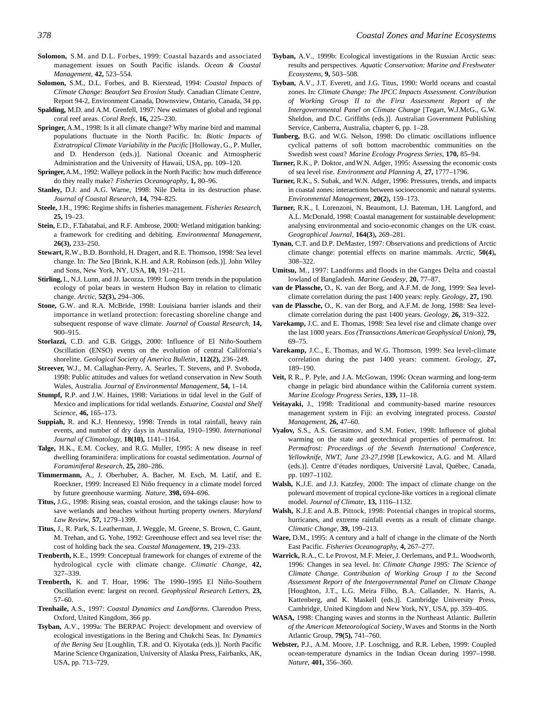- Solomon, S.M. and D.L. Forbes, 1999: Coastal hazards and associated management issues on South Pacific islands. Ocean & Coastal *Management*, **42,** 523–554.
- **Solomon,** S.M., D.L. Forbes, and B. Kierstead, 1994: *Coastal Impacts of Climate Change: Beaufort Sea Erosion Study.* Canadian Climate Centre, Report 94-2, Environment Canada, Downsview, Ontario, Canada, 34 pp.
- **Spalding, M.D.** and A.M. Grenfell, 1997: New estimates of global and regional coral reef areas. *Coral Reefs*, **16,** 225–230.
- **Springer,** A.M., 1998: Is it all climate change? Why marine bird and mammal populations fluctuate in the North Pacific. In: *Biotic Impacts of Extratropical Climate Variability in the Pacific* [Holloway, G., P. Muller, and D. Henderson (eds.)]. National Oceanic and Atmospheric Administration and the University of Hawaii, USA, pp. 109–120.
- **Springer,** A.M., 1992: Walleye pollock in the North Pacific: how much difference do they really make? *Fisheries Oceanography*, **1,** 80–96.
- **Stanley,** D.J. and A.G. Warne, 1998: Nile Delta in its destruction phase. *Journal of Coastal Research*, **14,** 794–825.
- **Steele,** J.H., 1996: Regime shifts in fisheries management. *Fisheries Research*, **25,** 19–23.
- Stein, E.D., F. Tabatabai, and R.F. Ambrose, 2000: Wetland mitigation banking: a framework for crediting and debiting. *Environmental Management,* **26(3),** 233–250.
- **Stewart,** R.W., B.D. Bornhold, H. Dragert, and R.E. Thomson, 1998: Sea level change. In: *The Sea* [Brink, K.H. and A.R. Robinson (eds.)]. John Wiley and Sons, New York, NY, USA, **10,** 191–211.
- Stirling, I., N.J. Lunn, and JJ. Iacozza, 1999: Long-term trends in the population ecology of polar bears in western Hudson Bay in relation to climatic change. *Arctic*, **52(3**)**,** 294–306.
- **Stone,** G.W. and R.A. McBride, 1998: Louisiana barrier islands and their importance in wetland protection: forecasting shoreline change and subsequent response of wave climate. *Journal of Coastal Research*, 14, 900–915.
- **Storlazzi,** C.D. and G.B. Griggs, 2000: Influence of El Niño-Southern Oscillation (ENSO) events on the evolution of central California's shoreline. *Geological Society of America Bulletin*, 112(2), 236–249.
- **Streever,** W.J., M. Callaghan-Perry, A. Searles, T. Stevens, and P. Svoboda, 1998: Public attitudes and values for wetland conservation in New South Wales, Australia. *Journal of Environmental Management*, **54,** 1–14.
- **Stumpf,** R.P. and J.W. Haines, 1998: Variations in tidal level in the Gulf of Mexico and implications for tidal wetlands. *Estuarine, Coastal and Shelf Science*, **46,** 165–173.
- **Suppiah,** R. and K.J. Hennessy, 1998: Trends in total rainfall, heavy rain events, and number of dry days in Australia, 1910–1990. *International Journal of Climatology,* **18(10),** 1141–1164.
- **Talge,** H.K., E.M. Cockey, and R.G. Muller, 1995: A new disease in reef dwelling foraminifera: implications for coastal sedimentation. *Journal of Foraminiferal Research,* **25,** 280–286.
- **Timmermann,** A., J. Oberhuber, A. Bacher, M. Esch, M. Latif, and E. Roeckner, 1999: Increased El Niño frequency in a climate model forced by future greenhouse warming. *Nature,* **398,** 694–696.
- **Titus,** J.G., 1998: Rising seas, coastal erosion, and the takings clause: how to save wetlands and beaches without hurting property owners. *Maryland Law Review*, **57,** 1279–1399.
- **Titus,** J., R. Park, S. Leatherman, J. Weggle, M. Greene, S. Brown, C. Gaunt, M. Trehan, and G. Yohe, 1992: Greenhouse effect and sea level rise: the cost of holding back the sea. *Coastal Management,* **19,** 219–233.
- **Trenberth, K.E., 1999: Conceptual framework for changes of extreme of the** hydrological cycle with climate change. Climatic Change, 42,  $327 - 339.$
- Trenberth, K. and T. Hoar, 1996: The 1990–1995 El Niño-Southern Oscillation event: largest on record. *Geophysical Research Letters*, **23,** 57–60.
- **Trenhaile,** A.S., 1997: *Coastal Dynamics and Landforms*. Clarendon Press, Oxford, United Kingdom, 366 pp.
- **Tsyban,** A.V., 1999a: The BERPAC Project: development and overview of ecological investigations in the Bering and Chukchi Seas. In: *Dynamics of the Bering Sea* [Loughlin, T.R. and O. Kiyotaka (eds.)]. North Pacific Marine Science Organization, University of Alaska Press, Fairbanks, AK, USA, pp. 713–729.
- **Tsyban,** A.V., 1999b: Ecological investigations in the Russian Arctic seas: results and perspectives. *Aquatic Conservation: Marine and Freshwater Ecosystems*, **9,** 503–508.
- **Tsyban,** A.V., J.T. Everett, and J.G. Titus, 1990: World oceans and coastal zones. In: *Climate Change: The IPCC Impacts Assessment. Contribution of Working Group II to the First Assessment Report of the Intergovernmental Panel on Climate Change* [Tegart, W.J.McG., G.W. Sheldon, and D.C. Griffiths (eds.)]. Australian Government Publishing Service, Canberra, Australia, chapter 6, pp. 1–28.
- **Tunberg,** B.G. and W.G. Nelson, 1998: Do climatic oscillations influence cyclical patterns of soft bottom macrobenthic communities on the Swedish west coast? *Marine Ecology Progress Series*, **170,** 85–94.
- **Turner,** R.K., P. Doktor, and W.N. Adger, 1995: Assessing the economic costs of sea level rise. *Environment and Planning A*, **27,** 1777–1796.
- **Turner,** R.K., S. Subak, and W.N. Adger, 1996: Pressures, trends, and impacts in coastal zones: interactions between socioeconomic and natural systems. *Environmental Management*, **20(2**)**,** 159–173.
- **Turner,** R.K., I. Lorenzoni, N. Beaumont, I.J. Bateman, I.H. Langford, and A.L. McDonald, 1998: Coastal management for sustainable development: analysing environmental and socio-economic changes on the UK coast. *Geographical Journal*, **164(3**)**,** 269–281.
- **Tynan,** C.T. and D.P. DeMaster, 1997: Observations and predictions of Arctic climate change: potential effects on marine mammals. *Arctic*, **50(4**)**,** 308–322.
- Umitsu, M., 1997: Landforms and floods in the Ganges Delta and coastal lowland of Bangladesh. Marine Geodesy, 20, 77-87.
- **van de Plassche,** O., K. van der Borg, and A.F.M. de Jong, 1999: Sea levelclimate correlation during the past 1400 years: reply. *Geology*, **27,** 190.
- **van de Plassche,** O., K. van der Borg, and A.F.M. de Jong, 1998: Sea levelclimate correlation during the past 1400 years. *Geology*, **26,** 319–322.
- **Varekamp,** J.C. and E. Thomas, 1998: Sea level rise and climate change over the last 1000 years. *Eos (Transactions American Geophysical Union)*, **79,** 69–75.
- **Varekamp, J.C., E. Thomas, and W.G. Thomson, 1999: Sea level-climate** correlation during the past 1400 years: comment. *Geology*, 27,  $189 - 190.$
- **Veit,** R R., P. Pyle, and J.A. McGowan, 1996: Ocean warming and long-term change in pelagic bird abundance within the California current system. *Marine Ecology Progress Series*, **139,** 11–18.
- Veitayaki, J., 1998: Traditional and community-based marine resources management system in Fiji: an evolving integrated process. *Coastal Management*, **26,** 47–60.
- **Vyalov,** S.S., A.S. Gerasimov, and S.M. Fotiev, 1998: Influence of global warming on the state and geotechnical properties of permafrost. In: *Permafrost: Proceedings of the Seventh International Conference, Yellowknife, NWT, June 23-27,1998* [Lewkowicz, A.G. and M. Allard (eds.)]. Centre d'études nordiques, Université Laval, Québec, Canada, pp. 1097–1102.
- **Walsh,** K.J.E. and J.J. Katzfey, 2000: The impact of climate change on the poleward movement of tropical cyclone-like vortices in a regional climate model. *Journal of Climate,* **13,** 1116–1132.
- Walsh, K.J.E and A.B. Pittock, 1998: Potential changes in tropical storms, hurricanes, and extreme rainfall events as a result of climate change. *Climatic Change,* **39,** 199–213.
- **Ware,** D.M., 1995: A century and a half of change in the climate of the North East Pacific. *Fisheries Oceanography,* **4,** 267–277.
- **Warrick,** R.A., C. Le Provost, M.F. Meier, J. Oerlemans, and P.L. Woodworth, 1996: Changes in sea level. In: *Climate Change 1995: The Science of Climate Change. Contribution of Working Group I to the Second Assessment Report of the Intergovernmental Panel on Climate Change* [Houghton, J.T., L.G. Meira Filho, B.A. Callander, N. Harris, A. Kattenberg, and K. Maskell (eds.)]. Cambridge University Press, Cambridge, United Kingdom and New York, NY, USA, pp. 359–405.
- **WASA,** 1998: Changing waves and storms in the Northeast Atlantic. *Bulletin of the American Meteorological Society*, Waves and Storms in the North Atlantic Group, **79(5),** 741–760.
- **Webster,** P.J., A.M. Moore, J.P. Loschnigg, and R.R. Leben, 1999: Coupled ocean-temperature dynamics in the Indian Ocean during 1997–1998. *Nature*, **401,** 356–360.